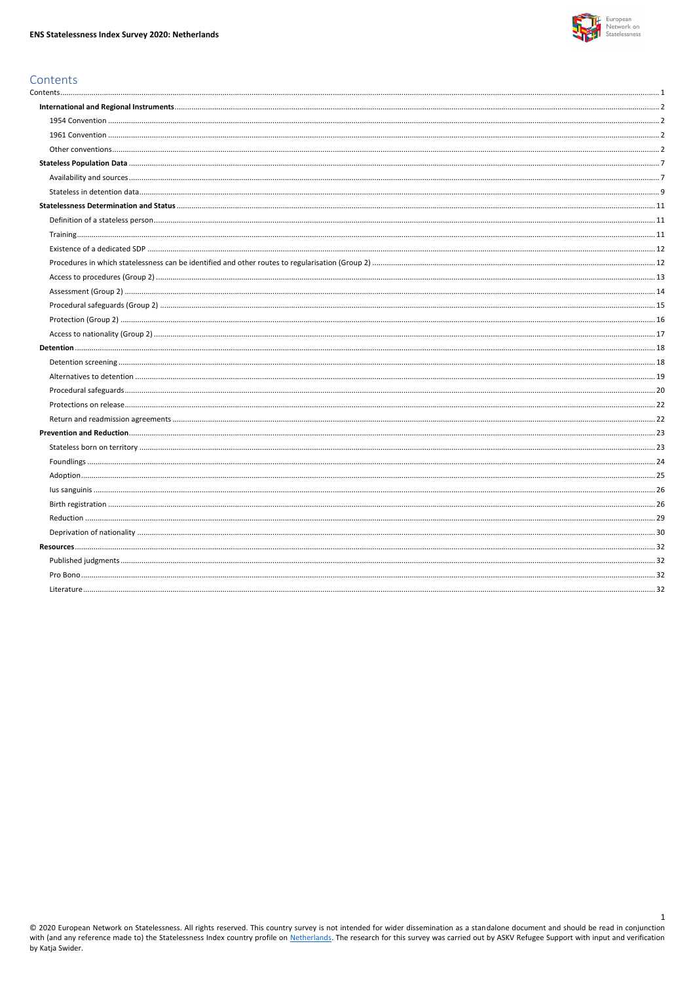

 $\mathbf{1}$ 

# <span id="page-0-0"></span>Contents

© 2020 European Network on Statelessness. All rights reserved. This country survey is not intended for wider dissemination as a standalone document and should be read in conjunction with (and any reference made to) the Sta by Katja Swider.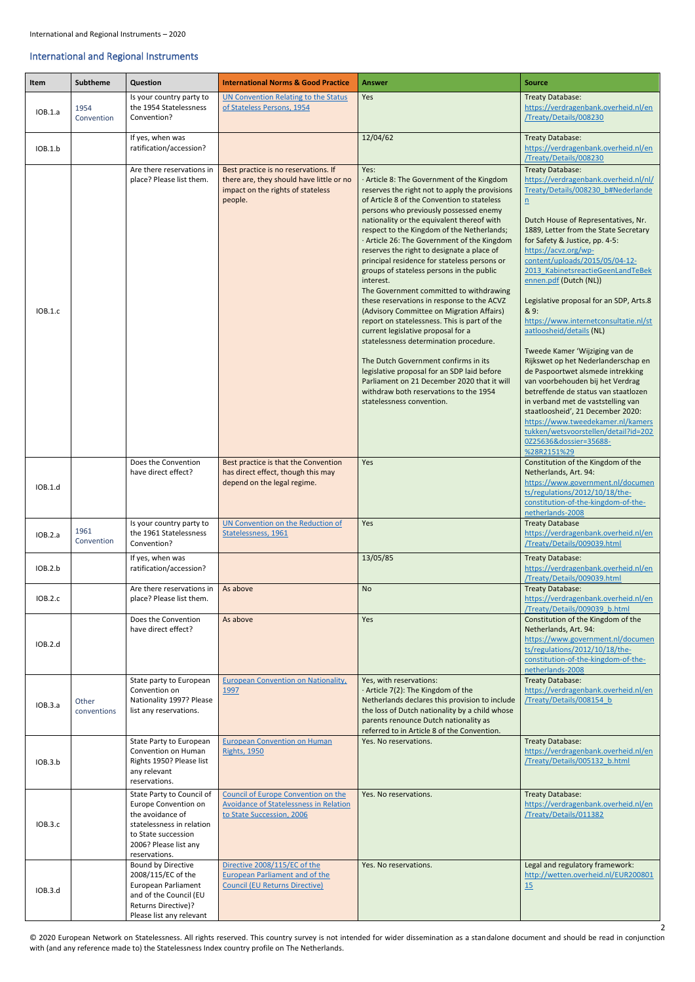<span id="page-1-3"></span><span id="page-1-2"></span>© 2020 European Network on Statelessness. All rights reserved. This country survey is not intended for wider dissemination as a standalone document and should be read in conjunction with (and any reference made to) the Statelessness Index country profile on The Netherlands.

## <span id="page-1-0"></span>International and Regional Instruments

<span id="page-1-1"></span>

| Item    | <b>Subtheme</b>      | Question                                                                                                                                                            | <b>International Norms &amp; Good Practice</b>                                                                                   | <b>Answer</b>                                                                                                                                                                                                                                                                                                                                                                                                                                                                                                                                                                                                                                                                                                                                                                                                                                                                                                                                                                       | <b>Source</b>                                                                                                                                                                                                                                                                                                                                                                                                                                                                                                                                                                                                                                                                                                                                                                                                                                                            |
|---------|----------------------|---------------------------------------------------------------------------------------------------------------------------------------------------------------------|----------------------------------------------------------------------------------------------------------------------------------|-------------------------------------------------------------------------------------------------------------------------------------------------------------------------------------------------------------------------------------------------------------------------------------------------------------------------------------------------------------------------------------------------------------------------------------------------------------------------------------------------------------------------------------------------------------------------------------------------------------------------------------------------------------------------------------------------------------------------------------------------------------------------------------------------------------------------------------------------------------------------------------------------------------------------------------------------------------------------------------|--------------------------------------------------------------------------------------------------------------------------------------------------------------------------------------------------------------------------------------------------------------------------------------------------------------------------------------------------------------------------------------------------------------------------------------------------------------------------------------------------------------------------------------------------------------------------------------------------------------------------------------------------------------------------------------------------------------------------------------------------------------------------------------------------------------------------------------------------------------------------|
| IOB.1.a | 1954<br>Convention   | Is your country party to<br>the 1954 Statelessness<br>Convention?                                                                                                   | <b>UN Convention Relating to the Status</b><br>of Stateless Persons, 1954                                                        | Yes                                                                                                                                                                                                                                                                                                                                                                                                                                                                                                                                                                                                                                                                                                                                                                                                                                                                                                                                                                                 | <b>Treaty Database:</b><br>https://verdragenbank.overheid.nl/en<br>/Treaty/Details/008230                                                                                                                                                                                                                                                                                                                                                                                                                                                                                                                                                                                                                                                                                                                                                                                |
| IOB.1.b |                      | If yes, when was<br>ratification/accession?                                                                                                                         |                                                                                                                                  | 12/04/62                                                                                                                                                                                                                                                                                                                                                                                                                                                                                                                                                                                                                                                                                                                                                                                                                                                                                                                                                                            | <b>Treaty Database:</b><br>https://verdragenbank.overheid.nl/en<br>/Treaty/Details/008230                                                                                                                                                                                                                                                                                                                                                                                                                                                                                                                                                                                                                                                                                                                                                                                |
| IOB.1.c |                      | Are there reservations in<br>place? Please list them.                                                                                                               | Best practice is no reservations. If<br>there are, they should have little or no<br>impact on the rights of stateless<br>people. | Yes:<br>· Article 8: The Government of the Kingdom<br>reserves the right not to apply the provisions<br>of Article 8 of the Convention to stateless<br>persons who previously possessed enemy<br>nationality or the equivalent thereof with<br>respect to the Kingdom of the Netherlands;<br>· Article 26: The Government of the Kingdom<br>reserves the right to designate a place of<br>principal residence for stateless persons or<br>groups of stateless persons in the public<br>interest.<br>The Government committed to withdrawing<br>these reservations in response to the ACVZ<br>(Advisory Committee on Migration Affairs)<br>report on statelessness. This is part of the<br>current legislative proposal for a<br>statelessness determination procedure.<br>The Dutch Government confirms in its<br>legislative proposal for an SDP laid before<br>Parliament on 21 December 2020 that it will<br>withdraw both reservations to the 1954<br>statelessness convention. | <b>Treaty Database:</b><br>https://verdragenbank.overheid.nl/nl/<br>Treaty/Details/008230 b#Nederlande<br>$\underline{n}$<br>Dutch House of Representatives, Nr.<br>1889, Letter from the State Secretary<br>for Safety & Justice, pp. 4-5:<br>https://acvz.org/wp-<br>content/uploads/2015/05/04-12-<br>2013 KabinetsreactieGeenLandTeBek<br>ennen.pdf (Dutch (NL))<br>Legislative proposal for an SDP, Arts.8<br>& 9:<br>https://www.internetconsultatie.nl/st<br>aatloosheid/details (NL)<br>Tweede Kamer 'Wijziging van de<br>Rijkswet op het Nederlanderschap en<br>de Paspoortwet alsmede intrekking<br>van voorbehouden bij het Verdrag<br>betreffende de status van staatlozen<br>in verband met de vaststelling van<br>staatloosheid', 21 December 2020:<br>https://www.tweedekamer.nl/kamers<br>tukken/wetsvoorstellen/detail?id=202<br>0Z25636&dossier=35688- |
| IOB.1.d |                      | Does the Convention<br>have direct effect?                                                                                                                          | Best practice is that the Convention<br>has direct effect, though this may<br>depend on the legal regime.                        | Yes                                                                                                                                                                                                                                                                                                                                                                                                                                                                                                                                                                                                                                                                                                                                                                                                                                                                                                                                                                                 | %28R2151%29<br>Constitution of the Kingdom of the<br>Netherlands, Art. 94:<br>https://www.government.nl/documen<br>ts/regulations/2012/10/18/the-<br>constitution-of-the-kingdom-of-the-<br>netherlands-2008                                                                                                                                                                                                                                                                                                                                                                                                                                                                                                                                                                                                                                                             |
| IOB.2.a | 1961<br>Convention   | Is your country party to<br>the 1961 Statelessness<br>Convention?                                                                                                   | UN Convention on the Reduction of<br>Statelessness, 1961                                                                         | Yes                                                                                                                                                                                                                                                                                                                                                                                                                                                                                                                                                                                                                                                                                                                                                                                                                                                                                                                                                                                 | <b>Treaty Database</b><br>https://verdragenbank.overheid.nl/en<br>/Treaty/Details/009039.html                                                                                                                                                                                                                                                                                                                                                                                                                                                                                                                                                                                                                                                                                                                                                                            |
| IOB.2.b |                      | If yes, when was<br>ratification/accession?                                                                                                                         |                                                                                                                                  | 13/05/85                                                                                                                                                                                                                                                                                                                                                                                                                                                                                                                                                                                                                                                                                                                                                                                                                                                                                                                                                                            | <b>Treaty Database:</b><br>https://verdragenbank.overheid.nl/en<br>/Treaty/Details/009039.html                                                                                                                                                                                                                                                                                                                                                                                                                                                                                                                                                                                                                                                                                                                                                                           |
| IOB.2.c |                      | Are there reservations in<br>place? Please list them.                                                                                                               | As above                                                                                                                         | <b>No</b>                                                                                                                                                                                                                                                                                                                                                                                                                                                                                                                                                                                                                                                                                                                                                                                                                                                                                                                                                                           | <b>Treaty Database:</b><br>https://verdragenbank.overheid.nl/en<br>/Treaty/Details/009039 b.html                                                                                                                                                                                                                                                                                                                                                                                                                                                                                                                                                                                                                                                                                                                                                                         |
| IOB.2.d |                      | Does the Convention<br>have direct effect?                                                                                                                          | As above                                                                                                                         | Yes                                                                                                                                                                                                                                                                                                                                                                                                                                                                                                                                                                                                                                                                                                                                                                                                                                                                                                                                                                                 | Constitution of the Kingdom of the<br>Netherlands, Art. 94:<br>https://www.government.nl/documen<br>ts/regulations/2012/10/18/the-<br>constitution-of-the-kingdom-of-the-<br>netherlands-2008                                                                                                                                                                                                                                                                                                                                                                                                                                                                                                                                                                                                                                                                            |
| IOB.3.a | Other<br>conventions | State party to European<br>Convention on<br>Nationality 1997? Please<br>list any reservations.                                                                      | <b>European Convention on Nationality</b> ,<br>1997                                                                              | Yes, with reservations:<br>· Article 7(2): The Kingdom of the<br>Netherlands declares this provision to include<br>the loss of Dutch nationality by a child whose<br>parents renounce Dutch nationality as<br>referred to in Article 8 of the Convention.                                                                                                                                                                                                                                                                                                                                                                                                                                                                                                                                                                                                                                                                                                                           | <b>Treaty Database:</b><br>https://verdragenbank.overheid.nl/en<br>/Treaty/Details/008154 b                                                                                                                                                                                                                                                                                                                                                                                                                                                                                                                                                                                                                                                                                                                                                                              |
| IOB.3.b |                      | State Party to European<br>Convention on Human<br>Rights 1950? Please list<br>any relevant<br>reservations.                                                         | <b>European Convention on Human</b><br><b>Rights, 1950</b>                                                                       | Yes. No reservations.                                                                                                                                                                                                                                                                                                                                                                                                                                                                                                                                                                                                                                                                                                                                                                                                                                                                                                                                                               | <b>Treaty Database:</b><br>https://verdragenbank.overheid.nl/en<br>/Treaty/Details/005132 b.html                                                                                                                                                                                                                                                                                                                                                                                                                                                                                                                                                                                                                                                                                                                                                                         |
| IOB.3.c |                      | State Party to Council of<br>Europe Convention on<br>the avoidance of<br>statelessness in relation<br>to State succession<br>2006? Please list any<br>reservations. | Council of Europe Convention on the<br>Avoidance of Statelessness in Relation<br>to State Succession, 2006                       | Yes. No reservations.                                                                                                                                                                                                                                                                                                                                                                                                                                                                                                                                                                                                                                                                                                                                                                                                                                                                                                                                                               | <b>Treaty Database:</b><br>https://verdragenbank.overheid.nl/en<br>/Treaty/Details/011382                                                                                                                                                                                                                                                                                                                                                                                                                                                                                                                                                                                                                                                                                                                                                                                |
| IOB.3.d |                      | Bound by Directive<br>2008/115/EC of the<br>European Parliament<br>and of the Council (EU<br>Returns Directive)?<br>Please list any relevant                        | Directive 2008/115/EC of the<br><b>European Parliament and of the</b><br><b>Council (EU Returns Directive)</b>                   | Yes. No reservations.                                                                                                                                                                                                                                                                                                                                                                                                                                                                                                                                                                                                                                                                                                                                                                                                                                                                                                                                                               | Legal and regulatory framework:<br>http://wetten.overheid.nl/EUR200801<br>15                                                                                                                                                                                                                                                                                                                                                                                                                                                                                                                                                                                                                                                                                                                                                                                             |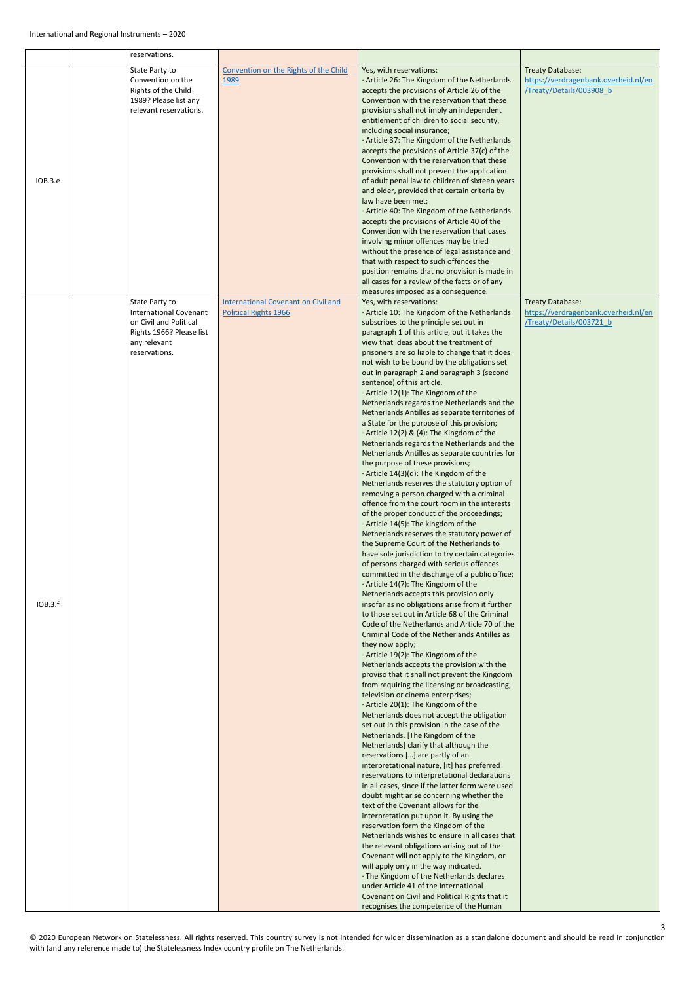|         | reservations.                                                                                                                          |                                                                            |                                                                                                                                                                                                                                                                                                                                                                                                                                                                                                                                                                                                                                                                                                                                                                                                                                                                                                                                                                                                                                                                                                                                                                                                                                                                                                                                                                                                                                                                                                                                                                                                                                                                                                                                                                                                                                                                                                                                                                                                                                                                                                                                                                                                                                                                                                                                                                                                                                                                                                                                                                                                                                                                                                                                                                                                   |                                                                                             |
|---------|----------------------------------------------------------------------------------------------------------------------------------------|----------------------------------------------------------------------------|---------------------------------------------------------------------------------------------------------------------------------------------------------------------------------------------------------------------------------------------------------------------------------------------------------------------------------------------------------------------------------------------------------------------------------------------------------------------------------------------------------------------------------------------------------------------------------------------------------------------------------------------------------------------------------------------------------------------------------------------------------------------------------------------------------------------------------------------------------------------------------------------------------------------------------------------------------------------------------------------------------------------------------------------------------------------------------------------------------------------------------------------------------------------------------------------------------------------------------------------------------------------------------------------------------------------------------------------------------------------------------------------------------------------------------------------------------------------------------------------------------------------------------------------------------------------------------------------------------------------------------------------------------------------------------------------------------------------------------------------------------------------------------------------------------------------------------------------------------------------------------------------------------------------------------------------------------------------------------------------------------------------------------------------------------------------------------------------------------------------------------------------------------------------------------------------------------------------------------------------------------------------------------------------------------------------------------------------------------------------------------------------------------------------------------------------------------------------------------------------------------------------------------------------------------------------------------------------------------------------------------------------------------------------------------------------------------------------------------------------------------------------------------------------------|---------------------------------------------------------------------------------------------|
| IOB.3.e | State Party to<br>Convention on the<br>Rights of the Child<br>1989? Please list any<br>relevant reservations.                          | Convention on the Rights of the Child<br>1989                              | Yes, with reservations:<br>· Article 26: The Kingdom of the Netherlands<br>accepts the provisions of Article 26 of the<br>Convention with the reservation that these<br>provisions shall not imply an independent<br>entitlement of children to social security,<br>including social insurance;<br>· Article 37: The Kingdom of the Netherlands<br>accepts the provisions of Article 37(c) of the<br>Convention with the reservation that these<br>provisions shall not prevent the application<br>of adult penal law to children of sixteen years<br>and older, provided that certain criteria by<br>law have been met;<br>· Article 40: The Kingdom of the Netherlands<br>accepts the provisions of Article 40 of the<br>Convention with the reservation that cases<br>involving minor offences may be tried<br>without the presence of legal assistance and<br>that with respect to such offences the<br>position remains that no provision is made in<br>all cases for a review of the facts or of any<br>measures imposed as a consequence.                                                                                                                                                                                                                                                                                                                                                                                                                                                                                                                                                                                                                                                                                                                                                                                                                                                                                                                                                                                                                                                                                                                                                                                                                                                                                                                                                                                                                                                                                                                                                                                                                                                                                                                                                  | <b>Treaty Database:</b><br>https://verdragenbank.overheid.nl/en<br>/Treaty/Details/003908 b |
| IOB.3.f | State Party to<br><b>International Covenant</b><br>on Civil and Political<br>Rights 1966? Please list<br>any relevant<br>reservations. | <b>International Covenant on Civil and</b><br><b>Political Rights 1966</b> | Yes, with reservations:<br>· Article 10: The Kingdom of the Netherlands<br>subscribes to the principle set out in<br>paragraph 1 of this article, but it takes the<br>view that ideas about the treatment of<br>prisoners are so liable to change that it does<br>not wish to be bound by the obligations set<br>out in paragraph 2 and paragraph 3 (second<br>sentence) of this article.<br>· Article 12(1): The Kingdom of the<br>Netherlands regards the Netherlands and the<br>Netherlands Antilles as separate territories of<br>a State for the purpose of this provision;<br>$\cdot$ Article 12(2) & (4): The Kingdom of the<br>Netherlands regards the Netherlands and the<br>Netherlands Antilles as separate countries for<br>the purpose of these provisions;<br>· Article 14(3)(d): The Kingdom of the<br>Netherlands reserves the statutory option of<br>removing a person charged with a criminal<br>offence from the court room in the interests<br>of the proper conduct of the proceedings;<br>· Article 14(5): The kingdom of the<br>Netherlands reserves the statutory power of<br>the Supreme Court of the Netherlands to<br>have sole jurisdiction to try certain categories<br>of persons charged with serious offences<br>committed in the discharge of a public office;<br>· Article 14(7): The Kingdom of the<br>Netherlands accepts this provision only<br>insofar as no obligations arise from it further<br>to those set out in Article 68 of the Criminal<br>Code of the Netherlands and Article 70 of the<br>Criminal Code of the Netherlands Antilles as<br>they now apply;<br>· Article 19(2): The Kingdom of the<br>Netherlands accepts the provision with the<br>proviso that it shall not prevent the Kingdom<br>from requiring the licensing or broadcasting,<br>television or cinema enterprises;<br>· Article 20(1): The Kingdom of the<br>Netherlands does not accept the obligation<br>set out in this provision in the case of the<br>Netherlands. [The Kingdom of the<br>Netherlands] clarify that although the<br>reservations [] are partly of an<br>interpretational nature, [it] has preferred<br>reservations to interpretational declarations<br>in all cases, since if the latter form were used<br>doubt might arise concerning whether the<br>text of the Covenant allows for the<br>interpretation put upon it. By using the<br>reservation form the Kingdom of the<br>Netherlands wishes to ensure in all cases that<br>the relevant obligations arising out of the<br>Covenant will not apply to the Kingdom, or<br>will apply only in the way indicated.<br>· The Kingdom of the Netherlands declares<br>under Article 41 of the International<br>Covenant on Civil and Political Rights that it<br>recognises the competence of the Human | Treaty Database:<br>https://verdragenbank.overheid.nl/en<br>/Treaty/Details/003721 b        |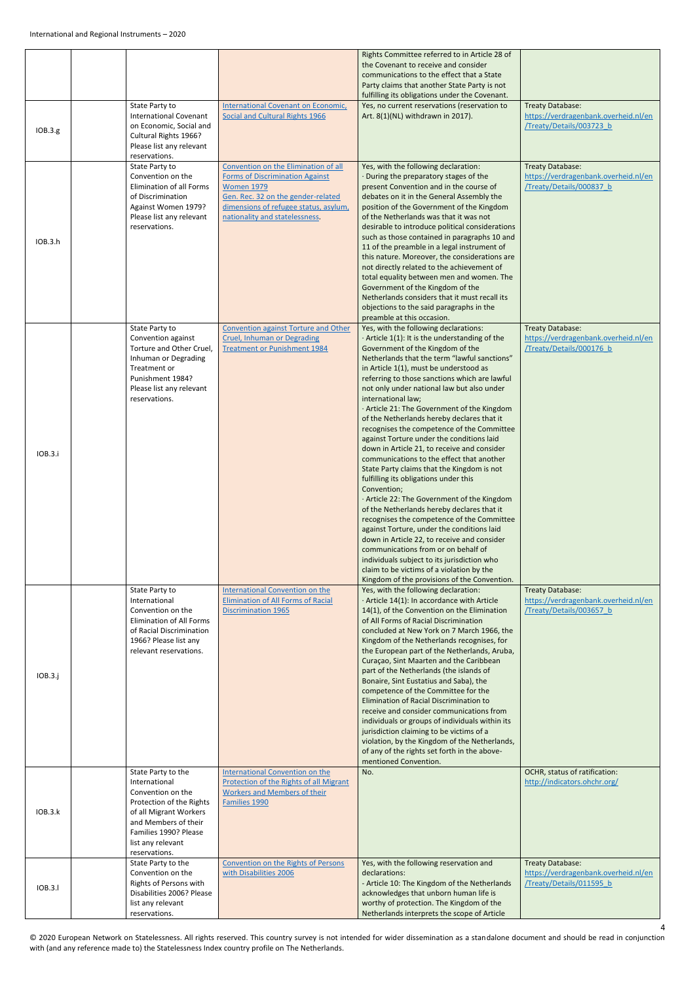|         |                                                             |                                                                            | Rights Committee referred to in Article 28 of                                                   |                                                                  |
|---------|-------------------------------------------------------------|----------------------------------------------------------------------------|-------------------------------------------------------------------------------------------------|------------------------------------------------------------------|
|         |                                                             |                                                                            | the Covenant to receive and consider                                                            |                                                                  |
|         |                                                             |                                                                            | communications to the effect that a State                                                       |                                                                  |
|         |                                                             |                                                                            | Party claims that another State Party is not<br>fulfilling its obligations under the Covenant.  |                                                                  |
|         | State Party to                                              | International Covenant on Economic,                                        | Yes, no current reservations (reservation to                                                    | Treaty Database:                                                 |
|         | <b>International Covenant</b>                               | Social and Cultural Rights 1966                                            | Art. 8(1)(NL) withdrawn in 2017).                                                               | https://verdragenbank.overheid.nl/en                             |
| IOB.3.g | on Economic, Social and                                     |                                                                            |                                                                                                 | /Treaty/Details/003723 b                                         |
|         | Cultural Rights 1966?<br>Please list any relevant           |                                                                            |                                                                                                 |                                                                  |
|         | reservations.                                               |                                                                            |                                                                                                 |                                                                  |
|         | State Party to                                              | Convention on the Elimination of all                                       | Yes, with the following declaration:                                                            | Treaty Database:                                                 |
|         | Convention on the<br><b>Elimination of all Forms</b>        | <b>Forms of Discrimination Against</b>                                     | · During the preparatory stages of the<br>present Convention and in the course of               | https://verdragenbank.overheid.nl/en<br>/Treaty/Details/000837 b |
|         | of Discrimination                                           | <b>Women 1979</b><br>Gen. Rec. 32 on the gender-related                    | debates on it in the General Assembly the                                                       |                                                                  |
|         | Against Women 1979?                                         | dimensions of refugee status, asylum,                                      | position of the Government of the Kingdom                                                       |                                                                  |
|         | Please list any relevant                                    | nationality and statelessness.                                             | of the Netherlands was that it was not                                                          |                                                                  |
|         | reservations.                                               |                                                                            | desirable to introduce political considerations<br>such as those contained in paragraphs 10 and |                                                                  |
| IOB.3.h |                                                             |                                                                            | 11 of the preamble in a legal instrument of                                                     |                                                                  |
|         |                                                             |                                                                            | this nature. Moreover, the considerations are                                                   |                                                                  |
|         |                                                             |                                                                            | not directly related to the achievement of                                                      |                                                                  |
|         |                                                             |                                                                            | total equality between men and women. The<br>Government of the Kingdom of the                   |                                                                  |
|         |                                                             |                                                                            | Netherlands considers that it must recall its                                                   |                                                                  |
|         |                                                             |                                                                            | objections to the said paragraphs in the                                                        |                                                                  |
|         |                                                             |                                                                            | preamble at this occasion.                                                                      |                                                                  |
|         | State Party to<br>Convention against                        | Convention against Torture and Other<br><b>Cruel, Inhuman or Degrading</b> | Yes, with the following declarations:<br>$\cdot$ Article 1(1): It is the understanding of the   | Treaty Database:<br>https://verdragenbank.overheid.nl/en         |
|         | Torture and Other Cruel,                                    | <b>Treatment or Punishment 1984</b>                                        | Government of the Kingdom of the                                                                | /Treaty/Details/000176 b                                         |
|         | Inhuman or Degrading                                        |                                                                            | Netherlands that the term "lawful sanctions"                                                    |                                                                  |
|         | Treatment or<br>Punishment 1984?                            |                                                                            | in Article 1(1), must be understood as<br>referring to those sanctions which are lawful         |                                                                  |
|         | Please list any relevant                                    |                                                                            | not only under national law but also under                                                      |                                                                  |
|         | reservations.                                               |                                                                            | international law;                                                                              |                                                                  |
|         |                                                             |                                                                            | · Article 21: The Government of the Kingdom<br>of the Netherlands hereby declares that it       |                                                                  |
|         |                                                             |                                                                            | recognises the competence of the Committee                                                      |                                                                  |
|         |                                                             |                                                                            | against Torture under the conditions laid                                                       |                                                                  |
| IOB.3.i |                                                             |                                                                            | down in Article 21, to receive and consider                                                     |                                                                  |
|         |                                                             |                                                                            | communications to the effect that another<br>State Party claims that the Kingdom is not         |                                                                  |
|         |                                                             |                                                                            | fulfilling its obligations under this                                                           |                                                                  |
|         |                                                             |                                                                            | Convention;                                                                                     |                                                                  |
|         |                                                             |                                                                            | · Article 22: The Government of the Kingdom<br>of the Netherlands hereby declares that it       |                                                                  |
|         |                                                             |                                                                            | recognises the competence of the Committee                                                      |                                                                  |
|         |                                                             |                                                                            | against Torture, under the conditions laid                                                      |                                                                  |
|         |                                                             |                                                                            | down in Article 22, to receive and consider<br>communications from or on behalf of              |                                                                  |
|         |                                                             |                                                                            | individuals subject to its jurisdiction who                                                     |                                                                  |
|         |                                                             |                                                                            | claim to be victims of a violation by the                                                       |                                                                  |
|         | State Party to                                              | <b>International Convention on the</b>                                     | Kingdom of the provisions of the Convention.<br>Yes, with the following declaration:            | Treaty Database:                                                 |
|         | International                                               | <b>Elimination of All Forms of Racial</b>                                  | · Article 14(1): In accordance with Article                                                     | https://verdragenbank.overheid.nl/en                             |
|         | Convention on the                                           | <b>Discrimination 1965</b>                                                 | 14(1), of the Convention on the Elimination                                                     | Treaty/Details/003657 b                                          |
|         | <b>Elimination of All Forms</b><br>of Racial Discrimination |                                                                            | of All Forms of Racial Discrimination<br>concluded at New York on 7 March 1966, the             |                                                                  |
|         | 1966? Please list any                                       |                                                                            | Kingdom of the Netherlands recognises, for                                                      |                                                                  |
|         | relevant reservations.                                      |                                                                            | the European part of the Netherlands, Aruba,                                                    |                                                                  |
|         |                                                             |                                                                            | Curaçao, Sint Maarten and the Caribbean<br>part of the Netherlands (the islands of              |                                                                  |
| IOB.3.j |                                                             |                                                                            | Bonaire, Sint Eustatius and Saba), the                                                          |                                                                  |
|         |                                                             |                                                                            | competence of the Committee for the                                                             |                                                                  |
|         |                                                             |                                                                            | Elimination of Racial Discrimination to<br>receive and consider communications from             |                                                                  |
|         |                                                             |                                                                            | individuals or groups of individuals within its                                                 |                                                                  |
|         |                                                             |                                                                            | jurisdiction claiming to be victims of a                                                        |                                                                  |
|         |                                                             |                                                                            | violation, by the Kingdom of the Netherlands,                                                   |                                                                  |
|         |                                                             |                                                                            | of any of the rights set forth in the above-<br>mentioned Convention.                           |                                                                  |
|         | State Party to the                                          | <b>International Convention on the</b>                                     | No.                                                                                             | OCHR, status of ratification:                                    |
|         | International<br>Convention on the                          | Protection of the Rights of all Migrant                                    |                                                                                                 | http://indicators.ohchr.org/                                     |
|         | Protection of the Rights                                    | <b>Workers and Members of their</b><br>Families 1990                       |                                                                                                 |                                                                  |
| IOB.3.k | of all Migrant Workers                                      |                                                                            |                                                                                                 |                                                                  |
|         | and Members of their                                        |                                                                            |                                                                                                 |                                                                  |
|         | Families 1990? Please<br>list any relevant                  |                                                                            |                                                                                                 |                                                                  |
|         | reservations.                                               |                                                                            |                                                                                                 |                                                                  |
|         | State Party to the                                          | Convention on the Rights of Persons                                        | Yes, with the following reservation and                                                         | <b>Treaty Database:</b>                                          |
|         | Convention on the<br>Rights of Persons with                 | with Disabilities 2006                                                     | declarations:<br>- Article 10: The Kingdom of the Netherlands                                   | https://verdragenbank.overheid.nl/en<br>/Treaty/Details/011595 b |
| IOB.3.1 | Disabilities 2006? Please                                   |                                                                            | acknowledges that unborn human life is                                                          |                                                                  |
|         | list any relevant                                           |                                                                            | worthy of protection. The Kingdom of the                                                        |                                                                  |
|         | reservations.                                               |                                                                            | Netherlands interprets the scope of Article                                                     |                                                                  |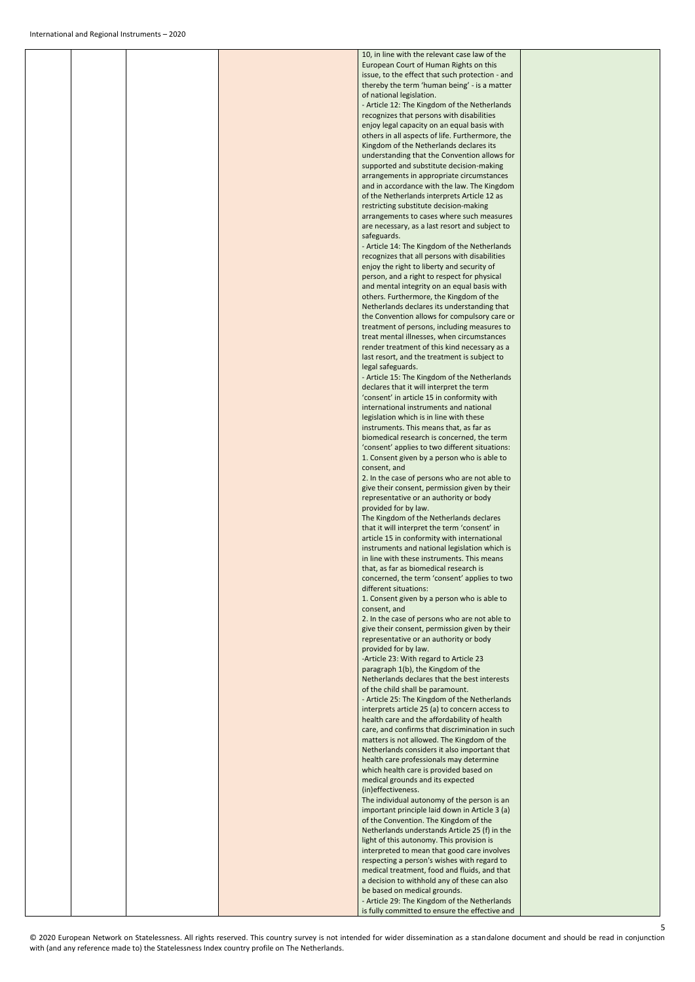|  |  | 10, in line with the relevant case law of the                                                  |  |
|--|--|------------------------------------------------------------------------------------------------|--|
|  |  | European Court of Human Rights on this                                                         |  |
|  |  | issue, to the effect that such protection - and                                                |  |
|  |  | thereby the term 'human being' - is a matter                                                   |  |
|  |  | of national legislation.                                                                       |  |
|  |  | - Article 12: The Kingdom of the Netherlands                                                   |  |
|  |  | recognizes that persons with disabilities                                                      |  |
|  |  | enjoy legal capacity on an equal basis with<br>others in all aspects of life. Furthermore, the |  |
|  |  | Kingdom of the Netherlands declares its                                                        |  |
|  |  | understanding that the Convention allows for                                                   |  |
|  |  | supported and substitute decision-making                                                       |  |
|  |  | arrangements in appropriate circumstances                                                      |  |
|  |  | and in accordance with the law. The Kingdom                                                    |  |
|  |  | of the Netherlands interprets Article 12 as                                                    |  |
|  |  | restricting substitute decision-making                                                         |  |
|  |  | arrangements to cases where such measures                                                      |  |
|  |  | are necessary, as a last resort and subject to                                                 |  |
|  |  | safeguards.                                                                                    |  |
|  |  | - Article 14: The Kingdom of the Netherlands                                                   |  |
|  |  | recognizes that all persons with disabilities                                                  |  |
|  |  | enjoy the right to liberty and security of                                                     |  |
|  |  | person, and a right to respect for physical<br>and mental integrity on an equal basis with     |  |
|  |  | others. Furthermore, the Kingdom of the                                                        |  |
|  |  | Netherlands declares its understanding that                                                    |  |
|  |  | the Convention allows for compulsory care or                                                   |  |
|  |  | treatment of persons, including measures to                                                    |  |
|  |  | treat mental illnesses, when circumstances                                                     |  |
|  |  | render treatment of this kind necessary as a                                                   |  |
|  |  | last resort, and the treatment is subject to                                                   |  |
|  |  | legal safeguards.                                                                              |  |
|  |  | - Article 15: The Kingdom of the Netherlands                                                   |  |
|  |  | declares that it will interpret the term                                                       |  |
|  |  | 'consent' in article 15 in conformity with                                                     |  |
|  |  | international instruments and national                                                         |  |
|  |  | legislation which is in line with these                                                        |  |
|  |  | instruments. This means that, as far as                                                        |  |
|  |  | biomedical research is concerned, the term                                                     |  |
|  |  | 'consent' applies to two different situations:<br>1. Consent given by a person who is able to  |  |
|  |  | consent, and                                                                                   |  |
|  |  | 2. In the case of persons who are not able to                                                  |  |
|  |  | give their consent, permission given by their                                                  |  |
|  |  | representative or an authority or body                                                         |  |
|  |  | provided for by law.                                                                           |  |
|  |  | The Kingdom of the Netherlands declares                                                        |  |
|  |  | that it will interpret the term 'consent' in                                                   |  |
|  |  | article 15 in conformity with international                                                    |  |
|  |  | instruments and national legislation which is                                                  |  |
|  |  | in line with these instruments. This means                                                     |  |
|  |  | that, as far as biomedical research is                                                         |  |
|  |  | concerned, the term 'consent' applies to two                                                   |  |
|  |  | different situations:                                                                          |  |
|  |  | 1. Consent given by a person who is able to                                                    |  |
|  |  | consent, and<br>2. In the case of persons who are not able to                                  |  |
|  |  | give their consent, permission given by their                                                  |  |
|  |  | representative or an authority or body                                                         |  |
|  |  | provided for by law.                                                                           |  |
|  |  | -Article 23: With regard to Article 23                                                         |  |
|  |  | paragraph 1(b), the Kingdom of the                                                             |  |
|  |  | Netherlands declares that the best interests                                                   |  |
|  |  | of the child shall be paramount.                                                               |  |
|  |  | - Article 25: The Kingdom of the Netherlands                                                   |  |
|  |  | interprets article 25 (a) to concern access to                                                 |  |
|  |  | health care and the affordability of health                                                    |  |
|  |  | care, and confirms that discrimination in such                                                 |  |

|  | matters is not allowed. The Kingdom of the     |  |
|--|------------------------------------------------|--|
|  | Netherlands considers it also important that   |  |
|  | health care professionals may determine        |  |
|  | which health care is provided based on         |  |
|  | medical grounds and its expected               |  |
|  | (in)effectiveness.                             |  |
|  | The individual autonomy of the person is an    |  |
|  | important principle laid down in Article 3 (a) |  |
|  | of the Convention. The Kingdom of the          |  |
|  | Netherlands understands Article 25 (f) in the  |  |
|  | light of this autonomy. This provision is      |  |
|  | interpreted to mean that good care involves    |  |
|  | respecting a person's wishes with regard to    |  |
|  | medical treatment, food and fluids, and that   |  |
|  | a decision to withhold any of these can also   |  |
|  | be based on medical grounds.                   |  |
|  | - Article 29: The Kingdom of the Netherlands   |  |
|  | is fully committed to ensure the effective and |  |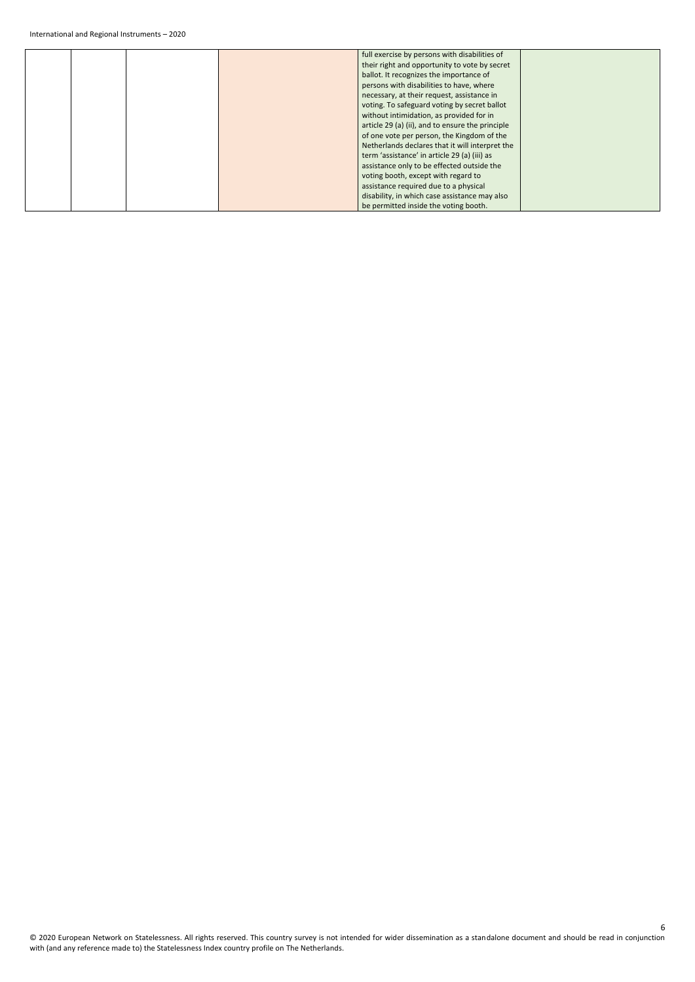|  | full exercise by persons with disabilities of    |  |
|--|--------------------------------------------------|--|
|  | their right and opportunity to vote by secret    |  |
|  |                                                  |  |
|  | ballot. It recognizes the importance of          |  |
|  | persons with disabilities to have, where         |  |
|  | necessary, at their request, assistance in       |  |
|  | voting. To safeguard voting by secret ballot     |  |
|  | without intimidation, as provided for in         |  |
|  | article 29 (a) (ii), and to ensure the principle |  |
|  | of one vote per person, the Kingdom of the       |  |
|  | Netherlands declares that it will interpret the  |  |
|  | term 'assistance' in article 29 (a) (iii) as     |  |
|  | assistance only to be effected outside the       |  |
|  | voting booth, except with regard to              |  |
|  | assistance required due to a physical            |  |
|  | disability, in which case assistance may also    |  |
|  | be permitted inside the voting booth.            |  |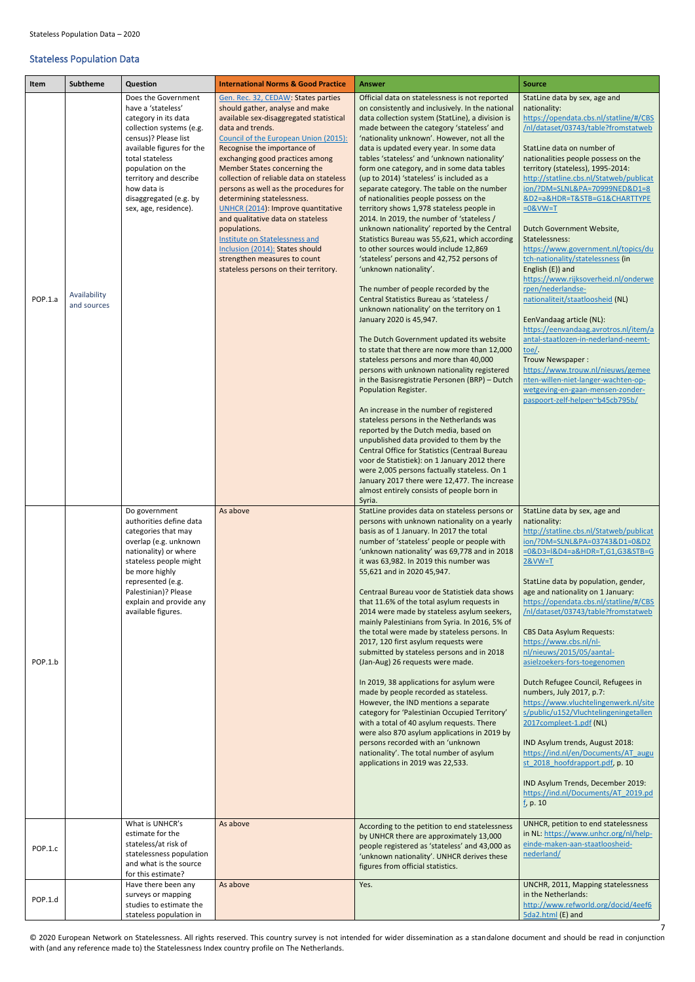© 2020 European Network on Statelessness. All rights reserved. This country survey is not intended for wider dissemination as a standalone document and should be read in conjunction with (and any reference made to) the Statelessness Index country profile on The Netherlands.

## <span id="page-6-0"></span>Stateless Population Data

<span id="page-6-1"></span>

| Item               | <b>Subtheme</b>             | Question                                                                                                                                                                                                                                                                                                                                                                                               | <b>International Norms &amp; Good Practice</b>                                                                                                                                                                                                                                                                                                                                                                                                                                                                                                                                                                                               | <b>Answer</b>                                                                                                                                                                                                                                                                                                                                                                                                                                                                                                                                                                                                                                                                                                                                                                                                                                                                                                                                                                                                                                                                                                                                                                                                                                                                                                                                                                                                                                                                                                                                                                                                                                                                                                   | <b>Source</b>                                                                                                                                                                                                                                                                                                                                                                                                                                                                                                                                                                                                                                                                                                                                                                                                                                                                                                                                                                            |
|--------------------|-----------------------------|--------------------------------------------------------------------------------------------------------------------------------------------------------------------------------------------------------------------------------------------------------------------------------------------------------------------------------------------------------------------------------------------------------|----------------------------------------------------------------------------------------------------------------------------------------------------------------------------------------------------------------------------------------------------------------------------------------------------------------------------------------------------------------------------------------------------------------------------------------------------------------------------------------------------------------------------------------------------------------------------------------------------------------------------------------------|-----------------------------------------------------------------------------------------------------------------------------------------------------------------------------------------------------------------------------------------------------------------------------------------------------------------------------------------------------------------------------------------------------------------------------------------------------------------------------------------------------------------------------------------------------------------------------------------------------------------------------------------------------------------------------------------------------------------------------------------------------------------------------------------------------------------------------------------------------------------------------------------------------------------------------------------------------------------------------------------------------------------------------------------------------------------------------------------------------------------------------------------------------------------------------------------------------------------------------------------------------------------------------------------------------------------------------------------------------------------------------------------------------------------------------------------------------------------------------------------------------------------------------------------------------------------------------------------------------------------------------------------------------------------------------------------------------------------|------------------------------------------------------------------------------------------------------------------------------------------------------------------------------------------------------------------------------------------------------------------------------------------------------------------------------------------------------------------------------------------------------------------------------------------------------------------------------------------------------------------------------------------------------------------------------------------------------------------------------------------------------------------------------------------------------------------------------------------------------------------------------------------------------------------------------------------------------------------------------------------------------------------------------------------------------------------------------------------|
| POP.1.a            | Availability<br>and sources | Does the Government<br>have a 'stateless'<br>category in its data<br>collection systems (e.g.<br>census)? Please list<br>available figures for the<br>total stateless<br>population on the<br>territory and describe<br>how data is<br>disaggregated (e.g. by<br>sex, age, residence).                                                                                                                 | Gen. Rec. 32, CEDAW: States parties<br>should gather, analyse and make<br>available sex-disaggregated statistical<br>data and trends.<br>Council of the European Union (2015):<br>Recognise the importance of<br>exchanging good practices among<br>Member States concerning the<br>collection of reliable data on stateless<br>persons as well as the procedures for<br>determining statelessness.<br>UNHCR (2014): Improve quantitative<br>and qualitative data on stateless<br>populations.<br>Institute on Statelessness and<br>Inclusion (2014): States should<br>strengthen measures to count<br>stateless persons on their territory. | Official data on statelessness is not reported<br>on consistently and inclusively. In the national<br>data collection system (StatLine), a division is<br>made between the category 'stateless' and<br>'nationality unknown'. However, not all the<br>data is updated every year. In some data<br>tables 'stateless' and 'unknown nationality'<br>form one category, and in some data tables<br>(up to 2014) 'stateless' is included as a<br>separate category. The table on the number<br>of nationalities people possess on the<br>territory shows 1,978 stateless people in<br>2014. In 2019, the number of 'stateless /<br>unknown nationality' reported by the Central<br>Statistics Bureau was 55,621, which according<br>to other sources would include 12,869<br>'stateless' persons and 42,752 persons of<br>'unknown nationality'.<br>The number of people recorded by the<br>Central Statistics Bureau as 'stateless /<br>unknown nationality' on the territory on 1<br>January 2020 is 45,947.<br>The Dutch Government updated its website<br>to state that there are now more than 12,000<br>stateless persons and more than 40,000<br>persons with unknown nationality registered<br>in the Basisregistratie Personen (BRP) - Dutch<br>Population Register.<br>An increase in the number of registered<br>stateless persons in the Netherlands was<br>reported by the Dutch media, based on<br>unpublished data provided to them by the<br>Central Office for Statistics (Centraal Bureau<br>voor de Statistiek): on 1 January 2012 there<br>were 2,005 persons factually stateless. On 1<br>January 2017 there were 12,477. The increase<br>almost entirely consists of people born in<br>Syria. | StatLine data by sex, age and<br>nationality:<br>https://opendata.cbs.nl/statline/#/CBS<br>/nl/dataset/03743/table?fromstatweb<br>StatLine data on number of<br>nationalities people possess on the<br>territory (stateless), 1995-2014:<br>http://statline.cbs.nl/Statweb/publicat<br>ion/?DM=SLNL&PA=70999NED&D1=8<br>&D2=a&HDR=T&STB=G1&CHARTTYPE<br>$=0$ &VW=T<br>Dutch Government Website,<br>Statelessness:<br>https://www.government.nl/topics/du<br>tch-nationality/statelessness (in<br>English (E)) and<br>https://www.rijksoverheid.nl/onderwe<br>rpen/nederlandse-<br>nationaliteit/staatloosheid (NL)<br>EenVandaag article (NL):<br>https://eenvandaag.avrotros.nl/item/a<br>antal-staatlozen-in-nederland-neemt-<br>toe/.<br>Trouw Newspaper:<br>https://www.trouw.nl/nieuws/gemee<br>nten-willen-niet-langer-wachten-op-<br>wetgeving-en-gaan-mensen-zonder-<br>paspoort-zelf-helpen~b45cb795b/                                                                          |
| POP.1.b<br>POP.1.c |                             | Do government<br>authorities define data<br>categories that may<br>overlap (e.g. unknown<br>nationality) or where<br>stateless people might<br>be more highly<br>represented (e.g.<br>Palestinian)? Please<br>explain and provide any<br>available figures.<br>What is UNHCR's<br>estimate for the<br>stateless/at risk of<br>statelessness population<br>and what is the source<br>for this estimate? | As above<br>As above                                                                                                                                                                                                                                                                                                                                                                                                                                                                                                                                                                                                                         | StatLine provides data on stateless persons or<br>persons with unknown nationality on a yearly<br>basis as of 1 January. In 2017 the total<br>number of 'stateless' people or people with<br>'unknown nationality' was 69,778 and in 2018<br>it was 63,982. In 2019 this number was<br>55,621 and in 2020 45,947.<br>Centraal Bureau voor de Statistiek data shows<br>that 11.6% of the total asylum requests in<br>2014 were made by stateless asylum seekers,<br>mainly Palestinians from Syria. In 2016, 5% of<br>the total were made by stateless persons. In<br>2017, 120 first asylum requests were<br>submitted by stateless persons and in 2018<br>(Jan-Aug) 26 requests were made.<br>In 2019, 38 applications for asylum were<br>made by people recorded as stateless.<br>However, the IND mentions a separate<br>category for 'Palestinian Occupied Territory'<br>with a total of 40 asylum requests. There<br>were also 870 asylum applications in 2019 by<br>persons recorded with an 'unknown<br>nationality'. The total number of asylum<br>applications in 2019 was 22,533.<br>According to the petition to end statelessness<br>by UNHCR there are approximately 13,000<br>people registered as 'stateless' and 43,000 as<br>'unknown nationality'. UNHCR derives these<br>figures from official statistics.                                                                                                                                                                                                                                                                                                                                                                                   | StatLine data by sex, age and<br>nationality:<br>http://statline.cbs.nl/Statweb/publicat<br>ion/?DM=SLNL&PA=03743&D1=0&D2<br>=0&D3=l&D4=a&HDR=T,G1,G3&STB=G<br>$2&VW=T$<br>StatLine data by population, gender,<br>age and nationality on 1 January:<br>https://opendata.cbs.nl/statline/#/CBS<br>/nl/dataset/03743/table?fromstatweb<br><b>CBS Data Asylum Requests:</b><br>https://www.cbs.nl/nl-<br>nl/nieuws/2015/05/aantal-<br>asielzoekers-fors-toegenomen<br>Dutch Refugee Council, Refugees in<br>numbers, July 2017, p.7:<br>https://www.vluchtelingenwerk.nl/site<br>s/public/u152/Vluchtelingeningetallen<br>2017compleet-1.pdf (NL)<br>IND Asylum trends, August 2018:<br>https://ind.nl/en/Documents/AT augu<br>st 2018 hoofdrapport.pdf, p. 10<br>IND Asylum Trends, December 2019:<br>https://ind.nl/Documents/AT 2019.pd<br>$f$ , p. 10<br>UNHCR, petition to end statelessness<br>in NL: https://www.unhcr.org/nl/help-<br>einde-maken-aan-staatloosheid-<br>nederland/ |
| POP.1.d            |                             | Have there been any<br>surveys or mapping<br>studies to estimate the<br>stateless population in                                                                                                                                                                                                                                                                                                        | As above                                                                                                                                                                                                                                                                                                                                                                                                                                                                                                                                                                                                                                     | Yes.                                                                                                                                                                                                                                                                                                                                                                                                                                                                                                                                                                                                                                                                                                                                                                                                                                                                                                                                                                                                                                                                                                                                                                                                                                                                                                                                                                                                                                                                                                                                                                                                                                                                                                            | UNCHR, 2011, Mapping statelessness<br>in the Netherlands:<br>http://www.refworld.org/docid/4eef6<br>5da2.html (E) and                                                                                                                                                                                                                                                                                                                                                                                                                                                                                                                                                                                                                                                                                                                                                                                                                                                                    |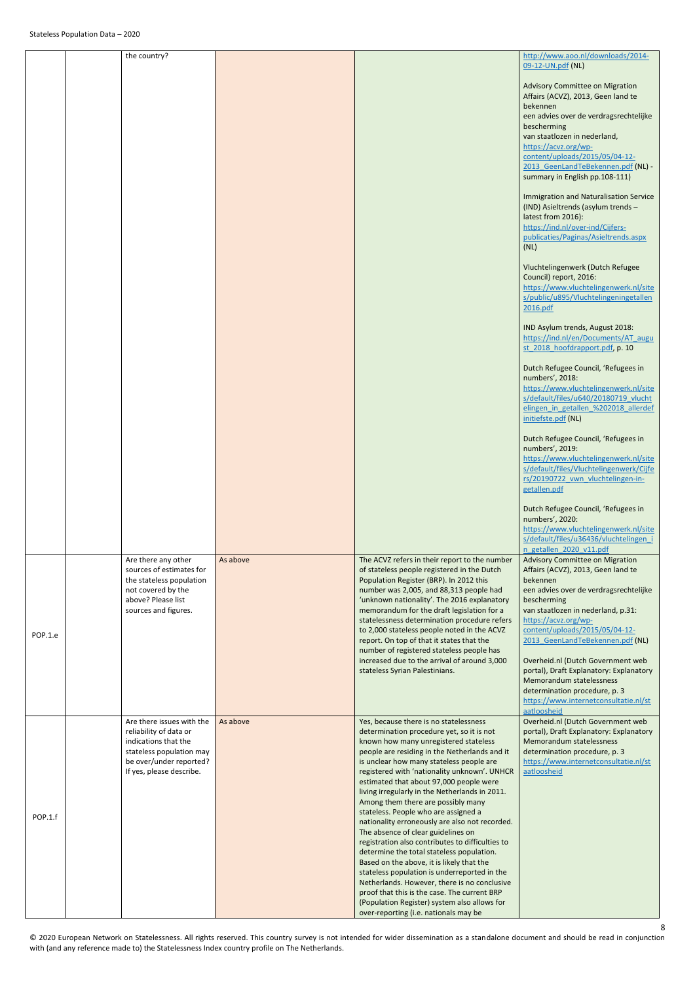|         | the country?                                                                                                                                                   |          |                                                                                                                                                                                                                                                                                                                                                                                                                                                                                                                                                                                                                                                                                                                                                                                                                                                                                            | http://www.aoo.nl/downloads/2014-<br>09-12-UN.pdf (NL)                                                                                                                                                                                                                                                                                                                                                                                                                                     |
|---------|----------------------------------------------------------------------------------------------------------------------------------------------------------------|----------|--------------------------------------------------------------------------------------------------------------------------------------------------------------------------------------------------------------------------------------------------------------------------------------------------------------------------------------------------------------------------------------------------------------------------------------------------------------------------------------------------------------------------------------------------------------------------------------------------------------------------------------------------------------------------------------------------------------------------------------------------------------------------------------------------------------------------------------------------------------------------------------------|--------------------------------------------------------------------------------------------------------------------------------------------------------------------------------------------------------------------------------------------------------------------------------------------------------------------------------------------------------------------------------------------------------------------------------------------------------------------------------------------|
|         |                                                                                                                                                                |          |                                                                                                                                                                                                                                                                                                                                                                                                                                                                                                                                                                                                                                                                                                                                                                                                                                                                                            | <b>Advisory Committee on Migration</b><br>Affairs (ACVZ), 2013, Geen land te<br>bekennen<br>een advies over de verdragsrechtelijke<br>bescherming<br>van staatlozen in nederland,<br>https://acvz.org/wp-<br>content/uploads/2015/05/04-12-<br>2013 GeenLandTeBekennen.pdf (NL) -<br>summary in English pp.108-111)                                                                                                                                                                        |
|         |                                                                                                                                                                |          |                                                                                                                                                                                                                                                                                                                                                                                                                                                                                                                                                                                                                                                                                                                                                                                                                                                                                            | <b>Immigration and Naturalisation Service</b><br>(IND) Asieltrends (asylum trends -<br>latest from 2016):<br>https://ind.nl/over-ind/Cijfers-<br>publicaties/Paginas/Asieltrends.aspx<br>(NL)                                                                                                                                                                                                                                                                                              |
|         |                                                                                                                                                                |          |                                                                                                                                                                                                                                                                                                                                                                                                                                                                                                                                                                                                                                                                                                                                                                                                                                                                                            | Vluchtelingenwerk (Dutch Refugee<br>Council) report, 2016:<br>https://www.vluchtelingenwerk.nl/site<br>s/public/u895/Vluchtelingeningetallen<br>2016.pdf                                                                                                                                                                                                                                                                                                                                   |
|         |                                                                                                                                                                |          |                                                                                                                                                                                                                                                                                                                                                                                                                                                                                                                                                                                                                                                                                                                                                                                                                                                                                            | IND Asylum trends, August 2018:<br>https://ind.nl/en/Documents/AT augu<br>st 2018 hoofdrapport.pdf, p. 10                                                                                                                                                                                                                                                                                                                                                                                  |
|         |                                                                                                                                                                |          |                                                                                                                                                                                                                                                                                                                                                                                                                                                                                                                                                                                                                                                                                                                                                                                                                                                                                            | Dutch Refugee Council, 'Refugees in<br>numbers', 2018:<br>https://www.vluchtelingenwerk.nl/site<br>s/default/files/u640/20180719 vlucht<br>elingen in getallen %202018 allerdef<br>initiefste.pdf (NL)                                                                                                                                                                                                                                                                                     |
|         |                                                                                                                                                                |          |                                                                                                                                                                                                                                                                                                                                                                                                                                                                                                                                                                                                                                                                                                                                                                                                                                                                                            | Dutch Refugee Council, 'Refugees in<br>numbers', 2019:<br>https://www.vluchtelingenwerk.nl/site<br>s/default/files/Vluchtelingenwerk/Cijfe<br>rs/20190722 vwn vluchtelingen-in-<br>getallen.pdf                                                                                                                                                                                                                                                                                            |
|         |                                                                                                                                                                |          |                                                                                                                                                                                                                                                                                                                                                                                                                                                                                                                                                                                                                                                                                                                                                                                                                                                                                            | Dutch Refugee Council, 'Refugees in<br>numbers', 2020:<br>https://www.vluchtelingenwerk.nl/site<br>s/default/files/u36436/vluchtelingen i<br>n getallen 2020 v11.pdf                                                                                                                                                                                                                                                                                                                       |
| POP.1.e | Are there any other<br>sources of estimates for<br>the stateless population<br>not covered by the<br>above? Please list<br>sources and figures.                | As above | The ACVZ refers in their report to the number<br>of stateless people registered in the Dutch<br>Population Register (BRP). In 2012 this<br>number was 2,005, and 88,313 people had<br>'unknown nationality'. The 2016 explanatory<br>memorandum for the draft legislation for a<br>statelessness determination procedure refers<br>to 2,000 stateless people noted in the ACVZ<br>report. On top of that it states that the<br>number of registered stateless people has<br>increased due to the arrival of around 3,000<br>stateless Syrian Palestinians.                                                                                                                                                                                                                                                                                                                                 | <b>Advisory Committee on Migration</b><br>Affairs (ACVZ), 2013, Geen land te<br>bekennen<br>een advies over de verdragsrechtelijke<br>bescherming<br>van staatlozen in nederland, p.31:<br>https://acvz.org/wp-<br>content/uploads/2015/05/04-12-<br>2013 GeenLandTeBekennen.pdf (NL)<br>Overheid.nl (Dutch Government web<br>portal), Draft Explanatory: Explanatory<br>Memorandum statelessness<br>determination procedure, p. 3<br>https://www.internetconsultatie.nl/st<br>aatloosheid |
| POP.1.f | Are there issues with the<br>reliability of data or<br>indications that the<br>stateless population may<br>be over/under reported?<br>If yes, please describe. | As above | Yes, because there is no statelessness<br>determination procedure yet, so it is not<br>known how many unregistered stateless<br>people are residing in the Netherlands and it<br>is unclear how many stateless people are<br>registered with 'nationality unknown'. UNHCR<br>estimated that about 97,000 people were<br>living irregularly in the Netherlands in 2011.<br>Among them there are possibly many<br>stateless. People who are assigned a<br>nationality erroneously are also not recorded.<br>The absence of clear guidelines on<br>registration also contributes to difficulties to<br>determine the total stateless population.<br>Based on the above, it is likely that the<br>stateless population is underreported in the<br>Netherlands. However, there is no conclusive<br>proof that this is the case. The current BRP<br>(Population Register) system also allows for | Overheid.nl (Dutch Government web<br>portal), Draft Explanatory: Explanatory<br>Memorandum statelessness<br>determination procedure, p. 3<br>https://www.internetconsultatie.nl/st<br>aatloosheid                                                                                                                                                                                                                                                                                          |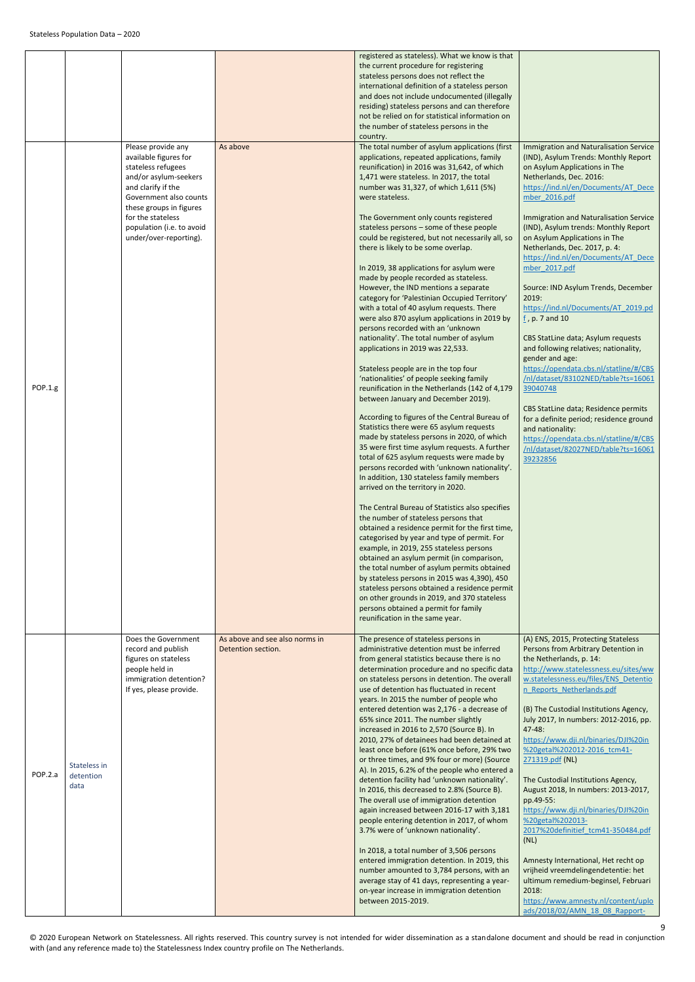<span id="page-8-0"></span>

|         |                                   |                                                                                                                                                                                                                                                   |                                                      | registered as stateless). What we know is that<br>the current procedure for registering<br>stateless persons does not reflect the<br>international definition of a stateless person<br>and does not include undocumented (illegally<br>residing) stateless persons and can therefore<br>not be relied on for statistical information on<br>the number of stateless persons in the<br>country.                                                                                                                                                                                                                                                                                                                                                                                                                                                                                                                                                                                                                                                                                                                                                                                                                                                                                                                                                                                                                                                                                                                                                                                                                                                                                                                                                                                                                                                                                                                                                                 |                                                                                                                                                                                                                                                                                                                                                                                                                                                                                                                                                                                                                                                                                                                                                                                                                                                                                                                                                         |
|---------|-----------------------------------|---------------------------------------------------------------------------------------------------------------------------------------------------------------------------------------------------------------------------------------------------|------------------------------------------------------|---------------------------------------------------------------------------------------------------------------------------------------------------------------------------------------------------------------------------------------------------------------------------------------------------------------------------------------------------------------------------------------------------------------------------------------------------------------------------------------------------------------------------------------------------------------------------------------------------------------------------------------------------------------------------------------------------------------------------------------------------------------------------------------------------------------------------------------------------------------------------------------------------------------------------------------------------------------------------------------------------------------------------------------------------------------------------------------------------------------------------------------------------------------------------------------------------------------------------------------------------------------------------------------------------------------------------------------------------------------------------------------------------------------------------------------------------------------------------------------------------------------------------------------------------------------------------------------------------------------------------------------------------------------------------------------------------------------------------------------------------------------------------------------------------------------------------------------------------------------------------------------------------------------------------------------------------------------|---------------------------------------------------------------------------------------------------------------------------------------------------------------------------------------------------------------------------------------------------------------------------------------------------------------------------------------------------------------------------------------------------------------------------------------------------------------------------------------------------------------------------------------------------------------------------------------------------------------------------------------------------------------------------------------------------------------------------------------------------------------------------------------------------------------------------------------------------------------------------------------------------------------------------------------------------------|
| POP.1.g |                                   | Please provide any<br>available figures for<br>stateless refugees<br>and/or asylum-seekers<br>and clarify if the<br>Government also counts<br>these groups in figures<br>for the stateless<br>population (i.e. to avoid<br>under/over-reporting). | As above                                             | The total number of asylum applications (first<br>applications, repeated applications, family<br>reunification) in 2016 was 31,642, of which<br>1,471 were stateless. In 2017, the total<br>number was 31,327, of which 1,611 (5%)<br>were stateless.<br>The Government only counts registered<br>stateless persons - some of these people<br>could be registered, but not necessarily all, so<br>there is likely to be some overlap.<br>In 2019, 38 applications for asylum were<br>made by people recorded as stateless.<br>However, the IND mentions a separate<br>category for 'Palestinian Occupied Territory'<br>with a total of 40 asylum requests. There<br>were also 870 asylum applications in 2019 by<br>persons recorded with an 'unknown<br>nationality'. The total number of asylum<br>applications in 2019 was 22,533.<br>Stateless people are in the top four<br>'nationalities' of people seeking family<br>reunification in the Netherlands (142 of 4,179<br>between January and December 2019).<br>According to figures of the Central Bureau of<br>Statistics there were 65 asylum requests<br>made by stateless persons in 2020, of which<br>35 were first time asylum requests. A further<br>total of 625 asylum requests were made by<br>persons recorded with 'unknown nationality'.<br>In addition, 130 stateless family members<br>arrived on the territory in 2020.<br>The Central Bureau of Statistics also specifies<br>the number of stateless persons that<br>obtained a residence permit for the first time,<br>categorised by year and type of permit. For<br>example, in 2019, 255 stateless persons<br>obtained an asylum permit (in comparison,<br>the total number of asylum permits obtained<br>by stateless persons in 2015 was 4,390), 450<br>stateless persons obtained a residence permit<br>on other grounds in 2019, and 370 stateless<br>persons obtained a permit for family<br>reunification in the same year. | <b>Immigration and Naturalisation Service</b><br>(IND), Asylum Trends: Monthly Report<br>on Asylum Applications in The<br>Netherlands, Dec. 2016:<br>https://ind.nl/en/Documents/AT_Dece<br>mber 2016.pdf<br><b>Immigration and Naturalisation Service</b><br>(IND), Asylum trends: Monthly Report<br>on Asylum Applications in The<br>Netherlands, Dec. 2017, p. 4:<br>https://ind.nl/en/Documents/AT Dece<br>mber 2017.pdf<br>Source: IND Asylum Trends, December<br>2019:<br>https://ind.nl/Documents/AT 2019.pd<br>$\underline{f}$ , p. 7 and 10<br>CBS StatLine data; Asylum requests<br>and following relatives; nationality,<br>gender and age:<br>https://opendata.cbs.nl/statline/#/CBS<br>/nl/dataset/83102NED/table?ts=16061<br>39040748<br>CBS StatLine data; Residence permits<br>for a definite period; residence ground<br>and nationality:<br>https://opendata.cbs.nl/statline/#/CBS<br>/nl/dataset/82027NED/table?ts=16061<br>39232856 |
| POP.2.a | Stateless in<br>detention<br>data | Does the Government<br>record and publish<br>figures on stateless<br>people held in<br>immigration detention?<br>If yes, please provide.                                                                                                          | As above and see also norms in<br>Detention section. | The presence of stateless persons in<br>administrative detention must be inferred<br>from general statistics because there is no<br>determination procedure and no specific data<br>on stateless persons in detention. The overall<br>use of detention has fluctuated in recent<br>years. In 2015 the number of people who<br>entered detention was 2,176 - a decrease of<br>65% since 2011. The number slightly<br>increased in 2016 to 2,570 (Source B). In<br>2010, 27% of detainees had been detained at<br>least once before (61% once before, 29% two<br>or three times, and 9% four or more) (Source<br>A). In 2015, 6.2% of the people who entered a<br>detention facility had 'unknown nationality'.<br>In 2016, this decreased to 2.8% (Source B).<br>The overall use of immigration detention<br>again increased between 2016-17 with 3,181<br>people entering detention in 2017, of whom<br>3.7% were of 'unknown nationality'.<br>In 2018, a total number of 3,506 persons<br>entered immigration detention. In 2019, this<br>number amounted to 3,784 persons, with an<br>average stay of 41 days, representing a year-<br>on-year increase in immigration detention<br>between 2015-2019.                                                                                                                                                                                                                                                                                                                                                                                                                                                                                                                                                                                                                                                                                                                                                      | (A) ENS, 2015, Protecting Stateless<br>Persons from Arbitrary Detention in<br>the Netherlands, p. 14:<br>http://www.statelessness.eu/sites/ww<br>w.statelessness.eu/files/ENS Detentio<br>n Reports Netherlands.pdf<br>(B) The Custodial Institutions Agency,<br>July 2017, In numbers: 2012-2016, pp.<br>$47 - 48:$<br>https://www.dji.nl/binaries/DJI%20in<br>%20getal%202012-2016 tcm41-<br>271319.pdf (NL)<br>The Custodial Institutions Agency,<br>August 2018, In numbers: 2013-2017,<br>pp.49-55:<br>https://www.dji.nl/binaries/DJI%20in<br>%20getal%202013-<br>2017%20definitief tcm41-350484.pdf<br>(NL)<br>Amnesty International, Het recht op<br>vrijheid vreemdelingendetentie: het<br>ultimum remedium-beginsel, Februari<br>2018:<br>https://www.amnesty.nl/content/uplo<br>ads/2018/02/AMN 18 08 Rapport-                                                                                                                               |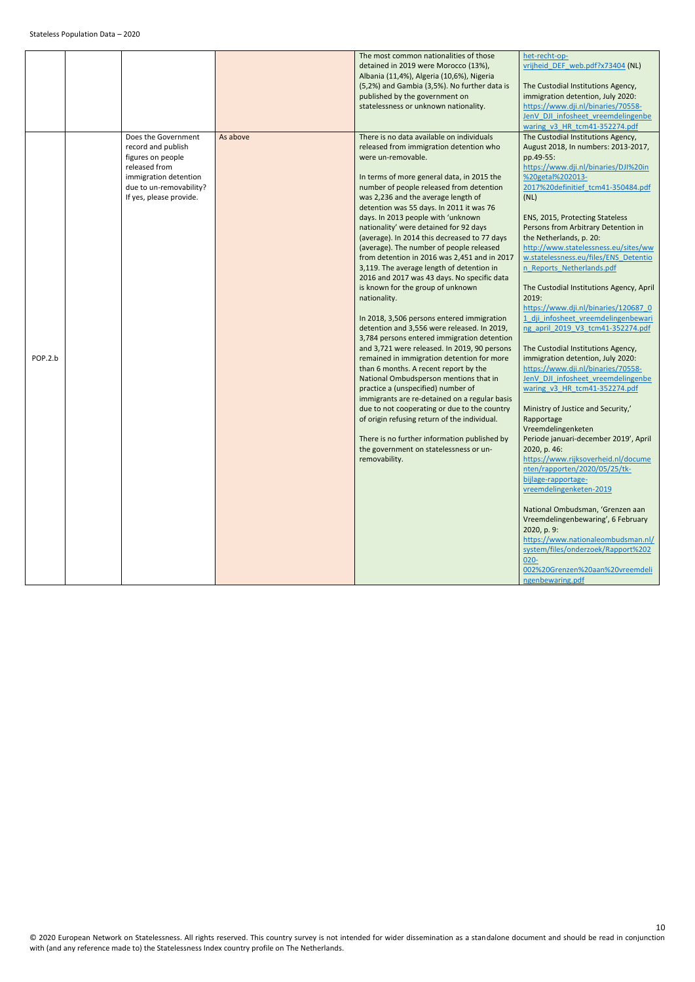|         |                                                                                                                                                                |          | The most common nationalities of those<br>detained in 2019 were Morocco (13%),<br>Albania (11,4%), Algeria (10,6%), Nigeria<br>(5,2%) and Gambia (3,5%). No further data is<br>published by the government on<br>statelessness or unknown nationality.                                                                                                                                                                                                                                                                                                                                                                                                                                                                                                                                                                                                                                                                                                                                                                                                                                                                                                                                                                                                                                              | het-recht-op-<br>vrijheid DEF web.pdf?x73404 (NL)<br>The Custodial Institutions Agency,<br>immigration detention, July 2020:<br>https://www.dji.nl/binaries/70558-                                                                                                                                                                                                                                                                                                                                                                                                                                                                                                                                                                                                                                                                                                                                                                                                                                                                                                                                                                                                                                                                                                                       |
|---------|----------------------------------------------------------------------------------------------------------------------------------------------------------------|----------|-----------------------------------------------------------------------------------------------------------------------------------------------------------------------------------------------------------------------------------------------------------------------------------------------------------------------------------------------------------------------------------------------------------------------------------------------------------------------------------------------------------------------------------------------------------------------------------------------------------------------------------------------------------------------------------------------------------------------------------------------------------------------------------------------------------------------------------------------------------------------------------------------------------------------------------------------------------------------------------------------------------------------------------------------------------------------------------------------------------------------------------------------------------------------------------------------------------------------------------------------------------------------------------------------------|------------------------------------------------------------------------------------------------------------------------------------------------------------------------------------------------------------------------------------------------------------------------------------------------------------------------------------------------------------------------------------------------------------------------------------------------------------------------------------------------------------------------------------------------------------------------------------------------------------------------------------------------------------------------------------------------------------------------------------------------------------------------------------------------------------------------------------------------------------------------------------------------------------------------------------------------------------------------------------------------------------------------------------------------------------------------------------------------------------------------------------------------------------------------------------------------------------------------------------------------------------------------------------------|
|         |                                                                                                                                                                |          |                                                                                                                                                                                                                                                                                                                                                                                                                                                                                                                                                                                                                                                                                                                                                                                                                                                                                                                                                                                                                                                                                                                                                                                                                                                                                                     | JenV DJI infosheet vreemdelingenbe<br>waring v3 HR tcm41-352274.pdf                                                                                                                                                                                                                                                                                                                                                                                                                                                                                                                                                                                                                                                                                                                                                                                                                                                                                                                                                                                                                                                                                                                                                                                                                      |
| POP.2.b | Does the Government<br>record and publish<br>figures on people<br>released from<br>immigration detention<br>due to un-removability?<br>If yes, please provide. | As above | There is no data available on individuals<br>released from immigration detention who<br>were un-removable.<br>In terms of more general data, in 2015 the<br>number of people released from detention<br>was 2,236 and the average length of<br>detention was 55 days. In 2011 it was 76<br>days. In 2013 people with 'unknown<br>nationality' were detained for 92 days<br>(average). In 2014 this decreased to 77 days<br>(average). The number of people released<br>from detention in 2016 was 2,451 and in 2017<br>3,119. The average length of detention in<br>2016 and 2017 was 43 days. No specific data<br>is known for the group of unknown<br>nationality.<br>In 2018, 3,506 persons entered immigration<br>detention and 3,556 were released. In 2019,<br>3,784 persons entered immigration detention<br>and 3,721 were released. In 2019, 90 persons<br>remained in immigration detention for more<br>than 6 months. A recent report by the<br>National Ombudsperson mentions that in<br>practice a (unspecified) number of<br>immigrants are re-detained on a regular basis<br>due to not cooperating or due to the country<br>of origin refusing return of the individual.<br>There is no further information published by<br>the government on statelessness or un-<br>removability. | The Custodial Institutions Agency,<br>August 2018, In numbers: 2013-2017,<br>pp.49-55:<br>https://www.dji.nl/binaries/DJI%20in<br>%20getal%202013-<br>2017%20definitief tcm41-350484.pdf<br>(NL)<br>ENS, 2015, Protecting Stateless<br>Persons from Arbitrary Detention in<br>the Netherlands, p. 20:<br>http://www.statelessness.eu/sites/ww<br>w.statelessness.eu/files/ENS Detentio<br>n Reports Netherlands.pdf<br>The Custodial Institutions Agency, April<br>2019:<br>https://www.dji.nl/binaries/120687 0<br>1 dji infosheet vreemdelingenbewari<br>ng april 2019 V3 tcm41-352274.pdf<br>The Custodial Institutions Agency,<br>immigration detention, July 2020:<br>https://www.dji.nl/binaries/70558-<br>JenV DJI infosheet vreemdelingenbe<br>waring v3 HR tcm41-352274.pdf<br>Ministry of Justice and Security,'<br>Rapportage<br>Vreemdelingenketen<br>Periode januari-december 2019', April<br>2020, p. 46:<br>https://www.rijksoverheid.nl/docume<br>nten/rapporten/2020/05/25/tk-<br>bijlage-rapportage-<br>vreemdelingenketen-2019<br>National Ombudsman, 'Grenzen aan<br>Vreemdelingenbewaring', 6 February<br>2020, p. 9:<br>https://www.nationaleombudsman.nl/<br>system/files/onderzoek/Rapport%202<br>$020 -$<br>002%20Grenzen%20aan%20vreemdeli<br>ngenbewaring.pdf |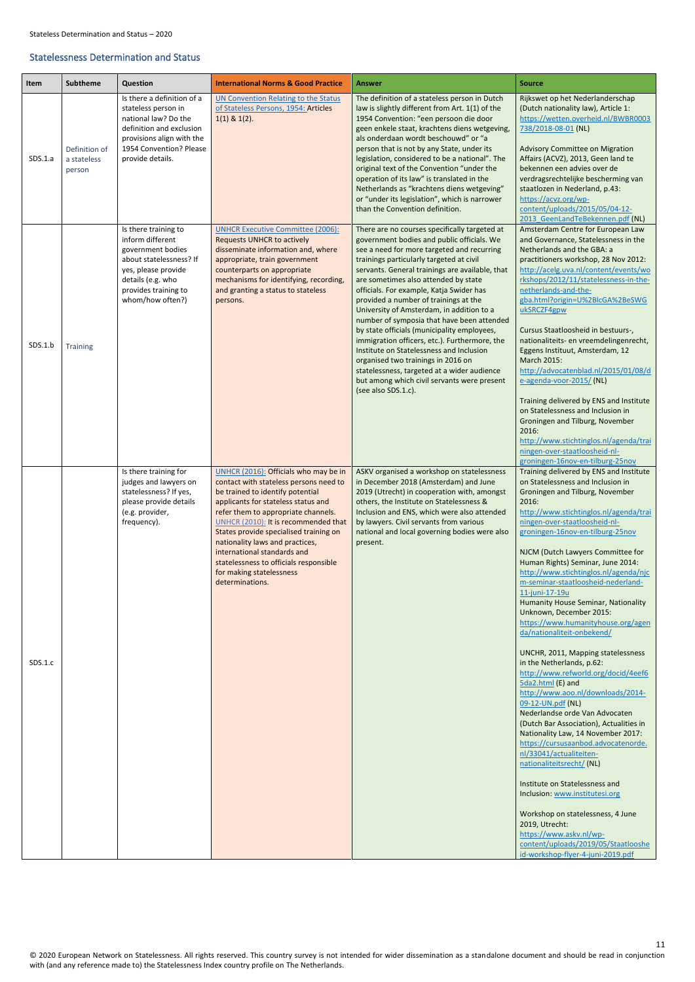© 2020 European Network on Statelessness. All rights reserved. This country survey is not intended for wider dissemination as a standalone document and should be read in conjunction with (and any reference made to) the Statelessness Index country profile on The Netherlands.

### <span id="page-10-0"></span>Statelessness Determination and Status

<span id="page-10-2"></span><span id="page-10-1"></span>

| Item    | <b>Subtheme</b>                        | Question                                                                                                                                                                          | <b>International Norms &amp; Good Practice</b>                                                                                                                                                                                                                                                                                                                                                                                                 | Answer                                                                                                                                                                                                                                                                                                                                                                                                                                                                                                                                                                                                                                                                                                                                                                  | <b>Source</b>                                                                                                                                                                                                                                                                                                                                                                                                                                                                                                                                                                                                                                                                                                                                                                                                                                                                                                                                                                                                                                                                                                                                                                                        |
|---------|----------------------------------------|-----------------------------------------------------------------------------------------------------------------------------------------------------------------------------------|------------------------------------------------------------------------------------------------------------------------------------------------------------------------------------------------------------------------------------------------------------------------------------------------------------------------------------------------------------------------------------------------------------------------------------------------|-------------------------------------------------------------------------------------------------------------------------------------------------------------------------------------------------------------------------------------------------------------------------------------------------------------------------------------------------------------------------------------------------------------------------------------------------------------------------------------------------------------------------------------------------------------------------------------------------------------------------------------------------------------------------------------------------------------------------------------------------------------------------|------------------------------------------------------------------------------------------------------------------------------------------------------------------------------------------------------------------------------------------------------------------------------------------------------------------------------------------------------------------------------------------------------------------------------------------------------------------------------------------------------------------------------------------------------------------------------------------------------------------------------------------------------------------------------------------------------------------------------------------------------------------------------------------------------------------------------------------------------------------------------------------------------------------------------------------------------------------------------------------------------------------------------------------------------------------------------------------------------------------------------------------------------------------------------------------------------|
| SDS.1.a | Definition of<br>a stateless<br>person | Is there a definition of a<br>stateless person in<br>national law? Do the<br>definition and exclusion<br>provisions align with the<br>1954 Convention? Please<br>provide details. | <b>UN Convention Relating to the Status</b><br>of Stateless Persons, 1954: Articles<br>$1(1)$ & $1(2)$ .                                                                                                                                                                                                                                                                                                                                       | The definition of a stateless person in Dutch<br>law is slightly different from Art. 1(1) of the<br>1954 Convention: "een persoon die door<br>geen enkele staat, krachtens diens wetgeving,<br>als onderdaan wordt beschouwd" or "a<br>person that is not by any State, under its<br>legislation, considered to be a national". The<br>original text of the Convention "under the<br>operation of its law" is translated in the<br>Netherlands as "krachtens diens wetgeving"<br>or "under its legislation", which is narrower<br>than the Convention definition.                                                                                                                                                                                                       | Rijkswet op het Nederlanderschap<br>(Dutch nationality law), Article 1:<br>https://wetten.overheid.nl/BWBR0003<br>738/2018-08-01 (NL)<br><b>Advisory Committee on Migration</b><br>Affairs (ACVZ), 2013, Geen land te<br>bekennen een advies over de<br>verdragsrechtelijke bescherming van<br>staatlozen in Nederland, p.43:<br>https://acvz.org/wp-<br>content/uploads/2015/05/04-12-<br>2013 GeenLandTeBekennen.pdf (NL)                                                                                                                                                                                                                                                                                                                                                                                                                                                                                                                                                                                                                                                                                                                                                                          |
| SDS.1.b | <b>Training</b>                        | Is there training to<br>inform different<br>government bodies<br>about statelessness? If<br>yes, please provide<br>details (e.g. who<br>provides training to<br>whom/how often?)  | <b>UNHCR Executive Committee (2006):</b><br><b>Requests UNHCR to actively</b><br>disseminate information and, where<br>appropriate, train government<br>counterparts on appropriate<br>mechanisms for identifying, recording,<br>and granting a status to stateless<br>persons.                                                                                                                                                                | There are no courses specifically targeted at<br>government bodies and public officials. We<br>see a need for more targeted and recurring<br>trainings particularly targeted at civil<br>servants. General trainings are available, that<br>are sometimes also attended by state<br>officials. For example, Katja Swider has<br>provided a number of trainings at the<br>University of Amsterdam, in addition to a<br>number of symposia that have been attended<br>by state officials (municipality employees,<br>immigration officers, etc.). Furthermore, the<br>Institute on Statelessness and Inclusion<br>organised two trainings in 2016 on<br>statelessness, targeted at a wider audience<br>but among which civil servants were present<br>(see also SDS.1.c). | Amsterdam Centre for European Law<br>and Governance, Statelessness in the<br>Netherlands and the GBA: a<br>practitioners workshop, 28 Nov 2012:<br>http://acelg.uva.nl/content/events/wo<br>rkshops/2012/11/statelessness-in-the-<br>netherlands-and-the-<br>gba.html?origin=U%2BlcGA%2BeSWG<br>ukSRCZF4gpw<br>Cursus Staatloosheid in bestuurs-,<br>nationaliteits- en vreemdelingenrecht,<br>Eggens Instituut, Amsterdam, 12<br>March 2015:<br>http://advocatenblad.nl/2015/01/08/d<br>e-agenda-voor-2015/(NL)<br>Training delivered by ENS and Institute<br>on Statelessness and Inclusion in<br>Groningen and Tilburg, November<br>2016:<br>http://www.stichtinglos.nl/agenda/trai<br>ningen-over-staatloosheid-nl-<br>groningen-16nov-en-tilburg-25nov                                                                                                                                                                                                                                                                                                                                                                                                                                          |
| SDS.1.c |                                        | Is there training for<br>judges and lawyers on<br>statelessness? If yes,<br>please provide details<br>(e.g. provider,<br>frequency).                                              | UNHCR (2016): Officials who may be in<br>contact with stateless persons need to<br>be trained to identify potential<br>applicants for stateless status and<br>refer them to appropriate channels.<br>UNHCR (2010): It is recommended that<br>States provide specialised training on<br>nationality laws and practices,<br>international standards and<br>statelessness to officials responsible<br>for making statelessness<br>determinations. | ASKV organised a workshop on statelessness<br>in December 2018 (Amsterdam) and June<br>2019 (Utrecht) in cooperation with, amongst<br>others, the Institute on Statelessness &<br>Inclusion and ENS, which were also attended<br>by lawyers. Civil servants from various<br>national and local governing bodies were also<br>present.                                                                                                                                                                                                                                                                                                                                                                                                                                   | Training delivered by ENS and Institute<br>on Statelessness and Inclusion in<br>Groningen and Tilburg, November<br>2016:<br>http://www.stichtinglos.nl/agenda/trai<br>ningen-over-staatloosheid-nl-<br>groningen-16nov-en-tilburg-25nov<br>NJCM (Dutch Lawyers Committee for<br>Human Rights) Seminar, June 2014:<br>http://www.stichtinglos.nl/agenda/njc<br>m-seminar-staatloosheid-nederland-<br>11-juni-17-19u<br>Humanity House Seminar, Nationality<br>Unknown, December 2015:<br>https://www.humanityhouse.org/agen<br>da/nationaliteit-onbekend/<br>UNCHR, 2011, Mapping statelessness<br>in the Netherlands, p.62:<br>http://www.refworld.org/docid/4eef6<br>5da2.html (E) and<br>http://www.aoo.nl/downloads/2014-<br>09-12-UN.pdf (NL)<br>Nederlandse orde Van Advocaten<br>(Dutch Bar Association), Actualities in<br>Nationality Law, 14 November 2017:<br>https://cursusaanbod.advocatenorde.<br>nl/33041/actualiteiten-<br>nationaliteitsrecht/(NL)<br>Institute on Statelessness and<br>Inclusion: www.institutesi.org<br>Workshop on statelessness, 4 June<br>2019, Utrecht:<br>https://www.askv.nl/wp-<br>content/uploads/2019/05/Staatlooshe<br>id-workshop-flyer-4-juni-2019.pdf |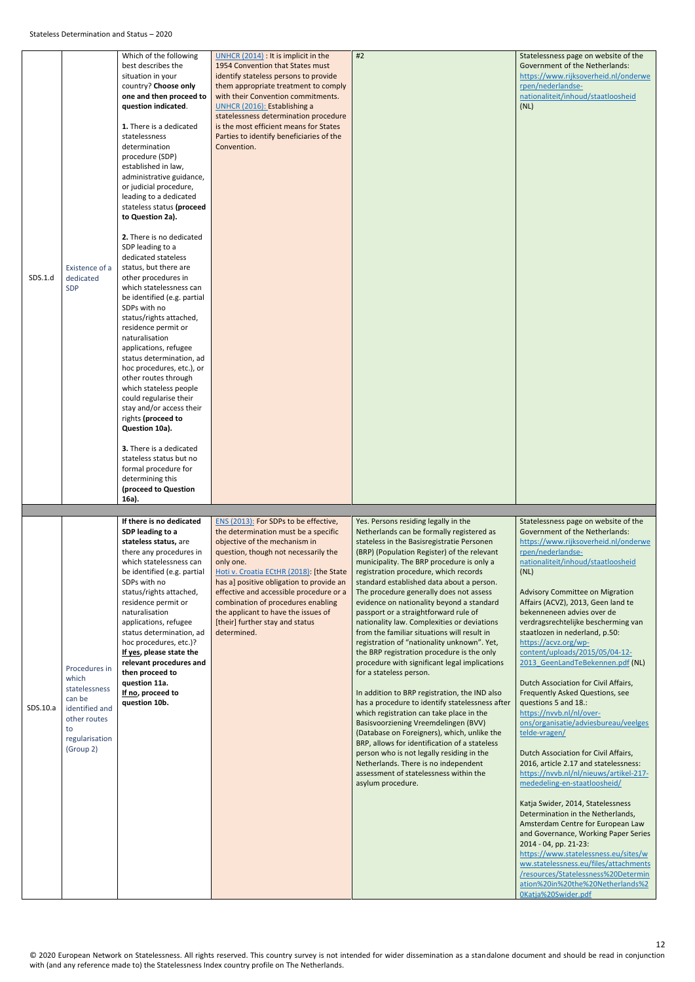<span id="page-11-1"></span><span id="page-11-0"></span>

| SDS.1.d  | Existence of a<br>dedicated<br><b>SDP</b>                                                                                | Which of the following<br>best describes the<br>situation in your<br>country? Choose only<br>one and then proceed to<br>question indicated.<br>1. There is a dedicated<br>statelessness<br>determination<br>procedure (SDP)<br>established in law,<br>administrative guidance,<br>or judicial procedure,<br>leading to a dedicated<br>stateless status (proceed<br>to Question 2a).<br>2. There is no dedicated<br>SDP leading to a<br>dedicated stateless<br>status, but there are<br>other procedures in<br>which statelessness can<br>be identified (e.g. partial<br>SDPs with no<br>status/rights attached,<br>residence permit or<br>naturalisation<br>applications, refugee<br>status determination, ad<br>hoc procedures, etc.), or<br>other routes through<br>which stateless people<br>could regularise their<br>stay and/or access their<br>rights (proceed to<br>Question 10a).<br><b>3.</b> There is a dedicated<br>stateless status but no<br>formal procedure for<br>determining this<br>(proceed to Question | UNHCR (2014) : It is implicit in the<br>1954 Convention that States must<br>identify stateless persons to provide<br>them appropriate treatment to comply<br>with their Convention commitments.<br>UNHCR (2016): Establishing a<br>statelessness determination procedure<br>is the most efficient means for States<br>Parties to identify beneficiaries of the<br>Convention.                                                         | #2                                                                                                                                                                                                                                                                                                                                                                                                                                                                                                                                                                                                                                                                                                                                                                                                                                                                                                                                                                                                                                                                                                                                                                    | Statelessness page on website of the<br><b>Government of the Netherlands:</b><br>https://www.rijksoverheid.nl/onderwe<br>rpen/nederlandse-<br>nationaliteit/inhoud/staatloosheid<br>(NL)                                                                                                                                                                                                                                                                                                                                                                                                                                                                                                                                                                                                                                                                                                                                                                                                                                                                                                                                                                                            |
|----------|--------------------------------------------------------------------------------------------------------------------------|-----------------------------------------------------------------------------------------------------------------------------------------------------------------------------------------------------------------------------------------------------------------------------------------------------------------------------------------------------------------------------------------------------------------------------------------------------------------------------------------------------------------------------------------------------------------------------------------------------------------------------------------------------------------------------------------------------------------------------------------------------------------------------------------------------------------------------------------------------------------------------------------------------------------------------------------------------------------------------------------------------------------------------|---------------------------------------------------------------------------------------------------------------------------------------------------------------------------------------------------------------------------------------------------------------------------------------------------------------------------------------------------------------------------------------------------------------------------------------|-----------------------------------------------------------------------------------------------------------------------------------------------------------------------------------------------------------------------------------------------------------------------------------------------------------------------------------------------------------------------------------------------------------------------------------------------------------------------------------------------------------------------------------------------------------------------------------------------------------------------------------------------------------------------------------------------------------------------------------------------------------------------------------------------------------------------------------------------------------------------------------------------------------------------------------------------------------------------------------------------------------------------------------------------------------------------------------------------------------------------------------------------------------------------|-------------------------------------------------------------------------------------------------------------------------------------------------------------------------------------------------------------------------------------------------------------------------------------------------------------------------------------------------------------------------------------------------------------------------------------------------------------------------------------------------------------------------------------------------------------------------------------------------------------------------------------------------------------------------------------------------------------------------------------------------------------------------------------------------------------------------------------------------------------------------------------------------------------------------------------------------------------------------------------------------------------------------------------------------------------------------------------------------------------------------------------------------------------------------------------|
| SDS.10.a | Procedures in<br>which<br>statelessness<br>can be<br>identified and<br>other routes<br>to<br>regularisation<br>(Group 2) | 16a).<br>If there is no dedicated<br>SDP leading to a<br>stateless status, are<br>there any procedures in<br>which statelessness can<br>be identified (e.g. partial<br>SDPs with no<br>status/rights attached,<br>residence permit or<br>naturalisation<br>applications, refugee<br>status determination, ad<br>hoc procedures, etc.)?<br>If yes, please state the<br>relevant procedures and<br>then proceed to<br>question 11a.<br>If no, proceed to<br>question 10b.                                                                                                                                                                                                                                                                                                                                                                                                                                                                                                                                                     | ENS (2013): For SDPs to be effective,<br>the determination must be a specific<br>objective of the mechanism in<br>question, though not necessarily the<br>only one.<br>Hoti v. Croatia ECtHR (2018): [the State<br>has a] positive obligation to provide an<br>effective and accessible procedure or a<br>combination of procedures enabling<br>the applicant to have the issues of<br>[their] further stay and status<br>determined. | Yes. Persons residing legally in the<br>Netherlands can be formally registered as<br>stateless in the Basisregistratie Personen<br>(BRP) (Population Register) of the relevant<br>municipality. The BRP procedure is only a<br>registration procedure, which records<br>standard established data about a person.<br>The procedure generally does not assess<br>evidence on nationality beyond a standard<br>passport or a straightforward rule of<br>nationality law. Complexities or deviations<br>from the familiar situations will result in<br>registration of "nationality unknown". Yet,<br>the BRP registration procedure is the only<br>procedure with significant legal implications<br>for a stateless person.<br>In addition to BRP registration, the IND also<br>has a procedure to identify statelessness after<br>which registration can take place in the<br>Basisvoorziening Vreemdelingen (BVV)<br>(Database on Foreigners), which, unlike the<br>BRP, allows for identification of a stateless<br>person who is not legally residing in the<br>Netherlands. There is no independent<br>assessment of statelessness within the<br>asylum procedure. | Statelessness page on website of the<br><b>Government of the Netherlands:</b><br>https://www.rijksoverheid.nl/onderwe<br>rpen/nederlandse-<br>nationaliteit/inhoud/staatloosheid<br>(NL)<br><b>Advisory Committee on Migration</b><br>Affairs (ACVZ), 2013, Geen land te<br>bekenneneen advies over de<br>verdragsrechtelijke bescherming van<br>staatlozen in nederland, p.50:<br>https://acvz.org/wp-<br>content/uploads/2015/05/04-12-<br>2013 GeenLandTeBekennen.pdf (NL)<br>Dutch Association for Civil Affairs,<br><b>Frequently Asked Questions, see</b><br>questions 5 and 18.:<br>https://nvvb.nl/nl/over-<br>ons/organisatie/adviesbureau/veelges<br>telde-vragen/<br>Dutch Association for Civil Affairs,<br>2016, article 2.17 and statelessness:<br>https://nvvb.nl/nl/nieuws/artikel-217-<br>mededeling-en-staatloosheid/<br>Katja Swider, 2014, Statelessness<br>Determination in the Netherlands,<br>Amsterdam Centre for European Law<br>and Governance, Working Paper Series<br>2014 - 04, pp. 21-23:<br>https://www.statelessness.eu/sites/w<br>ww.statelessness.eu/files/attachments<br>/resources/Statelessness%20Determin<br>ation%20in%20the%20Netherlands%2 |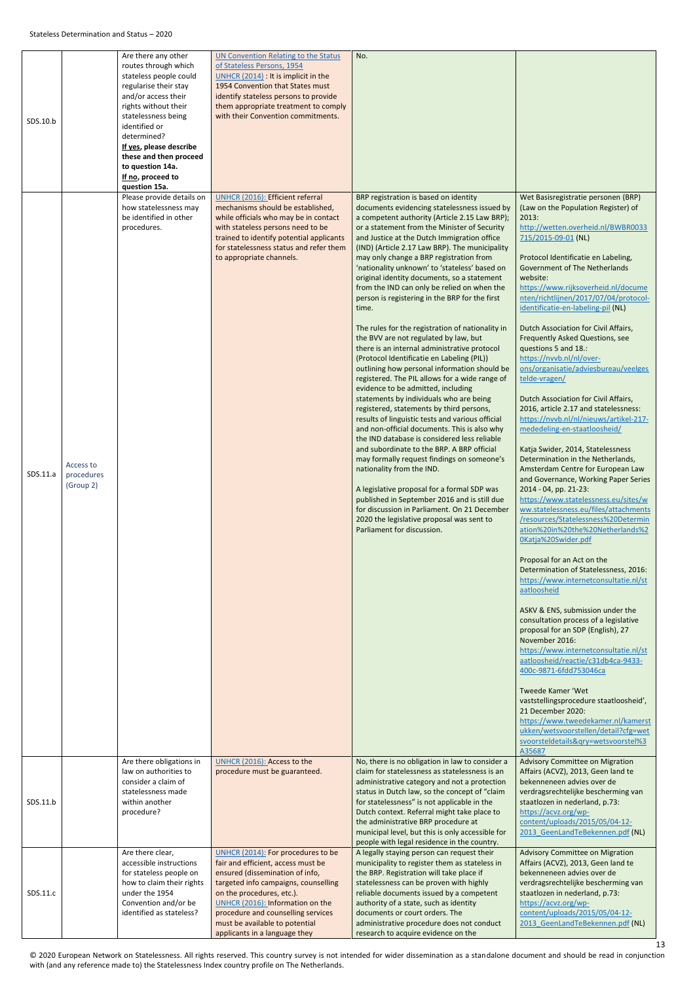<span id="page-12-0"></span>

| SDS.10.b<br>SDS.11.a | Access to<br>procedures<br>(Group 2) | Are there any other<br>routes through which<br>stateless people could<br>regularise their stay<br>and/or access their<br>rights without their<br>statelessness being<br>identified or<br>determined?<br>If yes, please describe<br>these and then proceed<br>to question 14a.<br>If no, proceed to<br>question 15a.<br>Please provide details on<br>how statelessness may<br>be identified in other<br>procedures. | <b>UN Convention Relating to the Status</b><br>of Stateless Persons, 1954<br>UNHCR (2014) : It is implicit in the<br>1954 Convention that States must<br>identify stateless persons to provide<br>them appropriate treatment to comply<br>with their Convention commitments.<br><b>UNHCR (2016): Efficient referral</b><br>mechanisms should be established,<br>while officials who may be in contact<br>with stateless persons need to be<br>trained to identify potential applicants<br>for statelessness status and refer them<br>to appropriate channels.<br>UNHCR (2016): Access to the | No.<br>BRP registration is based on identity<br>documents evidencing statelessness issued by<br>a competent authority (Article 2.15 Law BRP);<br>or a statement from the Minister of Security<br>and Justice at the Dutch Immigration office<br>(IND) (Article 2.17 Law BRP). The municipality<br>may only change a BRP registration from<br>'nationality unknown' to 'stateless' based on<br>original identity documents, so a statement<br>from the IND can only be relied on when the<br>person is registering in the BRP for the first<br>time.<br>The rules for the registration of nationality in<br>the BVV are not regulated by law, but<br>there is an internal administrative protocol<br>(Protocol Identificatie en Labeling (PIL))<br>outlining how personal information should be<br>registered. The PIL allows for a wide range of<br>evidence to be admitted, including<br>statements by individuals who are being<br>registered, statements by third persons,<br>results of linguistic tests and various official<br>and non-official documents. This is also why<br>the IND database is considered less reliable<br>and subordinate to the BRP. A BRP official<br>may formally request findings on someone's<br>nationality from the IND.<br>A legislative proposal for a formal SDP was<br>published in September 2016 and is still due<br>for discussion in Parliament. On 21 December<br>2020 the legislative proposal was sent to<br>Parliament for discussion. | Wet Basisregistratie personen (BRP)<br>(Law on the Population Register) of<br>2013:<br>http://wetten.overheid.nl/BWBR0033<br>715/2015-09-01 (NL)<br>Protocol Identificatie en Labeling,<br><b>Government of The Netherlands</b><br>website:<br>https://www.rijksoverheid.nl/docume<br>nten/richtlijnen/2017/07/04/protocol-<br>identificatie-en-labeling-pil (NL)<br>Dutch Association for Civil Affairs,<br>Frequently Asked Questions, see<br>questions 5 and 18.:<br>https://nvvb.nl/nl/over-<br>ons/organisatie/adviesbureau/veelges<br>telde-vragen/<br>Dutch Association for Civil Affairs,<br>2016, article 2.17 and statelessness:<br>https://nvvb.nl/nl/nieuws/artikel-217-<br>mededeling-en-staatloosheid/<br>Katja Swider, 2014, Statelessness<br>Determination in the Netherlands,<br>Amsterdam Centre for European Law<br>and Governance, Working Paper Series<br>2014 - 04, pp. 21-23:<br>https://www.statelessness.eu/sites/w<br>ww.statelessness.eu/files/attachments<br>/resources/Statelessness%20Determin<br>ation%20in%20the%20Netherlands%2<br>0Katja%20Swider.pdf<br>Proposal for an Act on the<br>Determination of Statelessness, 2016:<br>https://www.internetconsultatie.nl/st<br>aatloosheid<br>ASKV & ENS, submission under the<br>consultation process of a legislative<br>proposal for an SDP (English), 27<br>November 2016:<br>https://www.internetconsultatie.nl/st<br>aatloosheid/reactie/c31db4ca-9433-<br>400c-9871-6fdd753046ca<br>Tweede Kamer 'Wet<br>vaststellingsprocedure staatloosheid',<br>21 December 2020:<br>https://www.tweedekamer.nl/kamerst<br>ukken/wetsvoorstellen/detail?cfg=wet<br>svoorsteldetails&qry=wetsvoorstel%3<br>A35687 |
|----------------------|--------------------------------------|--------------------------------------------------------------------------------------------------------------------------------------------------------------------------------------------------------------------------------------------------------------------------------------------------------------------------------------------------------------------------------------------------------------------|----------------------------------------------------------------------------------------------------------------------------------------------------------------------------------------------------------------------------------------------------------------------------------------------------------------------------------------------------------------------------------------------------------------------------------------------------------------------------------------------------------------------------------------------------------------------------------------------|--------------------------------------------------------------------------------------------------------------------------------------------------------------------------------------------------------------------------------------------------------------------------------------------------------------------------------------------------------------------------------------------------------------------------------------------------------------------------------------------------------------------------------------------------------------------------------------------------------------------------------------------------------------------------------------------------------------------------------------------------------------------------------------------------------------------------------------------------------------------------------------------------------------------------------------------------------------------------------------------------------------------------------------------------------------------------------------------------------------------------------------------------------------------------------------------------------------------------------------------------------------------------------------------------------------------------------------------------------------------------------------------------------------------------------------------------------------------------------------|----------------------------------------------------------------------------------------------------------------------------------------------------------------------------------------------------------------------------------------------------------------------------------------------------------------------------------------------------------------------------------------------------------------------------------------------------------------------------------------------------------------------------------------------------------------------------------------------------------------------------------------------------------------------------------------------------------------------------------------------------------------------------------------------------------------------------------------------------------------------------------------------------------------------------------------------------------------------------------------------------------------------------------------------------------------------------------------------------------------------------------------------------------------------------------------------------------------------------------------------------------------------------------------------------------------------------------------------------------------------------------------------------------------------------------------------------------------------------------------------------------------------------------------------------------------------------------------------------------------------------------------------------------------------------------------|
| SDS.11.b             |                                      | Are there obligations in<br>law on authorities to<br>consider a claim of<br>statelessness made<br>within another<br>procedure?<br>Are there clear,                                                                                                                                                                                                                                                                 | procedure must be guaranteed.<br>UNHCR (2014): For procedures to be                                                                                                                                                                                                                                                                                                                                                                                                                                                                                                                          | No, there is no obligation in law to consider a<br>claim for statelessness as statelessness is an<br>administrative category and not a protection<br>status in Dutch law, so the concept of "claim<br>for statelessness" is not applicable in the<br>Dutch context. Referral might take place to<br>the administrative BRP procedure at<br>municipal level, but this is only accessible for<br>people with legal residence in the country.<br>A legally staying person can request their                                                                                                                                                                                                                                                                                                                                                                                                                                                                                                                                                                                                                                                                                                                                                                                                                                                                                                                                                                                             | Advisory Committee on Migration<br>Affairs (ACVZ), 2013, Geen land te<br>bekenneneen advies over de<br>verdragsrechtelijke bescherming van<br>staatlozen in nederland, p.73:<br>https://acvz.org/wp-<br>content/uploads/2015/05/04-12-<br>2013 GeenLandTeBekennen.pdf (NL)<br><b>Advisory Committee on Migration</b>                                                                                                                                                                                                                                                                                                                                                                                                                                                                                                                                                                                                                                                                                                                                                                                                                                                                                                                                                                                                                                                                                                                                                                                                                                                                                                                                                                   |
| SDS.11.c             |                                      | accessible instructions<br>for stateless people on<br>how to claim their rights<br>under the 1954<br>Convention and/or be<br>identified as stateless?                                                                                                                                                                                                                                                              | fair and efficient, access must be<br>ensured (dissemination of info,<br>targeted info campaigns, counselling<br>on the procedures, etc.).<br>UNHCR (2016): Information on the<br>procedure and counselling services<br>must be available to potential<br>applicants in a language they                                                                                                                                                                                                                                                                                                      | municipality to register them as stateless in<br>the BRP. Registration will take place if<br>statelessness can be proven with highly<br>reliable documents issued by a competent<br>authority of a state, such as identity<br>documents or court orders. The<br>administrative procedure does not conduct<br>research to acquire evidence on the                                                                                                                                                                                                                                                                                                                                                                                                                                                                                                                                                                                                                                                                                                                                                                                                                                                                                                                                                                                                                                                                                                                                     | Affairs (ACVZ), 2013, Geen land te<br>bekenneneen advies over de<br>verdragsrechtelijke bescherming van<br>staatlozen in nederland, p.73:<br>https://acvz.org/wp-<br>content/uploads/2015/05/04-12-<br>2013 GeenLandTeBekennen.pdf (NL)                                                                                                                                                                                                                                                                                                                                                                                                                                                                                                                                                                                                                                                                                                                                                                                                                                                                                                                                                                                                                                                                                                                                                                                                                                                                                                                                                                                                                                                |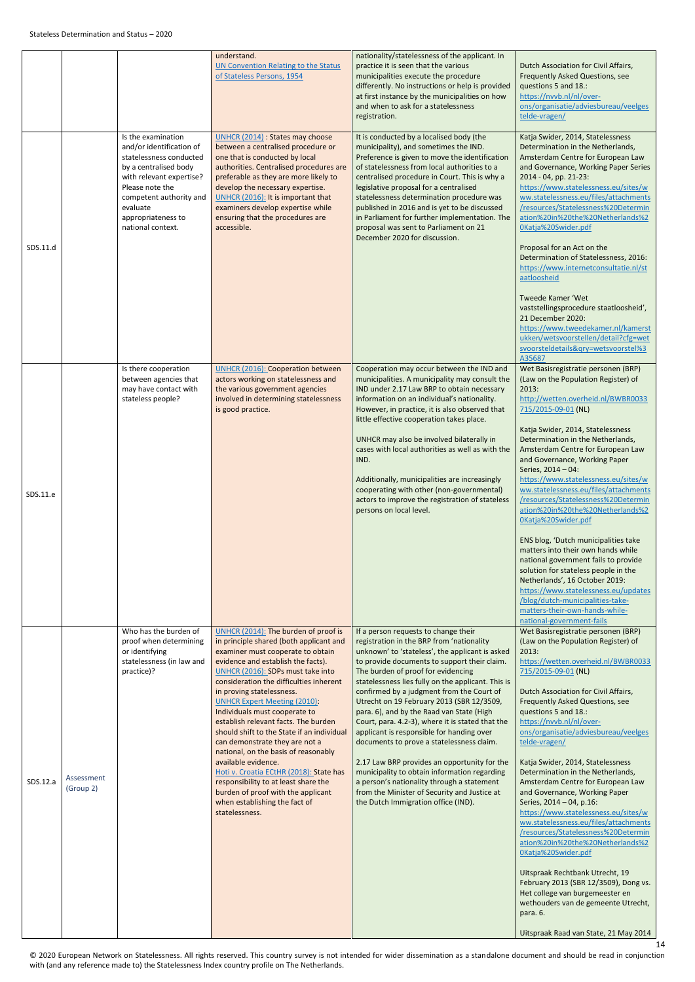<span id="page-13-0"></span>

|          |                         |                                                                                                                                                                                                                                     | understand.<br>UN Convention Relating to the Status<br>of Stateless Persons, 1954                                                                                                                                                                                                                                                                                                                                                                                                                                                                                                                                                                                                                                  | nationality/statelessness of the applicant. In<br>practice it is seen that the various<br>municipalities execute the procedure<br>differently. No instructions or help is provided<br>at first instance by the municipalities on how<br>and when to ask for a statelessness<br>registration.                                                                                                                                                                                                                                                                                                                                                                                                                                                                                                               | Dutch Association for Civil Affairs,<br><b>Frequently Asked Questions, see</b><br>questions 5 and 18.:<br>https://nvvb.nl/nl/over-<br>ons/organisatie/adviesbureau/veelges<br>telde-vragen/                                                                                                                                                                                                                                                                                                                                                                                                                                                                                                                                                                                                                                                                                                                                                      |
|----------|-------------------------|-------------------------------------------------------------------------------------------------------------------------------------------------------------------------------------------------------------------------------------|--------------------------------------------------------------------------------------------------------------------------------------------------------------------------------------------------------------------------------------------------------------------------------------------------------------------------------------------------------------------------------------------------------------------------------------------------------------------------------------------------------------------------------------------------------------------------------------------------------------------------------------------------------------------------------------------------------------------|------------------------------------------------------------------------------------------------------------------------------------------------------------------------------------------------------------------------------------------------------------------------------------------------------------------------------------------------------------------------------------------------------------------------------------------------------------------------------------------------------------------------------------------------------------------------------------------------------------------------------------------------------------------------------------------------------------------------------------------------------------------------------------------------------------|--------------------------------------------------------------------------------------------------------------------------------------------------------------------------------------------------------------------------------------------------------------------------------------------------------------------------------------------------------------------------------------------------------------------------------------------------------------------------------------------------------------------------------------------------------------------------------------------------------------------------------------------------------------------------------------------------------------------------------------------------------------------------------------------------------------------------------------------------------------------------------------------------------------------------------------------------|
| SDS.11.d |                         | Is the examination<br>and/or identification of<br>statelessness conducted<br>by a centralised body<br>with relevant expertise?<br>Please note the<br>competent authority and<br>evaluate<br>appropriateness to<br>national context. | UNHCR (2014) : States may choose<br>between a centralised procedure or<br>one that is conducted by local<br>authorities. Centralised procedures are<br>preferable as they are more likely to<br>develop the necessary expertise.<br>UNHCR (2016): It is important that<br>examiners develop expertise while<br>ensuring that the procedures are<br>accessible.                                                                                                                                                                                                                                                                                                                                                     | It is conducted by a localised body (the<br>municipality), and sometimes the IND.<br>Preference is given to move the identification<br>of statelessness from local authorities to a<br>centralised procedure in Court. This is why a<br>legislative proposal for a centralised<br>statelessness determination procedure was<br>published in 2016 and is yet to be discussed<br>in Parliament for further implementation. The<br>proposal was sent to Parliament on 21<br>December 2020 for discussion.                                                                                                                                                                                                                                                                                                     | Katja Swider, 2014, Statelessness<br>Determination in the Netherlands,<br>Amsterdam Centre for European Law<br>and Governance, Working Paper Series<br>2014 - 04, pp. 21-23:<br>https://www.statelessness.eu/sites/w<br>ww.statelessness.eu/files/attachments<br>/resources/Statelessness%20Determin<br>ation%20in%20the%20Netherlands%2<br>0Katja%20Swider.pdf<br>Proposal for an Act on the<br>Determination of Statelessness, 2016:<br>https://www.internetconsultatie.nl/st<br>aatloosheid<br><b>Tweede Kamer 'Wet</b><br>vaststellingsprocedure staatloosheid',<br>21 December 2020:<br>https://www.tweedekamer.nl/kamerst<br>ukken/wetsvoorstellen/detail?cfg=wet<br>svoorsteldetails&qry=wetsvoorstel%3<br>A35687                                                                                                                                                                                                                         |
| SDS.11.e |                         | Is there cooperation<br>between agencies that<br>may have contact with<br>stateless people?                                                                                                                                         | <b>UNHCR (2016): Cooperation between</b><br>actors working on statelessness and<br>the various government agencies<br>involved in determining statelessness<br>is good practice.                                                                                                                                                                                                                                                                                                                                                                                                                                                                                                                                   | Cooperation may occur between the IND and<br>municipalities. A municipality may consult the<br>IND under 2.17 Law BRP to obtain necessary<br>information on an individual's nationality.<br>However, in practice, it is also observed that<br>little effective cooperation takes place.<br>UNHCR may also be involved bilaterally in<br>cases with local authorities as well as with the<br>IND.<br>Additionally, municipalities are increasingly<br>cooperating with other (non-governmental)<br>actors to improve the registration of stateless<br>persons on local level.                                                                                                                                                                                                                               | Wet Basisregistratie personen (BRP)<br>(Law on the Population Register) of<br>2013:<br>http://wetten.overheid.nl/BWBR0033<br>715/2015-09-01 (NL)<br>Katja Swider, 2014, Statelessness<br>Determination in the Netherlands,<br>Amsterdam Centre for European Law<br>and Governance, Working Paper<br>Series, 2014 - 04:<br>https://www.statelessness.eu/sites/w<br>ww.statelessness.eu/files/attachments<br>/resources/Statelessness%20Determin<br>ation%20in%20the%20Netherlands%2<br>0Katja%20Swider.pdf<br>ENS blog, 'Dutch municipalities take<br>matters into their own hands while<br>national government fails to provide<br>solution for stateless people in the<br>Netherlands', 16 October 2019:<br>https://www.statelessness.eu/updates<br>/blog/dutch-municipalities-take-<br>matters-their-own-hands-while-                                                                                                                          |
| SDS.12.a | Assessment<br>(Group 2) | Who has the burden of<br>proof when determining<br>or identifying<br>statelessness (in law and<br>practice)?                                                                                                                        | UNHCR (2014): The burden of proof is<br>in principle shared (both applicant and<br>examiner must cooperate to obtain<br>evidence and establish the facts).<br>UNHCR (2016): SDPs must take into<br>consideration the difficulties inherent<br>in proving statelessness.<br><b>UNHCR Expert Meeting (2010):</b><br>Individuals must cooperate to<br>establish relevant facts. The burden<br>should shift to the State if an individual<br>can demonstrate they are not a<br>national, on the basis of reasonably<br>available evidence.<br>Hoti v. Croatia ECtHR (2018): State has<br>responsibility to at least share the<br>burden of proof with the applicant<br>when establishing the fact of<br>statelessness. | If a person requests to change their<br>registration in the BRP from 'nationality<br>unknown' to 'stateless', the applicant is asked<br>to provide documents to support their claim.<br>The burden of proof for evidencing<br>statelessness lies fully on the applicant. This is<br>confirmed by a judgment from the Court of<br>Utrecht on 19 February 2013 (SBR 12/3509,<br>para. 6), and by the Raad van State (High<br>Court, para. 4.2-3), where it is stated that the<br>applicant is responsible for handing over<br>documents to prove a statelessness claim.<br>2.17 Law BRP provides an opportunity for the<br>municipality to obtain information regarding<br>a person's nationality through a statement<br>from the Minister of Security and Justice at<br>the Dutch Immigration office (IND). | national-government-fails<br>Wet Basisregistratie personen (BRP)<br>(Law on the Population Register) of<br>2013:<br>https://wetten.overheid.nl/BWBR0033<br>715/2015-09-01 (NL)<br>Dutch Association for Civil Affairs,<br>Frequently Asked Questions, see<br>questions 5 and 18.:<br>https://nvvb.nl/nl/over-<br>ons/organisatie/adviesbureau/veelges<br>telde-vragen/<br>Katja Swider, 2014, Statelessness<br>Determination in the Netherlands,<br>Amsterdam Centre for European Law<br>and Governance, Working Paper<br>Series, 2014 - 04, p.16:<br>https://www.statelessness.eu/sites/w<br>ww.statelessness.eu/files/attachments<br>/resources/Statelessness%20Determin<br>ation%20in%20the%20Netherlands%2<br>OKatja%20Swider.pdf<br>Uitspraak Rechtbank Utrecht, 19<br>February 2013 (SBR 12/3509), Dong vs.<br>Het college van burgemeester en<br>wethouders van de gemeente Utrecht,<br>para. 6.<br>Uitspraak Raad van State, 21 May 2014 |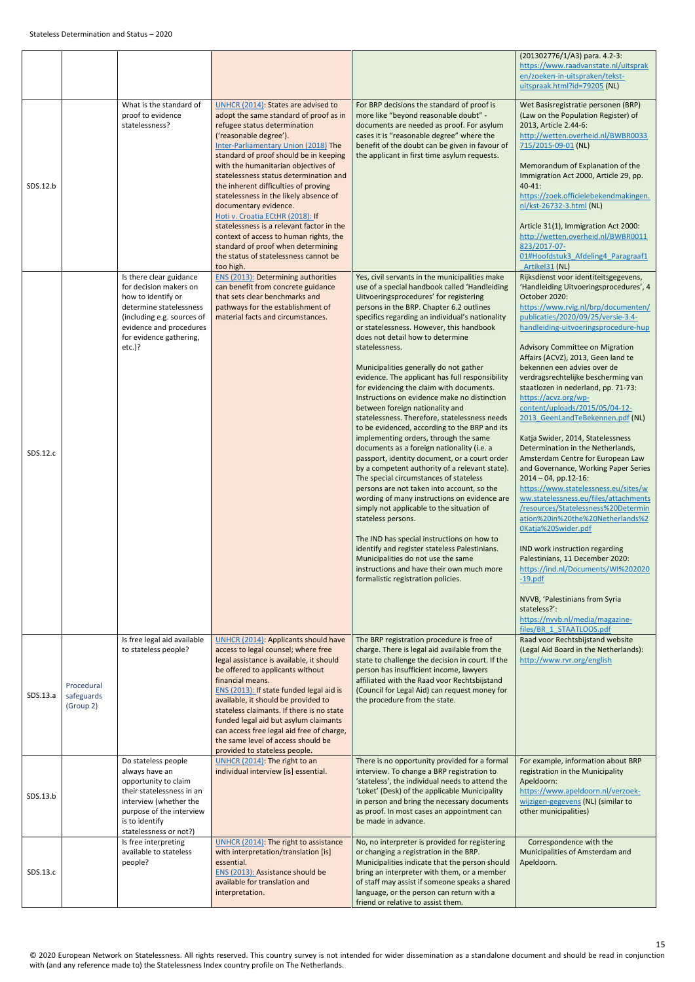<span id="page-14-0"></span>

|          |                                       |                                                                                                                                                                                                     |                                                                                                                                                                                                                                                                                                                                                                                                                                                                                                                                                                                                                                 |                                                                                                                                                                                                                                                                                                                                                                                                                                                                                                                                                                                                                                                                                                                                                                                                                                                                                                                                                                                                                                                                                                                                                                                                                                                                                                       | (201302776/1/A3) para. 4.2-3:                                                                                                                                                                                                                                                                                                                                                                                                                                                                                                                                                                                                                                                                                                                                                                                                                                                                                                                                                                                                                                                                                                             |
|----------|---------------------------------------|-----------------------------------------------------------------------------------------------------------------------------------------------------------------------------------------------------|---------------------------------------------------------------------------------------------------------------------------------------------------------------------------------------------------------------------------------------------------------------------------------------------------------------------------------------------------------------------------------------------------------------------------------------------------------------------------------------------------------------------------------------------------------------------------------------------------------------------------------|-------------------------------------------------------------------------------------------------------------------------------------------------------------------------------------------------------------------------------------------------------------------------------------------------------------------------------------------------------------------------------------------------------------------------------------------------------------------------------------------------------------------------------------------------------------------------------------------------------------------------------------------------------------------------------------------------------------------------------------------------------------------------------------------------------------------------------------------------------------------------------------------------------------------------------------------------------------------------------------------------------------------------------------------------------------------------------------------------------------------------------------------------------------------------------------------------------------------------------------------------------------------------------------------------------|-------------------------------------------------------------------------------------------------------------------------------------------------------------------------------------------------------------------------------------------------------------------------------------------------------------------------------------------------------------------------------------------------------------------------------------------------------------------------------------------------------------------------------------------------------------------------------------------------------------------------------------------------------------------------------------------------------------------------------------------------------------------------------------------------------------------------------------------------------------------------------------------------------------------------------------------------------------------------------------------------------------------------------------------------------------------------------------------------------------------------------------------|
|          |                                       |                                                                                                                                                                                                     |                                                                                                                                                                                                                                                                                                                                                                                                                                                                                                                                                                                                                                 |                                                                                                                                                                                                                                                                                                                                                                                                                                                                                                                                                                                                                                                                                                                                                                                                                                                                                                                                                                                                                                                                                                                                                                                                                                                                                                       | https://www.raadvanstate.nl/uitsprak<br>en/zoeken-in-uitspraken/tekst-<br>uitspraak.html?id=79205 (NL)                                                                                                                                                                                                                                                                                                                                                                                                                                                                                                                                                                                                                                                                                                                                                                                                                                                                                                                                                                                                                                    |
| SDS.12.b |                                       | What is the standard of<br>proof to evidence<br>statelessness?                                                                                                                                      | UNHCR (2014): States are advised to<br>adopt the same standard of proof as in<br>refugee status determination<br>('reasonable degree').<br>Inter-Parliamentary Union (2018) The<br>standard of proof should be in keeping<br>with the humanitarian objectives of<br>statelessness status determination and<br>the inherent difficulties of proving<br>statelessness in the likely absence of<br>documentary evidence.<br>Hoti v. Croatia ECtHR (2018): If<br>statelessness is a relevant factor in the<br>context of access to human rights, the<br>standard of proof when determining<br>the status of statelessness cannot be | For BRP decisions the standard of proof is<br>more like "beyond reasonable doubt" -<br>documents are needed as proof. For asylum<br>cases it is "reasonable degree" where the<br>benefit of the doubt can be given in favour of<br>the applicant in first time asylum requests.                                                                                                                                                                                                                                                                                                                                                                                                                                                                                                                                                                                                                                                                                                                                                                                                                                                                                                                                                                                                                       | Wet Basisregistratie personen (BRP)<br>(Law on the Population Register) of<br>2013, Article 2.44-6:<br>http://wetten.overheid.nl/BWBR0033<br>715/2015-09-01 (NL)<br>Memorandum of Explanation of the<br>Immigration Act 2000, Article 29, pp.<br>$40 - 41$ :<br>https://zoek.officielebekendmakingen.<br>nl/kst-26732-3.html (NL)<br>Article 31(1), Immigration Act 2000:<br>http://wetten.overheid.nl/BWBR0011<br>823/2017-07-<br>01#Hoofdstuk3 Afdeling4 Paragraaf1                                                                                                                                                                                                                                                                                                                                                                                                                                                                                                                                                                                                                                                                     |
| SDS.12.c |                                       | Is there clear guidance<br>for decision makers on<br>how to identify or<br>determine statelessness<br>(including e.g. sources of<br>evidence and procedures<br>for evidence gathering,<br>$etc.$ )? | too high.<br><b>ENS (2013): Determining authorities</b><br>can benefit from concrete guidance<br>that sets clear benchmarks and<br>pathways for the establishment of<br>material facts and circumstances.                                                                                                                                                                                                                                                                                                                                                                                                                       | Yes, civil servants in the municipalities make<br>use of a special handbook called 'Handleiding<br>Uitvoeringsprocedures' for registering<br>persons in the BRP. Chapter 6.2 outlines<br>specifics regarding an individual's nationality<br>or statelessness. However, this handbook<br>does not detail how to determine<br>statelessness.<br>Municipalities generally do not gather<br>evidence. The applicant has full responsibility<br>for evidencing the claim with documents.<br>Instructions on evidence make no distinction<br>between foreign nationality and<br>statelessness. Therefore, statelessness needs<br>to be evidenced, according to the BRP and its<br>implementing orders, through the same<br>documents as a foreign nationality (i.e. a<br>passport, identity document, or a court order<br>by a competent authority of a relevant state).<br>The special circumstances of stateless<br>persons are not taken into account, so the<br>wording of many instructions on evidence are<br>simply not applicable to the situation of<br>stateless persons.<br>The IND has special instructions on how to<br>identify and register stateless Palestinians.<br>Municipalities do not use the same<br>instructions and have their own much more<br>formalistic registration policies. | Artikel31 (NL)<br>Rijksdienst voor identiteitsgegevens,<br>'Handleiding Uitvoeringsprocedures', 4<br>October 2020:<br>https://www.rvig.nl/brp/documenten/<br>publicaties/2020/09/25/versie-3.4-<br>handleiding-uitvoeringsprocedure-hup<br>Advisory Committee on Migration<br>Affairs (ACVZ), 2013, Geen land te<br>bekennen een advies over de<br>verdragsrechtelijke bescherming van<br>staatlozen in nederland, pp. 71-73:<br>https://acvz.org/wp-<br>content/uploads/2015/05/04-12-<br>2013 GeenLandTeBekennen.pdf (NL)<br>Katja Swider, 2014, Statelessness<br>Determination in the Netherlands,<br>Amsterdam Centre for European Law<br>and Governance, Working Paper Series<br>$2014 - 04$ , pp.12-16:<br>https://www.statelessness.eu/sites/w<br>ww.statelessness.eu/files/attachments<br>/resources/Statelessness%20Determin<br>ation%20in%20the%20Netherlands%2<br>OKatja%20Swider.pdf<br>IND work instruction regarding<br>Palestinians, 11 December 2020:<br>https://ind.nl/Documents/WI%202020<br>$-19.pdf$<br>NVVB, 'Palestinians from Syria<br>stateless?':<br>https://nvvb.nl/media/magazine-<br>files/BR 1 STAATLOOS.pdf |
| SDS.13.a | Procedural<br>safeguards<br>(Group 2) | Is free legal aid available<br>to stateless people?                                                                                                                                                 | <b>UNHCR (2014): Applicants should have</b><br>access to legal counsel; where free<br>legal assistance is available, it should<br>be offered to applicants without<br>financial means.<br>ENS (2013): If state funded legal aid is<br>available, it should be provided to<br>stateless claimants. If there is no state<br>funded legal aid but asylum claimants<br>can access free legal aid free of charge,<br>the same level of access should be<br>provided to stateless people.                                                                                                                                             | The BRP registration procedure is free of<br>charge. There is legal aid available from the<br>state to challenge the decision in court. If the<br>person has insufficient income, lawyers<br>affiliated with the Raad voor Rechtsbijstand<br>(Council for Legal Aid) can request money for<br>the procedure from the state.                                                                                                                                                                                                                                                                                                                                                                                                                                                                                                                                                                                                                                                                                                                                                                                                                                                                                                                                                                           | Raad voor Rechtsbijstand website<br>(Legal Aid Board in the Netherlands):<br>http://www.rvr.org/english                                                                                                                                                                                                                                                                                                                                                                                                                                                                                                                                                                                                                                                                                                                                                                                                                                                                                                                                                                                                                                   |
| SDS.13.b |                                       | Do stateless people<br>always have an<br>opportunity to claim<br>their statelessness in an<br>interview (whether the<br>purpose of the interview<br>is to identify<br>statelessness or not?)        | UNHCR (2014): The right to an<br>individual interview [is] essential.                                                                                                                                                                                                                                                                                                                                                                                                                                                                                                                                                           | There is no opportunity provided for a formal<br>interview. To change a BRP registration to<br>'stateless', the individual needs to attend the<br>'Loket' (Desk) of the applicable Municipality<br>in person and bring the necessary documents<br>as proof. In most cases an appointment can<br>be made in advance.                                                                                                                                                                                                                                                                                                                                                                                                                                                                                                                                                                                                                                                                                                                                                                                                                                                                                                                                                                                   | For example, information about BRP<br>registration in the Municipality<br>Apeldoorn:<br>https://www.apeldoorn.nl/verzoek-<br>wijzigen-gegevens (NL) (similar to<br>other municipalities)                                                                                                                                                                                                                                                                                                                                                                                                                                                                                                                                                                                                                                                                                                                                                                                                                                                                                                                                                  |
| SDS.13.c |                                       | Is free interpreting<br>available to stateless<br>people?                                                                                                                                           | UNHCR (2014): The right to assistance<br>with interpretation/translation [is]<br>essential.<br>ENS (2013): Assistance should be<br>available for translation and<br>interpretation.                                                                                                                                                                                                                                                                                                                                                                                                                                             | No, no interpreter is provided for registering<br>or changing a registration in the BRP.<br>Municipalities indicate that the person should<br>bring an interpreter with them, or a member<br>of staff may assist if someone speaks a shared<br>language, or the person can return with a<br>friend or relative to assist them.                                                                                                                                                                                                                                                                                                                                                                                                                                                                                                                                                                                                                                                                                                                                                                                                                                                                                                                                                                        | Correspondence with the<br>Municipalities of Amsterdam and<br>Apeldoorn.                                                                                                                                                                                                                                                                                                                                                                                                                                                                                                                                                                                                                                                                                                                                                                                                                                                                                                                                                                                                                                                                  |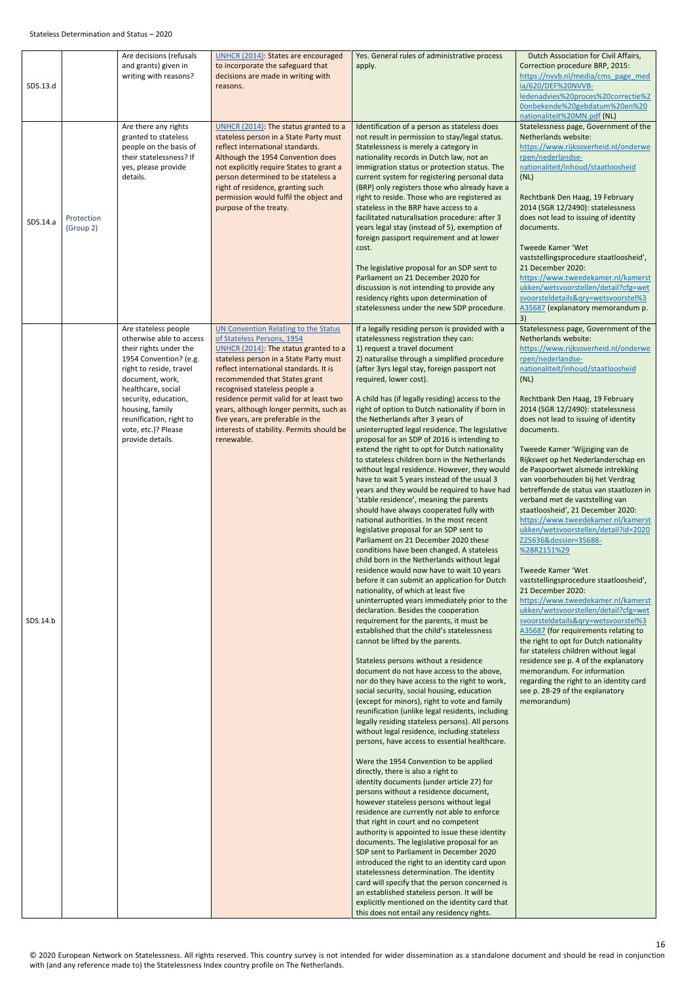<span id="page-15-0"></span>

|          |                         | Are decisions (refusals                                                                                                                                                                                                                                                                   | <b>UNHCR (2014): States are encouraged</b>                                                                                                                                                                                                                                                                                                                                                                                                                     | Yes. General rules of administrative process                                                                                                                                                                                                                                                                                                                                                                                                                                                                                                                                                                                                                                                                                                                                                                                                                                                                                                                                                                                                                                                                                                                                                                                                                                                                                                                                                                                                                                                                                                                                                                                                                                                                                                                                                                                                                                                                                                                                                                                                                                                                                                                                                                                                                                                                                                                                                                                                                                                                                                                                                                               | Dutch Association for Civil Affairs,                                                                                                                                                                                                                                                                                                                                                                                                                                                                                                                                                                                                                                                                                                                                                                                                                                                                                                                                                                                                                                                                                                                                                                      |
|----------|-------------------------|-------------------------------------------------------------------------------------------------------------------------------------------------------------------------------------------------------------------------------------------------------------------------------------------|----------------------------------------------------------------------------------------------------------------------------------------------------------------------------------------------------------------------------------------------------------------------------------------------------------------------------------------------------------------------------------------------------------------------------------------------------------------|----------------------------------------------------------------------------------------------------------------------------------------------------------------------------------------------------------------------------------------------------------------------------------------------------------------------------------------------------------------------------------------------------------------------------------------------------------------------------------------------------------------------------------------------------------------------------------------------------------------------------------------------------------------------------------------------------------------------------------------------------------------------------------------------------------------------------------------------------------------------------------------------------------------------------------------------------------------------------------------------------------------------------------------------------------------------------------------------------------------------------------------------------------------------------------------------------------------------------------------------------------------------------------------------------------------------------------------------------------------------------------------------------------------------------------------------------------------------------------------------------------------------------------------------------------------------------------------------------------------------------------------------------------------------------------------------------------------------------------------------------------------------------------------------------------------------------------------------------------------------------------------------------------------------------------------------------------------------------------------------------------------------------------------------------------------------------------------------------------------------------------------------------------------------------------------------------------------------------------------------------------------------------------------------------------------------------------------------------------------------------------------------------------------------------------------------------------------------------------------------------------------------------------------------------------------------------------------------------------------------------|-----------------------------------------------------------------------------------------------------------------------------------------------------------------------------------------------------------------------------------------------------------------------------------------------------------------------------------------------------------------------------------------------------------------------------------------------------------------------------------------------------------------------------------------------------------------------------------------------------------------------------------------------------------------------------------------------------------------------------------------------------------------------------------------------------------------------------------------------------------------------------------------------------------------------------------------------------------------------------------------------------------------------------------------------------------------------------------------------------------------------------------------------------------------------------------------------------------|
| SDS.13.d |                         | and grants) given in<br>writing with reasons?                                                                                                                                                                                                                                             | to incorporate the safeguard that<br>decisions are made in writing with<br>reasons.                                                                                                                                                                                                                                                                                                                                                                            | apply.                                                                                                                                                                                                                                                                                                                                                                                                                                                                                                                                                                                                                                                                                                                                                                                                                                                                                                                                                                                                                                                                                                                                                                                                                                                                                                                                                                                                                                                                                                                                                                                                                                                                                                                                                                                                                                                                                                                                                                                                                                                                                                                                                                                                                                                                                                                                                                                                                                                                                                                                                                                                                     | Correction procedure BRP, 2015:<br>https://nvvb.nl/media/cms page med<br>ia/620/DEF%20NVVB-<br>ledenadvies%20proces%20correctie%2<br>0onbekende%20gebdatum%20en%20<br>nationaliteit%20MN.pdf (NL)                                                                                                                                                                                                                                                                                                                                                                                                                                                                                                                                                                                                                                                                                                                                                                                                                                                                                                                                                                                                         |
| SDS.14.a | Protection<br>(Group 2) | Are there any rights<br>granted to stateless<br>people on the basis of<br>their statelessness? If<br>yes, please provide<br>details.                                                                                                                                                      | UNHCR (2014): The status granted to a<br>stateless person in a State Party must<br>reflect international standards.<br>Although the 1954 Convention does<br>not explicitly require States to grant a<br>person determined to be stateless a<br>right of residence, granting such<br>permission would fulfil the object and<br>purpose of the treaty.                                                                                                           | Identification of a person as stateless does<br>not result in permission to stay/legal status.<br>Statelessness is merely a category in<br>nationality records in Dutch law, not an<br>immigration status or protection status. The<br>current system for registering personal data<br>(BRP) only registers those who already have a<br>right to reside. Those who are registered as<br>stateless in the BRP have access to a<br>facilitated naturalisation procedure: after 3<br>years legal stay (instead of 5), exemption of<br>foreign passport requirement and at lower<br>cost.<br>The legislative proposal for an SDP sent to<br>Parliament on 21 December 2020 for<br>discussion is not intending to provide any<br>residency rights upon determination of<br>statelessness under the new SDP procedure.                                                                                                                                                                                                                                                                                                                                                                                                                                                                                                                                                                                                                                                                                                                                                                                                                                                                                                                                                                                                                                                                                                                                                                                                                                                                                                                                                                                                                                                                                                                                                                                                                                                                                                                                                                                                           | Statelessness page, Government of the<br>Netherlands website:<br>https://www.rijksoverheid.nl/onderwe<br>rpen/nederlandse-<br>nationaliteit/inhoud/staatloosheid<br>(NL)<br>Rechtbank Den Haag, 19 February<br>2014 (SGR 12/2490): statelessness<br>does not lead to issuing of identity<br>documents.<br>Tweede Kamer 'Wet<br>vaststellingsprocedure staatloosheid',<br>21 December 2020:<br>https://www.tweedekamer.nl/kamerst<br>ukken/wetsvoorstellen/detail?cfg=wet<br>svoorsteldetails&qry=wetsvoorstel%3<br>A35687 (explanatory memorandum p.<br>3)                                                                                                                                                                                                                                                                                                                                                                                                                                                                                                                                                                                                                                                |
| SDS.14.b |                         | Are stateless people<br>otherwise able to access<br>their rights under the<br>1954 Convention? (e.g.<br>right to reside, travel<br>document, work,<br>healthcare, social<br>security, education,<br>housing, family<br>reunification, right to<br>vote, etc.)? Please<br>provide details. | <b>UN Convention Relating to the Status</b><br>of Stateless Persons, 1954<br>UNHCR (2014): The status granted to a<br>stateless person in a State Party must<br>reflect international standards. It is<br>recommended that States grant<br>recognised stateless people a<br>residence permit valid for at least two<br>years, although longer permits, such as<br>five years, are preferable in the<br>interests of stability. Permits should be<br>renewable. | If a legally residing person is provided with a<br>statelessness registration they can:<br>1) request a travel document<br>2) naturalise through a simplified procedure<br>(after 3yrs legal stay, foreign passport not<br>required, lower cost).<br>A child has (if legally residing) access to the<br>right of option to Dutch nationality if born in<br>the Netherlands after 3 years of<br>uninterrupted legal residence. The legislative<br>proposal for an SDP of 2016 is intending to<br>extend the right to opt for Dutch nationality<br>to stateless children born in the Netherlands<br>without legal residence. However, they would<br>have to wait 5 years instead of the usual 3<br>years and they would be required to have had<br>'stable residence', meaning the parents<br>should have always cooperated fully with<br>national authorities. In the most recent<br>legislative proposal for an SDP sent to<br>Parliament on 21 December 2020 these<br>conditions have been changed. A stateless<br>child born in the Netherlands without legal<br>residence would now have to wait 10 years<br>before it can submit an application for Dutch<br>nationality, of which at least five<br>uninterrupted years immediately prior to the<br>declaration. Besides the cooperation<br>requirement for the parents, it must be<br>established that the child's statelessness<br>cannot be lifted by the parents.<br>Stateless persons without a residence<br>document do not have access to the above,<br>nor do they have access to the right to work,<br>social security, social housing, education<br>(except for minors), right to vote and family<br>reunification (unlike legal residents, including<br>legally residing stateless persons). All persons<br>without legal residence, including stateless<br>persons, have access to essential healthcare.<br>Were the 1954 Convention to be applied<br>directly, there is also a right to<br>identity documents (under article 27) for<br>persons without a residence document,<br>however stateless persons without legal<br>residence are currently not able to enforce<br>that right in court and no competent<br>authority is appointed to issue these identity<br>documents. The legislative proposal for an<br>SDP sent to Parliament in December 2020<br>introduced the right to an identity card upon<br>statelessness determination. The identity<br>card will specify that the person concerned is<br>an established stateless person. It will be<br>explicitly mentioned on the identity card that<br>this does not entail any residency rights. | Statelessness page, Government of the<br>Netherlands website:<br>https://www.rijksoverheid.nl/onderwe<br>rpen/nederlandse-<br>nationaliteit/inhoud/staatloosheid<br>(NL)<br>Rechtbank Den Haag, 19 February<br>2014 (SGR 12/2490): statelessness<br>does not lead to issuing of identity<br>documents.<br>Tweede Kamer 'Wijziging van de<br>Rijkswet op het Nederlanderschap en<br>de Paspoortwet alsmede intrekking<br>van voorbehouden bij het Verdrag<br>betreffende de status van staatlozen in<br>verband met de vaststelling van<br>staatloosheid', 21 December 2020:<br>https://www.tweedekamer.nl/kamerst<br>ukken/wetsvoorstellen/detail?id=2020<br>Z25636&dossier=35688-<br>%28R2151%29<br>Tweede Kamer 'Wet<br>vaststellingsprocedure staatloosheid',<br>21 December 2020:<br>https://www.tweedekamer.nl/kamerst<br>ukken/wetsvoorstellen/detail?cfg=wet<br>svoorsteldetails&gry=wetsvoorstel%3<br>A35687 (for requirements relating to<br>the right to opt for Dutch nationality<br>for stateless children without legal<br>residence see p. 4 of the explanatory<br>memorandum. For information<br>regarding the right to an identity card<br>see p. 28-29 of the explanatory<br>memorandum) |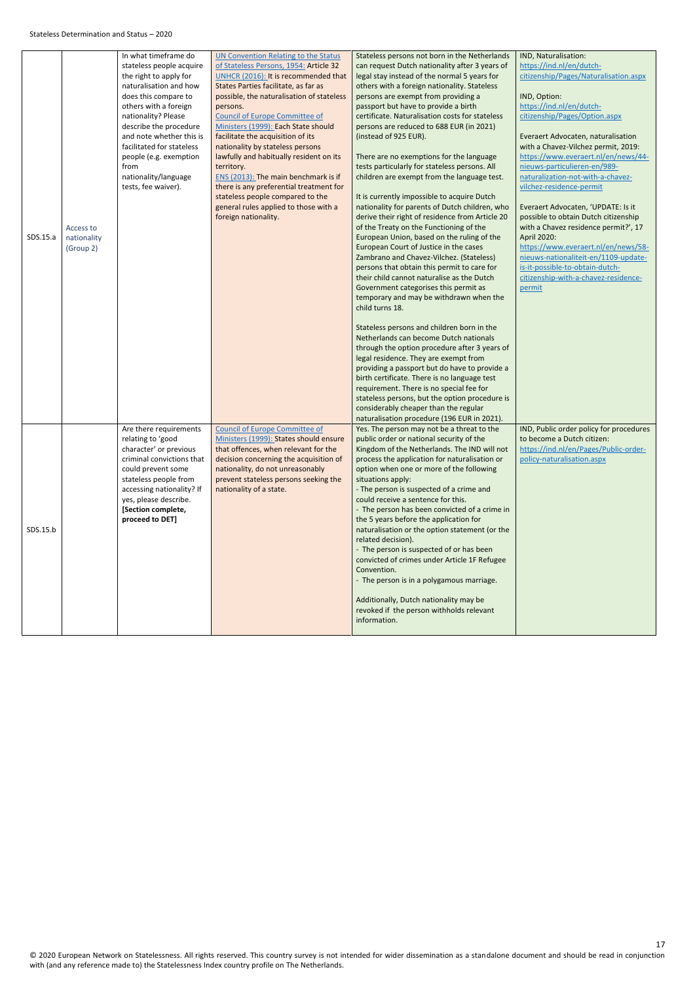<span id="page-16-0"></span>

|          |             | In what timeframe do      | <b>UN Convention Relating to the Status</b> | Stateless persons not born in the Netherlands                                                 | IND, Naturalisation:                                                         |
|----------|-------------|---------------------------|---------------------------------------------|-----------------------------------------------------------------------------------------------|------------------------------------------------------------------------------|
|          |             | stateless people acquire  | of Stateless Persons, 1954: Article 32      | can request Dutch nationality after 3 years of                                                | https://ind.nl/en/dutch-                                                     |
|          |             | the right to apply for    | UNHCR (2016): It is recommended that        | legal stay instead of the normal 5 years for                                                  | citizenship/Pages/Naturalisation.aspx                                        |
|          |             | naturalisation and how    | States Parties facilitate, as far as        | others with a foreign nationality. Stateless                                                  |                                                                              |
|          |             | does this compare to      | possible, the naturalisation of stateless   | persons are exempt from providing a                                                           | IND, Option:                                                                 |
|          |             | others with a foreign     | persons.                                    | passport but have to provide a birth                                                          | https://ind.nl/en/dutch-                                                     |
|          |             | nationality? Please       | <b>Council of Europe Committee of</b>       | certificate. Naturalisation costs for stateless                                               | citizenship/Pages/Option.aspx                                                |
|          |             | describe the procedure    | Ministers (1999): Each State should         | persons are reduced to 688 EUR (in 2021)                                                      |                                                                              |
|          |             | and note whether this is  | facilitate the acquisition of its           | (instead of 925 EUR).                                                                         | Everaert Advocaten, naturalisation                                           |
|          |             | facilitated for stateless | nationality by stateless persons            |                                                                                               | with a Chavez-Vilchez permit, 2019:                                          |
|          |             | people (e.g. exemption    | lawfully and habitually resident on its     | There are no exemptions for the language                                                      | https://www.everaert.nl/en/news/44-                                          |
|          |             | from                      | territory.                                  | tests particularly for stateless persons. All                                                 | nieuws-particulieren-en/989-                                                 |
|          |             | nationality/language      | ENS (2013): The main benchmark is if        | children are exempt from the language test.                                                   | naturalization-not-with-a-chavez-                                            |
|          |             | tests, fee waiver).       | there is any preferential treatment for     |                                                                                               | vilchez-residence-permit                                                     |
|          |             |                           | stateless people compared to the            | It is currently impossible to acquire Dutch<br>nationality for parents of Dutch children, who |                                                                              |
|          |             |                           | general rules applied to those with a       |                                                                                               | Everaert Advocaten, 'UPDATE: Is it                                           |
|          |             |                           | foreign nationality.                        | derive their right of residence from Article 20<br>of the Treaty on the Functioning of the    | possible to obtain Dutch citizenship<br>with a Chavez residence permit?', 17 |
| SDS.15.a | Access to   |                           |                                             | European Union, based on the ruling of the                                                    | April 2020:                                                                  |
|          | nationality |                           |                                             | European Court of Justice in the cases                                                        | https://www.everaert.nl/en/news/58-                                          |
|          | (Group 2)   |                           |                                             | Zambrano and Chavez-Vilchez. (Stateless)                                                      | nieuws-nationaliteit-en/1109-update-                                         |
|          |             |                           |                                             | persons that obtain this permit to care for                                                   | is-it-possible-to-obtain-dutch-                                              |
|          |             |                           |                                             | their child cannot naturalise as the Dutch                                                    | citizenship-with-a-chavez-residence-                                         |
|          |             |                           |                                             | Government categorises this permit as                                                         | permit                                                                       |
|          |             |                           |                                             | temporary and may be withdrawn when the                                                       |                                                                              |
|          |             |                           |                                             | child turns 18.                                                                               |                                                                              |
|          |             |                           |                                             |                                                                                               |                                                                              |
|          |             |                           |                                             | Stateless persons and children born in the                                                    |                                                                              |
|          |             |                           |                                             | Netherlands can become Dutch nationals                                                        |                                                                              |
|          |             |                           |                                             | through the option procedure after 3 years of                                                 |                                                                              |
|          |             |                           |                                             | legal residence. They are exempt from                                                         |                                                                              |
|          |             |                           |                                             | providing a passport but do have to provide a                                                 |                                                                              |
|          |             |                           |                                             | birth certificate. There is no language test                                                  |                                                                              |
|          |             |                           |                                             | requirement. There is no special fee for                                                      |                                                                              |
|          |             |                           |                                             | stateless persons, but the option procedure is                                                |                                                                              |
|          |             |                           |                                             | considerably cheaper than the regular                                                         |                                                                              |
|          |             |                           |                                             | naturalisation procedure (196 EUR in 2021).                                                   |                                                                              |
|          |             | Are there requirements    | <b>Council of Europe Committee of</b>       | Yes. The person may not be a threat to the                                                    | IND, Public order policy for procedures                                      |
|          |             | relating to 'good         | Ministers (1999): States should ensure      | public order or national security of the                                                      | to become a Dutch citizen:                                                   |
|          |             | character' or previous    | that offences, when relevant for the        | Kingdom of the Netherlands. The IND will not                                                  | https://ind.nl/en/Pages/Public-order-                                        |
|          |             | criminal convictions that | decision concerning the acquisition of      | process the application for naturalisation or                                                 | policy-naturalisation.aspx                                                   |
|          |             | could prevent some        | nationality, do not unreasonably            | option when one or more of the following                                                      |                                                                              |
|          |             | stateless people from     | prevent stateless persons seeking the       | situations apply:                                                                             |                                                                              |
|          |             | accessing nationality? If | nationality of a state.                     | - The person is suspected of a crime and                                                      |                                                                              |
|          |             | yes, please describe.     |                                             | could receive a sentence for this.                                                            |                                                                              |
|          |             | [Section complete,        |                                             | - The person has been convicted of a crime in                                                 |                                                                              |
|          |             | proceed to DET]           |                                             | the 5 years before the application for                                                        |                                                                              |
| SDS.15.b |             |                           |                                             | naturalisation or the option statement (or the                                                |                                                                              |
|          |             |                           |                                             | related decision).                                                                            |                                                                              |
|          |             |                           |                                             | - The person is suspected of or has been<br>convicted of crimes under Article 1F Refugee      |                                                                              |
|          |             |                           |                                             | Convention.                                                                                   |                                                                              |
|          |             |                           |                                             | - The person is in a polygamous marriage.                                                     |                                                                              |
|          |             |                           |                                             |                                                                                               |                                                                              |
|          |             |                           |                                             | Additionally, Dutch nationality may be                                                        |                                                                              |
|          |             |                           |                                             | revoked if the person withholds relevant                                                      |                                                                              |
|          |             |                           |                                             | information.                                                                                  |                                                                              |
|          |             |                           |                                             |                                                                                               |                                                                              |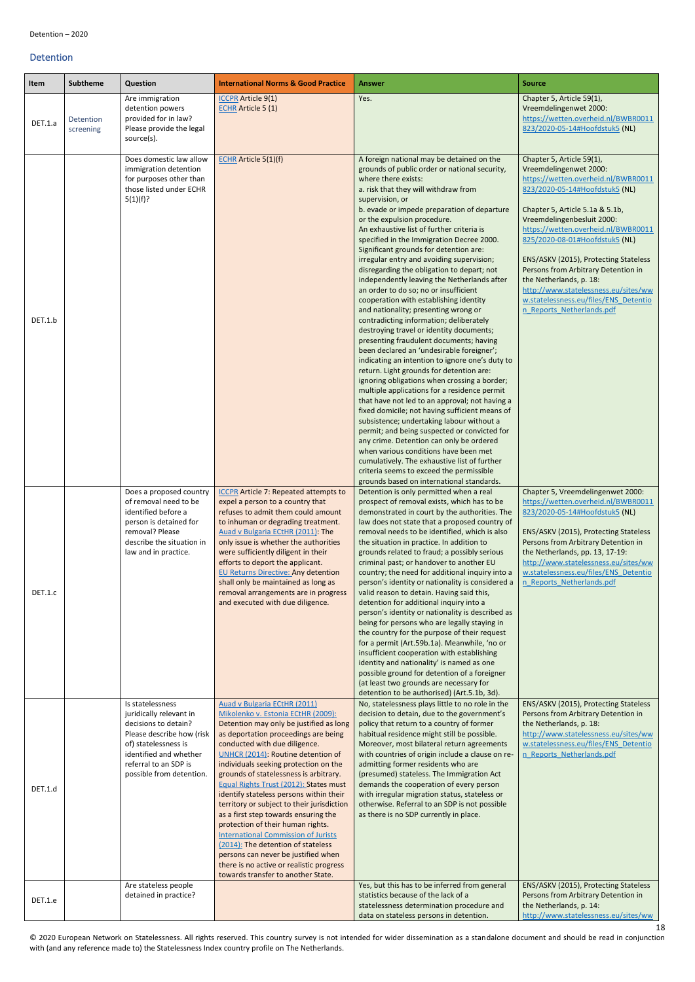© 2020 European Network on Statelessness. All rights reserved. This country survey is not intended for wider dissemination as a standalone document and should be read in conjunction with (and any reference made to) the Statelessness Index country profile on The Netherlands.

#### <span id="page-17-0"></span>Detention

<span id="page-17-1"></span>

| Item    | <b>Subtheme</b>        | Question                                                                                                                                                                                                | <b>International Norms &amp; Good Practice</b>                                                                                                                                                                                                                                                                                                                                                                                                                                                                                                                                                                                                                                                                                               | <b>Answer</b>                                                                                                                                                                                                                                                                                                                                                                                                                                                                                                                                                                                                                                                                                                                                                                                                                                                                                                                                                                                                                                                                                                                                                                                                                                                                                                                                                                                                                                                                    | <b>Source</b>                                                                                                                                                                                                                                                                                                                                                                                                                                                                                   |
|---------|------------------------|---------------------------------------------------------------------------------------------------------------------------------------------------------------------------------------------------------|----------------------------------------------------------------------------------------------------------------------------------------------------------------------------------------------------------------------------------------------------------------------------------------------------------------------------------------------------------------------------------------------------------------------------------------------------------------------------------------------------------------------------------------------------------------------------------------------------------------------------------------------------------------------------------------------------------------------------------------------|----------------------------------------------------------------------------------------------------------------------------------------------------------------------------------------------------------------------------------------------------------------------------------------------------------------------------------------------------------------------------------------------------------------------------------------------------------------------------------------------------------------------------------------------------------------------------------------------------------------------------------------------------------------------------------------------------------------------------------------------------------------------------------------------------------------------------------------------------------------------------------------------------------------------------------------------------------------------------------------------------------------------------------------------------------------------------------------------------------------------------------------------------------------------------------------------------------------------------------------------------------------------------------------------------------------------------------------------------------------------------------------------------------------------------------------------------------------------------------|-------------------------------------------------------------------------------------------------------------------------------------------------------------------------------------------------------------------------------------------------------------------------------------------------------------------------------------------------------------------------------------------------------------------------------------------------------------------------------------------------|
| DET.1.a | Detention<br>screening | Are immigration<br>detention powers<br>provided for in law?<br>Please provide the legal<br>source(s).                                                                                                   | <b>ICCPR</b> Article 9(1)<br><b>ECHR</b> Article 5 (1)                                                                                                                                                                                                                                                                                                                                                                                                                                                                                                                                                                                                                                                                                       | Yes.                                                                                                                                                                                                                                                                                                                                                                                                                                                                                                                                                                                                                                                                                                                                                                                                                                                                                                                                                                                                                                                                                                                                                                                                                                                                                                                                                                                                                                                                             | Chapter 5, Article 59(1),<br>Vreemdelingenwet 2000:<br>https://wetten.overheid.nl/BWBR0011<br>823/2020-05-14#Hoofdstuk5 (NL)                                                                                                                                                                                                                                                                                                                                                                    |
| DET.1.b |                        | Does domestic law allow<br>immigration detention<br>for purposes other than<br>those listed under ECHR<br>5(1)(f)?                                                                                      | <b>ECHR</b> Article 5(1)(f)                                                                                                                                                                                                                                                                                                                                                                                                                                                                                                                                                                                                                                                                                                                  | A foreign national may be detained on the<br>grounds of public order or national security,<br>where there exists:<br>a. risk that they will withdraw from<br>supervision, or<br>b. evade or impede preparation of departure<br>or the expulsion procedure.<br>An exhaustive list of further criteria is<br>specified in the Immigration Decree 2000.<br>Significant grounds for detention are:<br>irregular entry and avoiding supervision;<br>disregarding the obligation to depart; not<br>independently leaving the Netherlands after<br>an order to do so; no or insufficient<br>cooperation with establishing identity<br>and nationality; presenting wrong or<br>contradicting information; deliberately<br>destroying travel or identity documents;<br>presenting fraudulent documents; having<br>been declared an 'undesirable foreigner';<br>indicating an intention to ignore one's duty to<br>return. Light grounds for detention are:<br>ignoring obligations when crossing a border;<br>multiple applications for a residence permit<br>that have not led to an approval; not having a<br>fixed domicile; not having sufficient means of<br>subsistence; undertaking labour without a<br>permit; and being suspected or convicted for<br>any crime. Detention can only be ordered<br>when various conditions have been met<br>cumulatively. The exhaustive list of further<br>criteria seems to exceed the permissible<br>grounds based on international standards. | Chapter 5, Article 59(1),<br>Vreemdelingenwet 2000:<br>https://wetten.overheid.nl/BWBR0011<br>823/2020-05-14#Hoofdstuk5 (NL)<br>Chapter 5, Article 5.1a & 5.1b,<br>Vreemdelingenbesluit 2000:<br>https://wetten.overheid.nl/BWBR0011<br>825/2020-08-01#Hoofdstuk5 (NL)<br>ENS/ASKV (2015), Protecting Stateless<br>Persons from Arbitrary Detention in<br>the Netherlands, p. 18:<br>http://www.statelessness.eu/sites/ww<br>w.statelessness.eu/files/ENS Detentio<br>n Reports Netherlands.pdf |
| DET.1.c |                        | Does a proposed country<br>of removal need to be<br>identified before a<br>person is detained for<br>removal? Please<br>describe the situation in<br>law and in practice.                               | <b>ICCPR Article 7: Repeated attempts to</b><br>expel a person to a country that<br>refuses to admit them could amount<br>to inhuman or degrading treatment.<br>Auad v Bulgaria ECtHR (2011): The<br>only issue is whether the authorities<br>were sufficiently diligent in their<br>efforts to deport the applicant.<br><b>EU Returns Directive: Any detention</b><br>shall only be maintained as long as<br>removal arrangements are in progress<br>and executed with due diligence.                                                                                                                                                                                                                                                       | Detention is only permitted when a real<br>prospect of removal exists, which has to be<br>demonstrated in court by the authorities. The<br>law does not state that a proposed country of<br>removal needs to be identified, which is also<br>the situation in practice. In addition to<br>grounds related to fraud; a possibly serious<br>criminal past; or handover to another EU<br>country; the need for additional inquiry into a<br>person's identity or nationality is considered a<br>valid reason to detain. Having said this,<br>detention for additional inquiry into a<br>person's identity or nationality is described as<br>being for persons who are legally staying in<br>the country for the purpose of their request<br>for a permit (Art.59b.1a). Meanwhile, 'no or<br>insufficient cooperation with establishing<br>identity and nationality' is named as one<br>possible ground for detention of a foreigner<br>(at least two grounds are necessary for<br>detention to be authorised) (Art.5.1b, 3d).                                                                                                                                                                                                                                                                                                                                                                                                                                                       | Chapter 5, Vreemdelingenwet 2000:<br>https://wetten.overheid.nl/BWBR0011<br>823/2020-05-14#Hoofdstuk5 (NL)<br>ENS/ASKV (2015), Protecting Stateless<br>Persons from Arbitrary Detention in<br>the Netherlands, pp. 13, 17-19:<br>http://www.statelessness.eu/sites/ww<br>w.statelessness.eu/files/ENS Detentio<br>n Reports Netherlands.pdf                                                                                                                                                     |
| DET.1.d |                        | Is statelessness<br>juridically relevant in<br>decisions to detain?<br>Please describe how (risk<br>of) statelessness is<br>identified and whether<br>referral to an SDP is<br>possible from detention. | Auad v Bulgaria ECtHR (2011)<br>Mikolenko v. Estonia ECtHR (2009):<br>Detention may only be justified as long<br>as deportation proceedings are being<br>conducted with due diligence.<br>UNHCR (2014): Routine detention of<br>individuals seeking protection on the<br>grounds of statelessness is arbitrary.<br>Equal Rights Trust (2012): States must<br>identify stateless persons within their<br>territory or subject to their jurisdiction<br>as a first step towards ensuring the<br>protection of their human rights.<br><b>International Commission of Jurists</b><br>(2014): The detention of stateless<br>persons can never be justified when<br>there is no active or realistic progress<br>towards transfer to another State. | No, statelessness plays little to no role in the<br>decision to detain, due to the government's<br>policy that return to a country of former<br>habitual residence might still be possible.<br>Moreover, most bilateral return agreements<br>with countries of origin include a clause on re-<br>admitting former residents who are<br>(presumed) stateless. The Immigration Act<br>demands the cooperation of every person<br>with irregular migration status, stateless or<br>otherwise. Referral to an SDP is not possible<br>as there is no SDP currently in place.                                                                                                                                                                                                                                                                                                                                                                                                                                                                                                                                                                                                                                                                                                                                                                                                                                                                                                          | ENS/ASKV (2015), Protecting Stateless<br>Persons from Arbitrary Detention in<br>the Netherlands, p. 18:<br>http://www.statelessness.eu/sites/ww<br>w.statelessness.eu/files/ENS Detentio<br>n Reports Netherlands.pdf                                                                                                                                                                                                                                                                           |
| DET.1.e |                        | Are stateless people<br>detained in practice?                                                                                                                                                           |                                                                                                                                                                                                                                                                                                                                                                                                                                                                                                                                                                                                                                                                                                                                              | Yes, but this has to be inferred from general<br>statistics because of the lack of a<br>statelessness determination procedure and<br>data on stateless persons in detention.                                                                                                                                                                                                                                                                                                                                                                                                                                                                                                                                                                                                                                                                                                                                                                                                                                                                                                                                                                                                                                                                                                                                                                                                                                                                                                     | ENS/ASKV (2015), Protecting Stateless<br>Persons from Arbitrary Detention in<br>the Netherlands, p. 14:<br>http://www.statelessness.eu/sites/ww                                                                                                                                                                                                                                                                                                                                                 |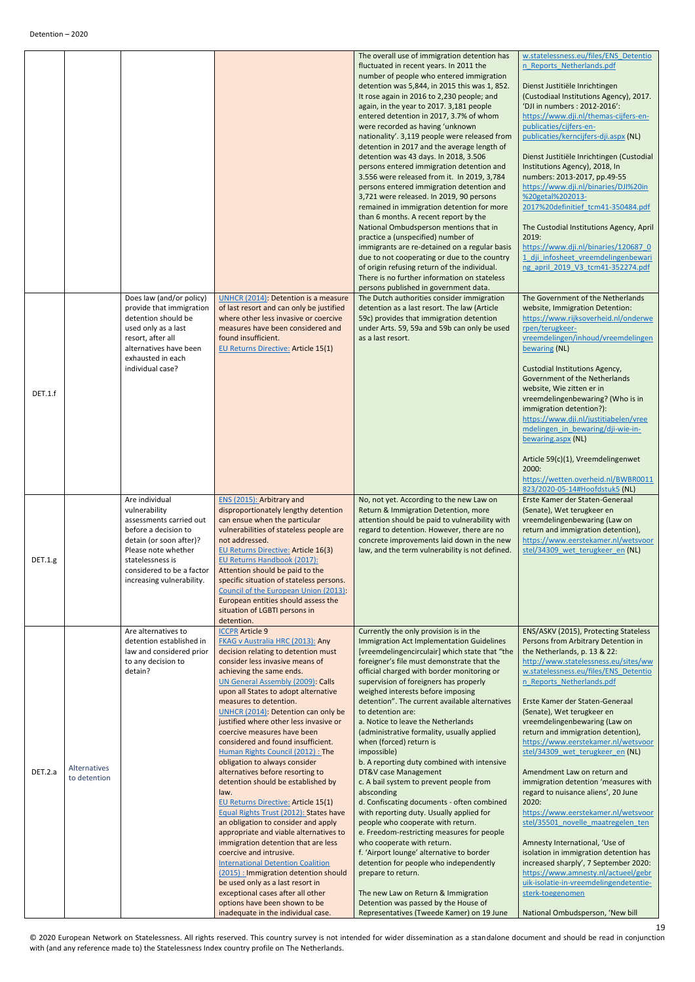<span id="page-18-0"></span>

| The overall use of immigration detention has                                                                                                                                                                                                                                                                                                                                                                                                                                                                                                                                                                                                                                                                                                                                                                                                                                                                                                                                                                                                                                                                                                                                             | w.statelessness.eu/files/ENS Detentio                                                                                                                                                                                                                                                                                                                                                                                                                                                                                                                                                                                                         |
|------------------------------------------------------------------------------------------------------------------------------------------------------------------------------------------------------------------------------------------------------------------------------------------------------------------------------------------------------------------------------------------------------------------------------------------------------------------------------------------------------------------------------------------------------------------------------------------------------------------------------------------------------------------------------------------------------------------------------------------------------------------------------------------------------------------------------------------------------------------------------------------------------------------------------------------------------------------------------------------------------------------------------------------------------------------------------------------------------------------------------------------------------------------------------------------|-----------------------------------------------------------------------------------------------------------------------------------------------------------------------------------------------------------------------------------------------------------------------------------------------------------------------------------------------------------------------------------------------------------------------------------------------------------------------------------------------------------------------------------------------------------------------------------------------------------------------------------------------|
| fluctuated in recent years. In 2011 the<br>number of people who entered immigration<br>detention was 5,844, in 2015 this was 1, 852.<br>It rose again in 2016 to 2,230 people; and<br>again, in the year to 2017. 3,181 people<br>entered detention in 2017, 3.7% of whom<br>were recorded as having 'unknown<br>nationality'. 3,119 people were released from<br>detention in 2017 and the average length of<br>detention was 43 days. In 2018, 3.506<br>persons entered immigration detention and<br>3.556 were released from it. In 2019, 3,784<br>persons entered immigration detention and<br>3,721 were released. In 2019, 90 persons<br>remained in immigration detention for more<br>than 6 months. A recent report by the<br>National Ombudsperson mentions that in<br>practice a (unspecified) number of<br>immigrants are re-detained on a regular basis<br>due to not cooperating or due to the country<br>of origin refusing return of the individual.                                                                                                                                                                                                                      | n Reports Netherlands.pdf<br>Dienst Justitiële Inrichtingen<br>(Custodiaal Institutions Agency), 2017.<br>'DJI in numbers: 2012-2016':<br>https://www.dji.nl/themas-cijfers-en-<br>publicaties/cijfers-en-<br>publicaties/kerncijfers-dji.aspx (NL)<br>Dienst Justitiële Inrichtingen (Custodial<br>Institutions Agency), 2018, In<br>numbers: 2013-2017, pp.49-55<br>https://www.dji.nl/binaries/DJI%20in<br>%20getal%202013-<br>2017%20definitief_tcm41-350484.pdf<br>The Custodial Institutions Agency, April<br>2019:<br>https://www.dji.nl/binaries/120687 0<br>1 dji infosheet vreemdelingenbewari<br>ng april 2019 V3 tcm41-352274.pdf |
| There is no further information on stateless<br>persons published in government data.<br>Does law (and/or policy)<br>The Dutch authorities consider immigration<br><b>UNHCR (2014): Detention is a measure</b><br>of last resort and can only be justified<br>detention as a last resort. The law (Article<br>provide that immigration<br>detention should be<br>where other less invasive or coercive<br>59c) provides that immigration detention<br>under Arts. 59, 59a and 59b can only be used<br>used only as a last<br>measures have been considered and<br>resort, after all<br>found insufficient.<br>as a last resort.<br>alternatives have been<br><b>EU Returns Directive: Article 15(1)</b><br>exhausted in each<br>individual case?<br>DET.1.f                                                                                                                                                                                                                                                                                                                                                                                                                              | The Government of the Netherlands<br>website, Immigration Detention:<br>https://www.rijksoverheid.nl/onderwe<br>rpen/terugkeer-<br>vreemdelingen/inhoud/vreemdelingen<br>bewaring (NL)<br>Custodial Institutions Agency,<br>Government of the Netherlands<br>website, Wie zitten er in<br>vreemdelingenbewaring? (Who is in<br>immigration detention?):<br>https://www.dji.nl/justitiabelen/vree                                                                                                                                                                                                                                              |
|                                                                                                                                                                                                                                                                                                                                                                                                                                                                                                                                                                                                                                                                                                                                                                                                                                                                                                                                                                                                                                                                                                                                                                                          | mdelingen in bewaring/dji-wie-in-<br>bewaring.aspx (NL)<br>Article 59(c)(1), Vreemdelingenwet<br>2000:<br>https://wetten.overheid.nl/BWBR0011<br>823/2020-05-14#Hoofdstuk5 (NL)                                                                                                                                                                                                                                                                                                                                                                                                                                                               |
| Are individual<br>ENS (2015): Arbitrary and<br>No, not yet. According to the new Law on<br>disproportionately lengthy detention<br>vulnerability<br>Return & Immigration Detention, more<br>can ensue when the particular<br>attention should be paid to vulnerability with<br>assessments carried out<br>before a decision to<br>vulnerabilities of stateless people are<br>regard to detention. However, there are no<br>not addressed.<br>concrete improvements laid down in the new<br>detain (or soon after)?<br>Please note whether<br><b>EU Returns Directive: Article 16(3)</b><br>law, and the term vulnerability is not defined.<br>DEF.1.g.<br>statelessness is<br>EU Returns Handbook (2017):<br>Attention should be paid to the<br>considered to be a factor<br>specific situation of stateless persons.<br>increasing vulnerability.<br>Council of the European Union (2013):<br>European entities should assess the<br>situation of LGBTI persons in<br>detention.                                                                                                                                                                                                        | Erste Kamer der Staten-Generaal<br>(Senate), Wet terugkeer en<br>vreemdelingenbewaring (Law on<br>return and immigration detention),<br>https://www.eerstekamer.nl/wetsvoor<br>stel/34309 wet terugkeer en (NL)                                                                                                                                                                                                                                                                                                                                                                                                                               |
| <b>ICCPR Article 9</b><br>Are alternatives to<br>Currently the only provision is in the<br>detention established in<br>FKAG v Australia HRC (2013): Any<br>Immigration Act Implementation Guidelines<br>decision relating to detention must<br>[vreemdelingencirculair] which state that "the<br>law and considered prior<br>consider less invasive means of<br>foreigner's file must demonstrate that the<br>to any decision to<br>detain?<br>achieving the same ends.<br>official charged with border monitoring or<br><b>UN General Assembly (2009): Calls</b><br>supervision of foreigners has properly<br>upon all States to adopt alternative<br>weighed interests before imposing<br>measures to detention.<br>detention". The current available alternatives<br>UNHCR (2014): Detention can only be<br>to detention are:<br>a. Notice to leave the Netherlands<br>justified where other less invasive or<br>coercive measures have been<br>(administrative formality, usually applied<br>considered and found insufficient.<br>when (forced) return is<br>Human Rights Council (2012) : The<br>impossible)                                                                       | ENS/ASKV (2015), Protecting Stateless<br>Persons from Arbitrary Detention in<br>the Netherlands, p. 13 & 22:<br>http://www.statelessness.eu/sites/ww<br>w.statelessness.eu/files/ENS Detentio<br>n Reports Netherlands.pdf<br>Erste Kamer der Staten-Generaal<br>(Senate), Wet terugkeer en<br>vreemdelingenbewaring (Law on<br>return and immigration detention),<br>https://www.eerstekamer.nl/wetsvoor<br>stel/34309 wet terugkeer en (NL)                                                                                                                                                                                                 |
| obligation to always consider<br>b. A reporting duty combined with intensive<br>Alternatives<br>DET.2.a<br>alternatives before resorting to<br>DT&V case Management<br>to detention<br>detention should be established by<br>c. A bail system to prevent people from<br>law.<br>absconding<br>d. Confiscating documents - often combined<br><b>EU Returns Directive: Article 15(1)</b><br>Equal Rights Trust (2012): States have<br>with reporting duty. Usually applied for<br>an obligation to consider and apply<br>people who cooperate with return.<br>appropriate and viable alternatives to<br>e. Freedom-restricting measures for people<br>immigration detention that are less<br>who cooperate with return.<br>coercive and intrusive.<br>f. 'Airport lounge' alternative to border<br><b>International Detention Coalition</b><br>detention for people who independently<br>(2015) : Immigration detention should<br>prepare to return.<br>be used only as a last resort in<br>exceptional cases after all other<br>The new Law on Return & Immigration<br>options have been shown to be<br>Detention was passed by the House of<br>Representatives (Tweede Kamer) on 19 June | Amendment Law on return and<br>immigration detention 'measures with<br>regard to nuisance aliens', 20 June<br>2020:<br>https://www.eerstekamer.nl/wetsvoor<br>stel/35501 novelle maatregelen ten<br>Amnesty International, 'Use of<br>isolation in immigration detention has<br>increased sharply', 7 September 2020:<br>https://www.amnesty.nl/actueel/gebr<br>uik-isolatie-in-vreemdelingendetentie-<br>sterk-toegenomen                                                                                                                                                                                                                    |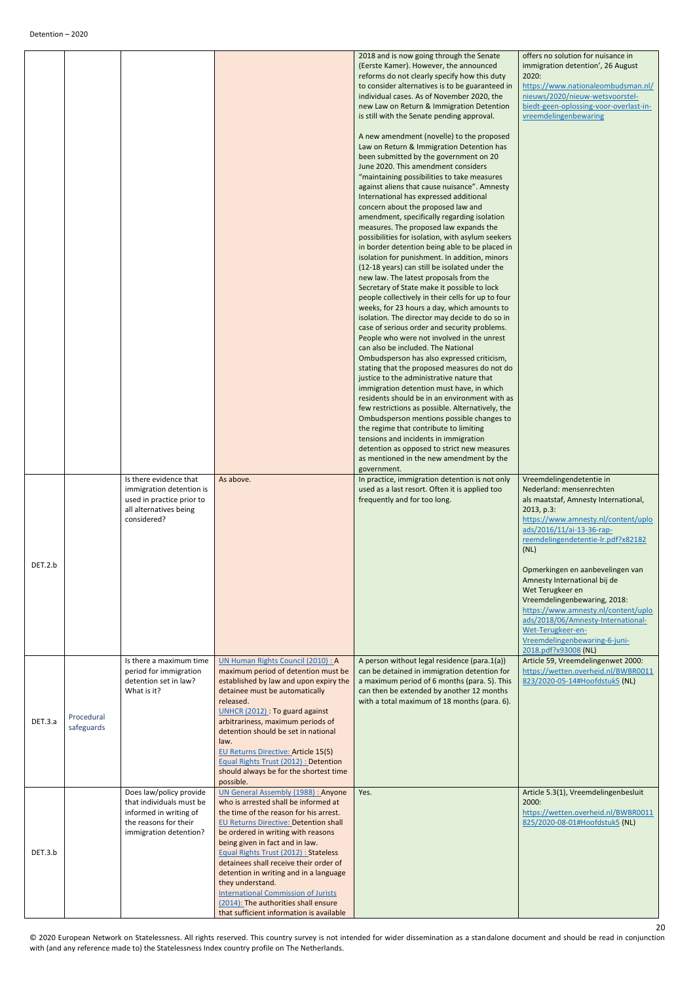<span id="page-19-0"></span>

|         |                          | Is there evidence that                                                                                                           | As above.                                                                                                                                                                                                                                                                                                                                                                                                                                                                                                                               | 2018 and is now going through the Senate<br>(Eerste Kamer). However, the announced<br>reforms do not clearly specify how this duty<br>to consider alternatives is to be guaranteed in<br>individual cases. As of November 2020, the<br>new Law on Return & Immigration Detention<br>is still with the Senate pending approval.<br>A new amendment (novelle) to the proposed<br>Law on Return & Immigration Detention has<br>been submitted by the government on 20<br>June 2020. This amendment considers<br>"maintaining possibilities to take measures<br>against aliens that cause nuisance". Amnesty<br>International has expressed additional<br>concern about the proposed law and<br>amendment, specifically regarding isolation<br>measures. The proposed law expands the<br>possibilities for isolation, with asylum seekers<br>in border detention being able to be placed in<br>isolation for punishment. In addition, minors<br>(12-18 years) can still be isolated under the<br>new law. The latest proposals from the<br>Secretary of State make it possible to lock<br>people collectively in their cells for up to four<br>weeks, for 23 hours a day, which amounts to<br>isolation. The director may decide to do so in<br>case of serious order and security problems.<br>People who were not involved in the unrest<br>can also be included. The National<br>Ombudsperson has also expressed criticism,<br>stating that the proposed measures do not do<br>justice to the administrative nature that<br>immigration detention must have, in which<br>residents should be in an environment with as<br>few restrictions as possible. Alternatively, the<br>Ombudsperson mentions possible changes to<br>the regime that contribute to limiting<br>tensions and incidents in immigration<br>detention as opposed to strict new measures<br>as mentioned in the new amendment by the<br>government. | offers no solution for nuisance in<br>immigration detention', 26 August<br>2020:<br>https://www.nationaleombudsman.nl/<br>nieuws/2020/nieuw-wetsvoorstel-<br>biedt-geen-oplossing-voor-overlast-in-<br>vreemdelingenbewaring                                                                                                                                                                                                                                                            |
|---------|--------------------------|----------------------------------------------------------------------------------------------------------------------------------|-----------------------------------------------------------------------------------------------------------------------------------------------------------------------------------------------------------------------------------------------------------------------------------------------------------------------------------------------------------------------------------------------------------------------------------------------------------------------------------------------------------------------------------------|---------------------------------------------------------------------------------------------------------------------------------------------------------------------------------------------------------------------------------------------------------------------------------------------------------------------------------------------------------------------------------------------------------------------------------------------------------------------------------------------------------------------------------------------------------------------------------------------------------------------------------------------------------------------------------------------------------------------------------------------------------------------------------------------------------------------------------------------------------------------------------------------------------------------------------------------------------------------------------------------------------------------------------------------------------------------------------------------------------------------------------------------------------------------------------------------------------------------------------------------------------------------------------------------------------------------------------------------------------------------------------------------------------------------------------------------------------------------------------------------------------------------------------------------------------------------------------------------------------------------------------------------------------------------------------------------------------------------------------------------------------------------------------------------------------------------------------------------------------------------------------------------------------------------|-----------------------------------------------------------------------------------------------------------------------------------------------------------------------------------------------------------------------------------------------------------------------------------------------------------------------------------------------------------------------------------------------------------------------------------------------------------------------------------------|
| DET.2.b |                          | immigration detention is<br>used in practice prior to<br>all alternatives being<br>considered?                                   |                                                                                                                                                                                                                                                                                                                                                                                                                                                                                                                                         | In practice, immigration detention is not only<br>used as a last resort. Often it is applied too<br>frequently and for too long.                                                                                                                                                                                                                                                                                                                                                                                                                                                                                                                                                                                                                                                                                                                                                                                                                                                                                                                                                                                                                                                                                                                                                                                                                                                                                                                                                                                                                                                                                                                                                                                                                                                                                                                                                                                    | Vreemdelingendetentie in<br>Nederland: mensenrechten<br>als maatstaf, Amnesty International,<br>2013, p.3:<br>https://www.amnesty.nl/content/uplo<br>ads/2016/11/ai-13-36-rap-<br>reemdelingendetentie-lr.pdf?x82182<br>(NL)<br>Opmerkingen en aanbevelingen van<br>Amnesty International bij de<br>Wet Terugkeer en<br>Vreemdelingenbewaring, 2018:<br>https://www.amnesty.nl/content/uplo<br>ads/2018/06/Amnesty-International-<br>Wet-Terugkeer-en-<br>Vreemdelingenbewaring-6-juni- |
| DET.3.a | Procedural<br>safeguards | Is there a maximum time<br>period for immigration<br>detention set in law?<br>What is it?                                        | UN Human Rights Council (2010) : A<br>maximum period of detention must be<br>established by law and upon expiry the<br>detainee must be automatically<br>released.<br>UNHCR (2012): To guard against<br>arbitrariness, maximum periods of<br>detention should be set in national<br>law.<br><b>EU Returns Directive: Article 15(5)</b><br><b>Equal Rights Trust (2012): Detention</b><br>should always be for the shortest time<br>possible.                                                                                            | A person without legal residence (para.1(a))<br>can be detained in immigration detention for<br>a maximum period of 6 months (para. 5). This<br>can then be extended by another 12 months<br>with a total maximum of 18 months (para. 6).                                                                                                                                                                                                                                                                                                                                                                                                                                                                                                                                                                                                                                                                                                                                                                                                                                                                                                                                                                                                                                                                                                                                                                                                                                                                                                                                                                                                                                                                                                                                                                                                                                                                           | 2018.pdf?x93008 (NL)<br>Article 59, Vreemdelingenwet 2000:<br>https://wetten.overheid.nl/BWBR0011<br>823/2020-05-14#Hoofdstuk5 (NL)                                                                                                                                                                                                                                                                                                                                                     |
| DET.3.b |                          | Does law/policy provide<br>that individuals must be<br>informed in writing of<br>the reasons for their<br>immigration detention? | <b>UN General Assembly (1988): Anyone</b><br>who is arrested shall be informed at<br>the time of the reason for his arrest.<br><b>EU Returns Directive: Detention shall</b><br>be ordered in writing with reasons<br>being given in fact and in law.<br>Equal Rights Trust (2012) : Stateless<br>detainees shall receive their order of<br>detention in writing and in a language<br>they understand.<br><b>International Commission of Jurists</b><br>(2014): The authorities shall ensure<br>that sufficient information is available | Yes.                                                                                                                                                                                                                                                                                                                                                                                                                                                                                                                                                                                                                                                                                                                                                                                                                                                                                                                                                                                                                                                                                                                                                                                                                                                                                                                                                                                                                                                                                                                                                                                                                                                                                                                                                                                                                                                                                                                | Article 5.3(1), Vreemdelingenbesluit<br>2000:<br>https://wetten.overheid.nl/BWBR0011<br>825/2020-08-01#Hoofdstuk5 (NL)                                                                                                                                                                                                                                                                                                                                                                  |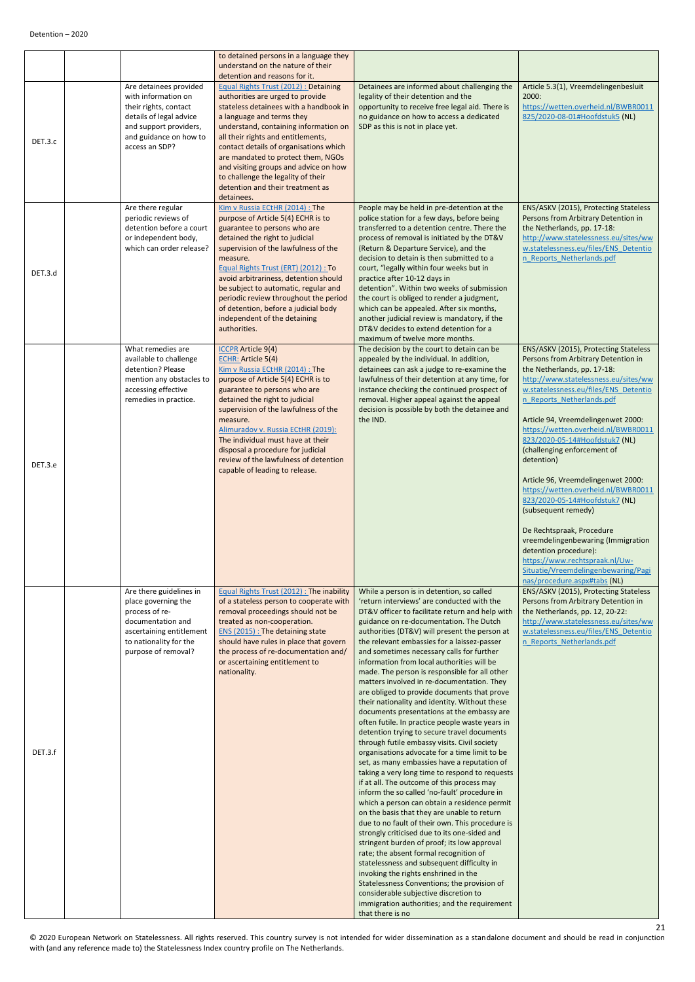|         |                                                                                                                                                                         | to detained persons in a language they<br>understand on the nature of their                                                                                                                                                                                                                                                                                                                                                                                                             |                                                                                                                                                                                                                                                                                                                                                                                                                                                                                                                                                                                                                                                                                                                                                                                                                                                                                                                                                                                                                                                                                                                                                                                                                                                                                                                                                                                                                                                                                                                                                                              |                                                                                                                                                                                                                                                                                                                                                                                                                                                                                                                                                                                                                                                                                                                                  |
|---------|-------------------------------------------------------------------------------------------------------------------------------------------------------------------------|-----------------------------------------------------------------------------------------------------------------------------------------------------------------------------------------------------------------------------------------------------------------------------------------------------------------------------------------------------------------------------------------------------------------------------------------------------------------------------------------|------------------------------------------------------------------------------------------------------------------------------------------------------------------------------------------------------------------------------------------------------------------------------------------------------------------------------------------------------------------------------------------------------------------------------------------------------------------------------------------------------------------------------------------------------------------------------------------------------------------------------------------------------------------------------------------------------------------------------------------------------------------------------------------------------------------------------------------------------------------------------------------------------------------------------------------------------------------------------------------------------------------------------------------------------------------------------------------------------------------------------------------------------------------------------------------------------------------------------------------------------------------------------------------------------------------------------------------------------------------------------------------------------------------------------------------------------------------------------------------------------------------------------------------------------------------------------|----------------------------------------------------------------------------------------------------------------------------------------------------------------------------------------------------------------------------------------------------------------------------------------------------------------------------------------------------------------------------------------------------------------------------------------------------------------------------------------------------------------------------------------------------------------------------------------------------------------------------------------------------------------------------------------------------------------------------------|
| DET.3.c | Are detainees provided<br>with information on<br>their rights, contact<br>details of legal advice<br>and support providers,<br>and guidance on how to<br>access an SDP? | detention and reasons for it.<br><b>Equal Rights Trust (2012): Detaining</b><br>authorities are urged to provide<br>stateless detainees with a handbook in<br>a language and terms they<br>understand, containing information on<br>all their rights and entitlements,<br>contact details of organisations which<br>are mandated to protect them, NGOs<br>and visiting groups and advice on how<br>to challenge the legality of their<br>detention and their treatment as<br>detainees. | Detainees are informed about challenging the<br>legality of their detention and the<br>opportunity to receive free legal aid. There is<br>no guidance on how to access a dedicated<br>SDP as this is not in place yet.                                                                                                                                                                                                                                                                                                                                                                                                                                                                                                                                                                                                                                                                                                                                                                                                                                                                                                                                                                                                                                                                                                                                                                                                                                                                                                                                                       | Article 5.3(1), Vreemdelingenbesluit<br>2000:<br>https://wetten.overheid.nl/BWBR0011<br>825/2020-08-01#Hoofdstuk5 (NL)                                                                                                                                                                                                                                                                                                                                                                                                                                                                                                                                                                                                           |
| DET.3.d | Are there regular<br>periodic reviews of<br>detention before a court<br>or independent body,<br>which can order release?                                                | Kim v Russia ECtHR (2014) : The<br>purpose of Article 5(4) ECHR is to<br>guarantee to persons who are<br>detained the right to judicial<br>supervision of the lawfulness of the<br>measure.<br>Equal Rights Trust (ERT) (2012) : To<br>avoid arbitrariness, detention should<br>be subject to automatic, regular and<br>periodic review throughout the period<br>of detention, before a judicial body<br>independent of the detaining<br>authorities.                                   | People may be held in pre-detention at the<br>police station for a few days, before being<br>transferred to a detention centre. There the<br>process of removal is initiated by the DT&V<br>(Return & Departure Service), and the<br>decision to detain is then submitted to a<br>court, "legally within four weeks but in<br>practice after 10-12 days in<br>detention". Within two weeks of submission<br>the court is obliged to render a judgment,<br>which can be appealed. After six months,<br>another judicial review is mandatory, if the<br>DT&V decides to extend detention for a                                                                                                                                                                                                                                                                                                                                                                                                                                                                                                                                                                                                                                                                                                                                                                                                                                                                                                                                                                                 | ENS/ASKV (2015), Protecting Stateless<br>Persons from Arbitrary Detention in<br>the Netherlands, pp. 17-18:<br>http://www.statelessness.eu/sites/ww<br>w.statelessness.eu/files/ENS Detentio<br>n Reports Netherlands.pdf                                                                                                                                                                                                                                                                                                                                                                                                                                                                                                        |
| DET.3.e | What remedies are<br>available to challenge<br>detention? Please<br>mention any obstacles to<br>accessing effective<br>remedies in practice.                            | <b>ICCPR</b> Article 9(4)<br><b>ECHR: Article 5(4)</b><br>Kim v Russia ECtHR (2014) : The<br>purpose of Article 5(4) ECHR is to<br>guarantee to persons who are<br>detained the right to judicial<br>supervision of the lawfulness of the<br>measure.<br>Alimuradov v. Russia ECtHR (2019):<br>The individual must have at their<br>disposal a procedure for judicial<br>review of the lawfulness of detention<br>capable of leading to release.                                        | maximum of twelve more months.<br>The decision by the court to detain can be<br>appealed by the individual. In addition,<br>detainees can ask a judge to re-examine the<br>lawfulness of their detention at any time, for<br>instance checking the continued prospect of<br>removal. Higher appeal against the appeal<br>decision is possible by both the detainee and<br>the IND.                                                                                                                                                                                                                                                                                                                                                                                                                                                                                                                                                                                                                                                                                                                                                                                                                                                                                                                                                                                                                                                                                                                                                                                           | ENS/ASKV (2015), Protecting Stateless<br>Persons from Arbitrary Detention in<br>the Netherlands, pp. 17-18:<br>http://www.statelessness.eu/sites/ww<br>w.statelessness.eu/files/ENS Detentio<br>n Reports Netherlands.pdf<br>Article 94, Vreemdelingenwet 2000:<br>https://wetten.overheid.nl/BWBR0011<br>823/2020-05-14#Hoofdstuk7 (NL)<br>(challenging enforcement of<br>detention)<br>Article 96, Vreemdelingenwet 2000:<br>https://wetten.overheid.nl/BWBR0011<br>823/2020-05-14#Hoofdstuk7 (NL)<br>(subsequent remedy)<br>De Rechtspraak, Procedure<br>vreemdelingenbewaring (Immigration<br>detention procedure):<br>https://www.rechtspraak.nl/Uw-<br>Situatie/Vreemdelingenbewaring/Pagi<br>nas/procedure.aspx#tabs (NL) |
| DET.3.f | Are there guidelines in<br>place governing the<br>process of re-<br>documentation and<br>ascertaining entitlement<br>to nationality for the<br>purpose of removal?      | Equal Rights Trust (2012): The inability<br>of a stateless person to cooperate with<br>removal proceedings should not be<br>treated as non-cooperation.<br>ENS (2015) : The detaining state<br>should have rules in place that govern<br>the process of re-documentation and/<br>or ascertaining entitlement to<br>nationality.                                                                                                                                                         | While a person is in detention, so called<br>'return interviews' are conducted with the<br>DT&V officer to facilitate return and help with<br>guidance on re-documentation. The Dutch<br>authorities (DT&V) will present the person at<br>the relevant embassies for a laissez-passer<br>and sometimes necessary calls for further<br>information from local authorities will be<br>made. The person is responsible for all other<br>matters involved in re-documentation. They<br>are obliged to provide documents that prove<br>their nationality and identity. Without these<br>documents presentations at the embassy are<br>often futile. In practice people waste years in<br>detention trying to secure travel documents<br>through futile embassy visits. Civil society<br>organisations advocate for a time limit to be<br>set, as many embassies have a reputation of<br>taking a very long time to respond to requests<br>if at all. The outcome of this process may<br>inform the so called 'no-fault' procedure in<br>which a person can obtain a residence permit<br>on the basis that they are unable to return<br>due to no fault of their own. This procedure is<br>strongly criticised due to its one-sided and<br>stringent burden of proof; its low approval<br>rate; the absent formal recognition of<br>statelessness and subsequent difficulty in<br>invoking the rights enshrined in the<br>Statelessness Conventions; the provision of<br>considerable subjective discretion to<br>immigration authorities; and the requirement<br>that there is no | ENS/ASKV (2015), Protecting Stateless<br>Persons from Arbitrary Detention in<br>the Netherlands, pp. 12, 20-22:<br>http://www.statelessness.eu/sites/ww<br>w.statelessness.eu/files/ENS Detentio<br>n Reports Netherlands.pdf                                                                                                                                                                                                                                                                                                                                                                                                                                                                                                    |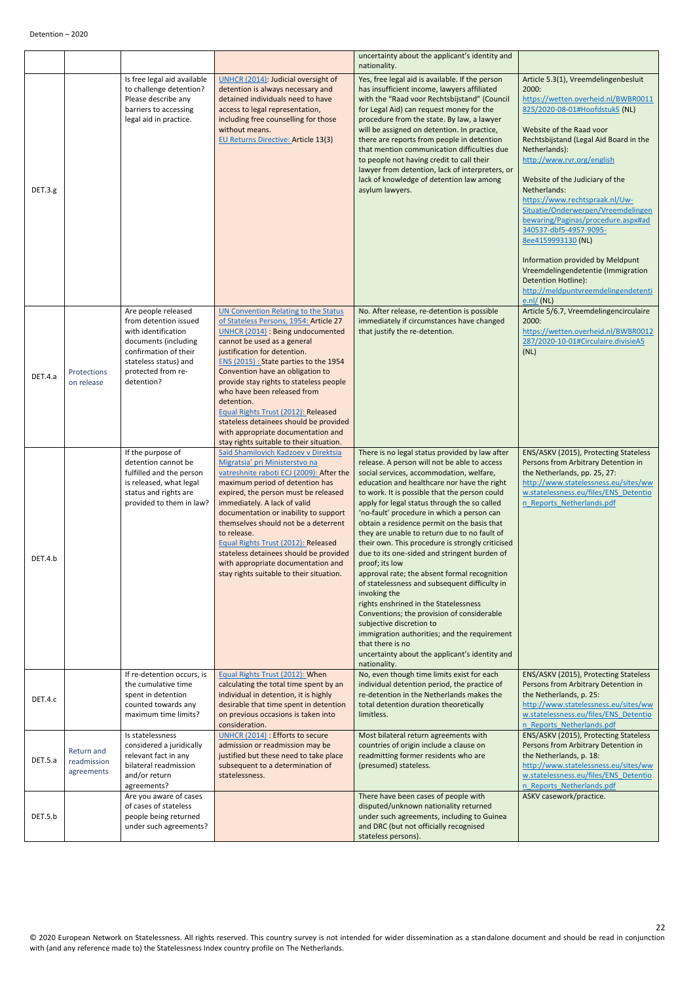<span id="page-21-1"></span><span id="page-21-0"></span>

|         |                                         |                                                                                                                                                                                   |                                                                                                                                                                                                                                                                                                                                                                                                                                                                                                                                    | uncertainty about the applicant's identity and<br>nationality.                                                                                                                                                                                                                                                                                                                                                                                                                                                                                                                                                                                                                                                                                                                                                                                                                                                                          |                                                                                                                                                                                                                                                                                                                                                                                                                                                                                                                                                                                                                        |
|---------|-----------------------------------------|-----------------------------------------------------------------------------------------------------------------------------------------------------------------------------------|------------------------------------------------------------------------------------------------------------------------------------------------------------------------------------------------------------------------------------------------------------------------------------------------------------------------------------------------------------------------------------------------------------------------------------------------------------------------------------------------------------------------------------|-----------------------------------------------------------------------------------------------------------------------------------------------------------------------------------------------------------------------------------------------------------------------------------------------------------------------------------------------------------------------------------------------------------------------------------------------------------------------------------------------------------------------------------------------------------------------------------------------------------------------------------------------------------------------------------------------------------------------------------------------------------------------------------------------------------------------------------------------------------------------------------------------------------------------------------------|------------------------------------------------------------------------------------------------------------------------------------------------------------------------------------------------------------------------------------------------------------------------------------------------------------------------------------------------------------------------------------------------------------------------------------------------------------------------------------------------------------------------------------------------------------------------------------------------------------------------|
| DET.3.g |                                         | Is free legal aid available<br>to challenge detention?<br>Please describe any<br>barriers to accessing<br>legal aid in practice.                                                  | UNHCR (2014): Judicial oversight of<br>detention is always necessary and<br>detained individuals need to have<br>access to legal representation,<br>including free counselling for those<br>without means.<br><b>EU Returns Directive: Article 13(3)</b>                                                                                                                                                                                                                                                                           | Yes, free legal aid is available. If the person<br>has insufficient income, lawyers affiliated<br>with the "Raad voor Rechtsbijstand" (Council<br>for Legal Aid) can request money for the<br>procedure from the state. By law, a lawyer<br>will be assigned on detention. In practice,<br>there are reports from people in detention<br>that mention communication difficulties due<br>to people not having credit to call their<br>lawyer from detention, lack of interpreters, or<br>lack of knowledge of detention law among<br>asylum lawyers.                                                                                                                                                                                                                                                                                                                                                                                     | Article 5.3(1), Vreemdelingenbesluit<br>2000:<br>https://wetten.overheid.nl/BWBR0011<br>825/2020-08-01#Hoofdstuk5 (NL)<br>Website of the Raad voor<br>Rechtsbijstand (Legal Aid Board in the<br>Netherlands):<br>http://www.rvr.org/english<br>Website of the Judiciary of the<br>Netherlands:<br>https://www.rechtspraak.nl/Uw-<br>Situatie/Onderwerpen/Vreemdelingen<br>bewaring/Paginas/procedure.aspx#ad<br>340537-dbf5-4957-9095-<br>8ee4159993130 (NL)<br>Information provided by Meldpunt<br>Vreemdelingendetentie (Immigration<br>Detention Hotline):<br>http://meldpuntvreemdelingendetenti<br>$e.n$ / $(NL)$ |
| DET.4.a | Protections<br>on release               | Are people released<br>from detention issued<br>with identification<br>documents (including<br>confirmation of their<br>stateless status) and<br>protected from re-<br>detention? | <b>UN Convention Relating to the Status</b><br>of Stateless Persons, 1954: Article 27<br>UNHCR (2014) : Being undocumented<br>cannot be used as a general<br>justification for detention.<br>ENS (2015) : State parties to the 1954<br>Convention have an obligation to<br>provide stay rights to stateless people<br>who have been released from<br>detention.<br>Equal Rights Trust (2012): Released<br>stateless detainees should be provided<br>with appropriate documentation and<br>stay rights suitable to their situation. | No. After release, re-detention is possible<br>immediately if circumstances have changed<br>that justify the re-detention.                                                                                                                                                                                                                                                                                                                                                                                                                                                                                                                                                                                                                                                                                                                                                                                                              | Article 5/6.7, Vreemdelingencirculaire<br>2000:<br>https://wetten.overheid.nl/BWBR0012<br>287/2020-10-01#Circulaire.divisieA5<br>(NL)                                                                                                                                                                                                                                                                                                                                                                                                                                                                                  |
| DET.4.b |                                         | If the purpose of<br>detention cannot be<br>fulfilled and the person<br>is released, what legal<br>status and rights are<br>provided to them in law?                              | Saïd Shamilovich Kadzoev v Direktsia<br>Migratsia' pri Ministerstvo na<br>vatreshnite raboti ECJ (2009): After the<br>maximum period of detention has<br>expired, the person must be released<br>immediately. A lack of valid<br>documentation or inability to support<br>themselves should not be a deterrent<br>to release.<br>Equal Rights Trust (2012): Released<br>stateless detainees should be provided<br>with appropriate documentation and<br>stay rights suitable to their situation.                                   | There is no legal status provided by law after<br>release. A person will not be able to access<br>social services, accommodation, welfare,<br>education and healthcare nor have the right<br>to work. It is possible that the person could<br>apply for legal status through the so called<br>'no-fault' procedure in which a person can<br>obtain a residence permit on the basis that<br>they are unable to return due to no fault of<br>their own. This procedure is strongly criticised<br>due to its one-sided and stringent burden of<br>proof; its low<br>approval rate; the absent formal recognition<br>of statelessness and subsequent difficulty in<br>invoking the<br>rights enshrined in the Statelessness<br>Conventions; the provision of considerable<br>subjective discretion to<br>immigration authorities; and the requirement<br>that there is no<br>uncertainty about the applicant's identity and<br>nationality. | ENS/ASKV (2015), Protecting Stateless<br>Persons from Arbitrary Detention in<br>the Netherlands, pp. 25, 27:<br>http://www.statelessness.eu/sites/ww<br>w.statelessness.eu/files/ENS Detentio<br>n Reports Netherlands.pdf                                                                                                                                                                                                                                                                                                                                                                                             |
| DET.4.c |                                         | If re-detention occurs, is<br>the cumulative time<br>spent in detention<br>counted towards any<br>maximum time limits?                                                            | Equal Rights Trust (2012): When<br>calculating the total time spent by an<br>individual in detention, it is highly<br>desirable that time spent in detention<br>on previous occasions is taken into<br>consideration.                                                                                                                                                                                                                                                                                                              | No, even though time limits exist for each<br>individual detention period, the practice of<br>re-detention in the Netherlands makes the<br>total detention duration theoretically<br>limitless.                                                                                                                                                                                                                                                                                                                                                                                                                                                                                                                                                                                                                                                                                                                                         | ENS/ASKV (2015), Protecting Stateless<br>Persons from Arbitrary Detention in<br>the Netherlands, p. 25:<br>http://www.statelessness.eu/sites/ww<br>w.statelessness.eu/files/ENS Detentio<br>n Reports Netherlands.pdf                                                                                                                                                                                                                                                                                                                                                                                                  |
| DET.5.a | Return and<br>readmission<br>agreements | Is statelessness<br>considered a juridically<br>relevant fact in any<br>bilateral readmission<br>and/or return<br>agreements?                                                     | UNHCR (2014) : Efforts to secure<br>admission or readmission may be<br>justified but these need to take place<br>subsequent to a determination of<br>statelessness.                                                                                                                                                                                                                                                                                                                                                                | Most bilateral return agreements with<br>countries of origin include a clause on<br>readmitting former residents who are<br>(presumed) stateless.                                                                                                                                                                                                                                                                                                                                                                                                                                                                                                                                                                                                                                                                                                                                                                                       | ENS/ASKV (2015), Protecting Stateless<br>Persons from Arbitrary Detention in<br>the Netherlands, p. 18:<br>http://www.statelessness.eu/sites/ww<br>w.statelessness.eu/files/ENS Detentio<br>n Reports Netherlands.pdf                                                                                                                                                                                                                                                                                                                                                                                                  |
| DET.5.b |                                         | Are you aware of cases<br>of cases of stateless<br>people being returned<br>under such agreements?                                                                                |                                                                                                                                                                                                                                                                                                                                                                                                                                                                                                                                    | There have been cases of people with<br>disputed/unknown nationality returned<br>under such agreements, including to Guinea<br>and DRC (but not officially recognised<br>stateless persons).                                                                                                                                                                                                                                                                                                                                                                                                                                                                                                                                                                                                                                                                                                                                            | ASKV casework/practice.                                                                                                                                                                                                                                                                                                                                                                                                                                                                                                                                                                                                |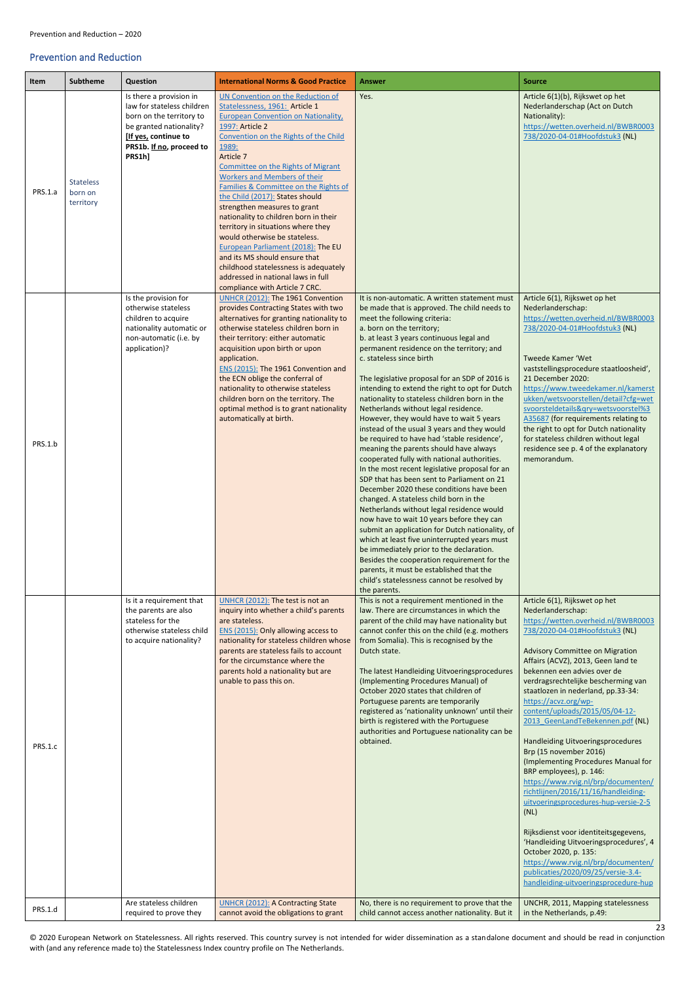© 2020 European Network on Statelessness. All rights reserved. This country survey is not intended for wider dissemination as a standalone document and should be read in conjunction with (and any reference made to) the Statelessness Index country profile on The Netherlands.

### <span id="page-22-0"></span>Prevention and Reduction

<span id="page-22-1"></span>

| <b>Item</b> | <b>Subtheme</b>                          | Question                                                                                                                                                                                                                                         | <b>International Norms &amp; Good Practice</b>                                                                                                                                                                                                                                                                                                                                                                                                                                                                                                                                                                                                                                                                                                                                                                                 | <b>Answer</b>                                                                                                                                                                                                                                                                                                                                                                                                                                                                                                                                                                                                                                                                                                                                                                                                                                                                                                                                                                                                                                                                                                                                          | <b>Source</b>                                                                                                                                                                                                                                                                                                                                                                                                                                                                                                                                                                                                                                                                                                                                                                                                                                                                                                  |
|-------------|------------------------------------------|--------------------------------------------------------------------------------------------------------------------------------------------------------------------------------------------------------------------------------------------------|--------------------------------------------------------------------------------------------------------------------------------------------------------------------------------------------------------------------------------------------------------------------------------------------------------------------------------------------------------------------------------------------------------------------------------------------------------------------------------------------------------------------------------------------------------------------------------------------------------------------------------------------------------------------------------------------------------------------------------------------------------------------------------------------------------------------------------|--------------------------------------------------------------------------------------------------------------------------------------------------------------------------------------------------------------------------------------------------------------------------------------------------------------------------------------------------------------------------------------------------------------------------------------------------------------------------------------------------------------------------------------------------------------------------------------------------------------------------------------------------------------------------------------------------------------------------------------------------------------------------------------------------------------------------------------------------------------------------------------------------------------------------------------------------------------------------------------------------------------------------------------------------------------------------------------------------------------------------------------------------------|----------------------------------------------------------------------------------------------------------------------------------------------------------------------------------------------------------------------------------------------------------------------------------------------------------------------------------------------------------------------------------------------------------------------------------------------------------------------------------------------------------------------------------------------------------------------------------------------------------------------------------------------------------------------------------------------------------------------------------------------------------------------------------------------------------------------------------------------------------------------------------------------------------------|
| PRS.1.a     | <b>Stateless</b><br>born on<br>territory | Is there a provision in<br>law for stateless children<br>born on the territory to<br>be granted nationality?<br>[If yes, continue to<br>PRS1b. If no, proceed to<br>PRS1h]<br>Is the provision for<br>otherwise stateless<br>children to acquire | UN Convention on the Reduction of<br>Statelessness, 1961: Article 1<br><b>European Convention on Nationality</b> ,<br>1997: Article 2<br>Convention on the Rights of the Child<br>1989:<br>Article 7<br>Committee on the Rights of Migrant<br><b>Workers and Members of their</b><br>Families & Committee on the Rights of<br>the Child (2017): States should<br>strengthen measures to grant<br>nationality to children born in their<br>territory in situations where they<br>would otherwise be stateless.<br>European Parliament (2018): The EU<br>and its MS should ensure that<br>childhood statelessness is adequately<br>addressed in national laws in full<br>compliance with Article 7 CRC.<br>UNHCR (2012): The 1961 Convention<br>provides Contracting States with two<br>alternatives for granting nationality to | Yes.<br>It is non-automatic. A written statement must<br>be made that is approved. The child needs to<br>meet the following criteria:                                                                                                                                                                                                                                                                                                                                                                                                                                                                                                                                                                                                                                                                                                                                                                                                                                                                                                                                                                                                                  | Article 6(1)(b), Rijkswet op het<br>Nederlanderschap (Act on Dutch<br>Nationality):<br>https://wetten.overheid.nl/BWBR0003<br>738/2020-04-01#Hoofdstuk3 (NL)<br>Article 6(1), Rijkswet op het<br>Nederlanderschap:<br>https://wetten.overheid.nl/BWBR0003                                                                                                                                                                                                                                                                                                                                                                                                                                                                                                                                                                                                                                                      |
| PRS.1.b     |                                          | nationality automatic or<br>non-automatic (i.e. by<br>application)?                                                                                                                                                                              | otherwise stateless children born in<br>their territory: either automatic<br>acquisition upon birth or upon<br>application.<br>ENS (2015): The 1961 Convention and<br>the ECN oblige the conferral of<br>nationality to otherwise stateless<br>children born on the territory. The<br>optimal method is to grant nationality<br>automatically at birth.                                                                                                                                                                                                                                                                                                                                                                                                                                                                        | a. born on the territory;<br>b. at least 3 years continuous legal and<br>permanent residence on the territory; and<br>c. stateless since birth<br>The legislative proposal for an SDP of 2016 is<br>intending to extend the right to opt for Dutch<br>nationality to stateless children born in the<br>Netherlands without legal residence.<br>However, they would have to wait 5 years<br>instead of the usual 3 years and they would<br>be required to have had 'stable residence'<br>meaning the parents should have always<br>cooperated fully with national authorities.<br>In the most recent legislative proposal for an<br>SDP that has been sent to Parliament on 21<br>December 2020 these conditions have been<br>changed. A stateless child born in the<br>Netherlands without legal residence would<br>now have to wait 10 years before they can<br>submit an application for Dutch nationality, of<br>which at least five uninterrupted years must<br>be immediately prior to the declaration.<br>Besides the cooperation requirement for the<br>parents, it must be established that the<br>child's statelessness cannot be resolved by | 738/2020-04-01#Hoofdstuk3 (NL)<br>Tweede Kamer 'Wet<br>vaststellingsprocedure staatloosheid',<br>21 December 2020:<br>https://www.tweedekamer.nl/kamerst<br>ukken/wetsvoorstellen/detail?cfg=wet<br>svoorsteldetails&gry=wetsvoorstel%3<br>A35687 (for requirements relating to<br>the right to opt for Dutch nationality<br>for stateless children without legal<br>residence see p. 4 of the explanatory<br>memorandum.                                                                                                                                                                                                                                                                                                                                                                                                                                                                                      |
| PRS.1.c     |                                          | Is it a requirement that<br>the parents are also<br>stateless for the<br>otherwise stateless child<br>to acquire nationality?                                                                                                                    | UNHCR (2012): The test is not an<br>inquiry into whether a child's parents<br>are stateless.<br>ENS (2015): Only allowing access to<br>nationality for stateless children whose<br>parents are stateless fails to account<br>for the circumstance where the<br>parents hold a nationality but are<br>unable to pass this on.                                                                                                                                                                                                                                                                                                                                                                                                                                                                                                   | the parents.<br>This is not a requirement mentioned in the<br>law. There are circumstances in which the<br>parent of the child may have nationality but<br>cannot confer this on the child (e.g. mothers<br>from Somalia). This is recognised by the<br>Dutch state.<br>The latest Handleiding Uitvoeringsprocedures<br>(Implementing Procedures Manual) of<br>October 2020 states that children of<br>Portuguese parents are temporarily<br>registered as 'nationality unknown' until their<br>birth is registered with the Portuguese<br>authorities and Portuguese nationality can be<br>obtained.                                                                                                                                                                                                                                                                                                                                                                                                                                                                                                                                                  | Article 6(1), Rijkswet op het<br>Nederlanderschap:<br>https://wetten.overheid.nl/BWBR0003<br>738/2020-04-01#Hoofdstuk3 (NL)<br>Advisory Committee on Migration<br>Affairs (ACVZ), 2013, Geen land te<br>bekennen een advies over de<br>verdragsrechtelijke bescherming van<br>staatlozen in nederland, pp.33-34:<br>https://acvz.org/wp-<br>content/uploads/2015/05/04-12-<br>2013 GeenLandTeBekennen.pdf (NL)<br>Handleiding Uitvoeringsprocedures<br>Brp (15 november 2016)<br>(Implementing Procedures Manual for<br>BRP employees), p. 146:<br>https://www.rvig.nl/brp/documenten/<br>richtlijnen/2016/11/16/handleiding-<br>uitvoeringsprocedures-hup-versie-2-5<br>(NL)<br>Rijksdienst voor identiteitsgegevens,<br>'Handleiding Uitvoeringsprocedures', 4<br>October 2020, p. 135:<br>https://www.rvig.nl/brp/documenten/<br>publicaties/2020/09/25/versie-3.4-<br>handleiding-uitvoeringsprocedure-hup |
| PRS.1.d     |                                          | Are stateless children<br>required to prove they                                                                                                                                                                                                 | <b>UNHCR (2012): A Contracting State</b><br>cannot avoid the obligations to grant                                                                                                                                                                                                                                                                                                                                                                                                                                                                                                                                                                                                                                                                                                                                              | No, there is no requirement to prove that the<br>child cannot access another nationality. But it                                                                                                                                                                                                                                                                                                                                                                                                                                                                                                                                                                                                                                                                                                                                                                                                                                                                                                                                                                                                                                                       | UNCHR, 2011, Mapping statelessness<br>in the Netherlands, p.49:                                                                                                                                                                                                                                                                                                                                                                                                                                                                                                                                                                                                                                                                                                                                                                                                                                                |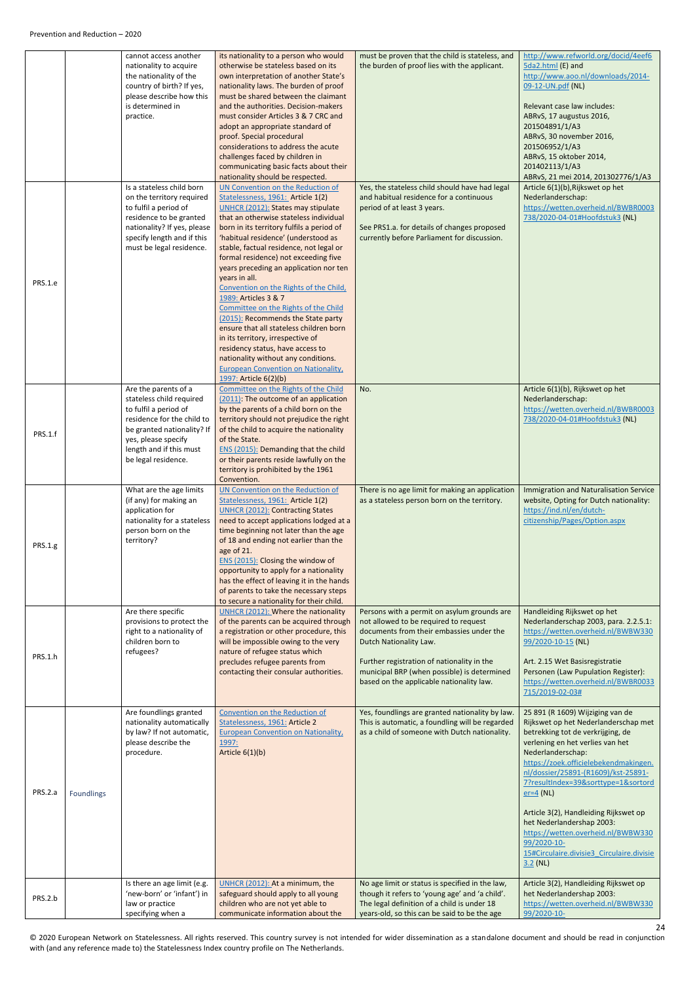<span id="page-23-0"></span>

|                |            | cannot access another<br>nationality to acquire<br>the nationality of the<br>country of birth? If yes,<br>please describe how this<br>is determined in<br>practice.                                            | its nationality to a person who would<br>otherwise be stateless based on its<br>own interpretation of another State's<br>nationality laws. The burden of proof<br>must be shared between the claimant<br>and the authorities. Decision-makers<br>must consider Articles 3 & 7 CRC and<br>adopt an appropriate standard of<br>proof. Special procedural<br>considerations to address the acute<br>challenges faced by children in<br>communicating basic facts about their<br>nationality should be respected.                                                                                                                                                                                                                                                                     | must be proven that the child is stateless, and<br>the burden of proof lies with the applicant.                                                                                                                                                                                                     | http://www.refworld.org/docid/4eef6<br>5da2.html (E) and<br>http://www.aoo.nl/downloads/2014-<br>09-12-UN.pdf (NL)<br>Relevant case law includes:<br>ABRvS, 17 augustus 2016,<br>201504891/1/A3<br>ABRvS, 30 november 2016,<br>201506952/1/A3<br>ABRvS, 15 oktober 2014,<br>201402113/1/A3<br>ABRvS, 21 mei 2014, 201302776/1/A3                                                                                                                                                                   |
|----------------|------------|----------------------------------------------------------------------------------------------------------------------------------------------------------------------------------------------------------------|-----------------------------------------------------------------------------------------------------------------------------------------------------------------------------------------------------------------------------------------------------------------------------------------------------------------------------------------------------------------------------------------------------------------------------------------------------------------------------------------------------------------------------------------------------------------------------------------------------------------------------------------------------------------------------------------------------------------------------------------------------------------------------------|-----------------------------------------------------------------------------------------------------------------------------------------------------------------------------------------------------------------------------------------------------------------------------------------------------|----------------------------------------------------------------------------------------------------------------------------------------------------------------------------------------------------------------------------------------------------------------------------------------------------------------------------------------------------------------------------------------------------------------------------------------------------------------------------------------------------|
| PRS.1.e        |            | Is a stateless child born<br>on the territory required<br>to fulfil a period of<br>residence to be granted<br>nationality? If yes, please<br>specify length and if this<br>must be legal residence.            | UN Convention on the Reduction of<br>Statelessness, 1961: Article 1(2)<br><b>UNHCR (2012): States may stipulate</b><br>that an otherwise stateless individual<br>born in its territory fulfils a period of<br>'habitual residence' (understood as<br>stable, factual residence, not legal or<br>formal residence) not exceeding five<br>years preceding an application nor ten<br>years in all.<br>Convention on the Rights of the Child,<br>1989: Articles 3 & 7<br>Committee on the Rights of the Child<br>(2015): Recommends the State party<br>ensure that all stateless children born<br>in its territory, irrespective of<br>residency status, have access to<br>nationality without any conditions.<br><b>European Convention on Nationality,</b><br>1997: Article 6(2)(b) | Yes, the stateless child should have had legal<br>and habitual residence for a continuous<br>period of at least 3 years.<br>See PRS1.a. for details of changes proposed<br>currently before Parliament for discussion.                                                                              | Article 6(1)(b), Rijkswet op het<br>Nederlanderschap:<br>https://wetten.overheid.nl/BWBR0003<br>738/2020-04-01#Hoofdstuk3 (NL)                                                                                                                                                                                                                                                                                                                                                                     |
| PRS.1.f        |            | Are the parents of a<br>stateless child required<br>to fulfil a period of<br>residence for the child to<br>be granted nationality? If<br>yes, please specify<br>length and if this must<br>be legal residence. | Committee on the Rights of the Child<br>(2011): The outcome of an application<br>by the parents of a child born on the<br>territory should not prejudice the right<br>of the child to acquire the nationality<br>of the State.<br>ENS (2015): Demanding that the child<br>or their parents reside lawfully on the<br>territory is prohibited by the 1961<br>Convention.                                                                                                                                                                                                                                                                                                                                                                                                           | No.                                                                                                                                                                                                                                                                                                 | Article 6(1)(b), Rijkswet op het<br>Nederlanderschap:<br>https://wetten.overheid.nl/BWBR0003<br>738/2020-04-01#Hoofdstuk3 (NL)                                                                                                                                                                                                                                                                                                                                                                     |
| <b>PRS.1.g</b> |            | What are the age limits<br>(if any) for making an<br>application for<br>nationality for a stateless<br>person born on the<br>territory?                                                                        | UN Convention on the Reduction of<br>Statelessness, 1961: Article 1(2)<br><b>UNHCR (2012): Contracting States</b><br>need to accept applications lodged at a<br>time beginning not later than the age<br>of 18 and ending not earlier than the<br>age of 21.<br>ENS (2015): Closing the window of                                                                                                                                                                                                                                                                                                                                                                                                                                                                                 | There is no age limit for making an application<br>as a stateless person born on the territory.                                                                                                                                                                                                     | <b>Immigration and Naturalisation Service</b><br>website, Opting for Dutch nationality:<br>https://ind.nl/en/dutch-<br>citizenship/Pages/Option.aspx                                                                                                                                                                                                                                                                                                                                               |
|                |            |                                                                                                                                                                                                                | opportunity to apply for a nationality<br>has the effect of leaving it in the hands<br>of parents to take the necessary steps<br>to secure a nationality for their child.                                                                                                                                                                                                                                                                                                                                                                                                                                                                                                                                                                                                         |                                                                                                                                                                                                                                                                                                     |                                                                                                                                                                                                                                                                                                                                                                                                                                                                                                    |
| PRS.1.h        |            | Are there specific<br>provisions to protect the<br>right to a nationality of<br>children born to<br>refugees?                                                                                                  | UNHCR (2012): Where the nationality<br>of the parents can be acquired through<br>a registration or other procedure, this<br>will be impossible owing to the very<br>nature of refugee status which<br>precludes refugee parents from<br>contacting their consular authorities.                                                                                                                                                                                                                                                                                                                                                                                                                                                                                                    | Persons with a permit on asylum grounds are<br>not allowed to be required to request<br>documents from their embassies under the<br>Dutch Nationality Law.<br>Further registration of nationality in the<br>municipal BRP (when possible) is determined<br>based on the applicable nationality law. | Handleiding Rijkswet op het<br>Nederlanderschap 2003, para. 2.2.5.1:<br>https://wetten.overheid.nl/BWBW330<br>99/2020-10-15 (NL)<br>Art. 2.15 Wet Basisregistratie<br>Personen (Law Pupulation Register):<br>https://wetten.overheid.nl/BWBR0033<br>715/2019-02-03#                                                                                                                                                                                                                                |
| PRS.2.a        | Foundlings | Are foundlings granted<br>nationality automatically<br>by law? If not automatic,<br>please describe the<br>procedure.                                                                                          | Convention on the Reduction of<br>Statelessness, 1961: Article 2<br><b>European Convention on Nationality,</b><br>1997:<br>Article $6(1)(b)$                                                                                                                                                                                                                                                                                                                                                                                                                                                                                                                                                                                                                                      | Yes, foundlings are granted nationality by law.<br>This is automatic, a foundling will be regarded<br>as a child of someone with Dutch nationality.                                                                                                                                                 | 25 891 (R 1609) Wijziging van de<br>Rijkswet op het Nederlanderschap met<br>betrekking tot de verkrijging, de<br>verlening en het verlies van het<br>Nederlanderschap:<br>https://zoek.officielebekendmakingen.<br>nl/dossier/25891-(R1609)/kst-25891-<br>7?resultIndex=39&sorttype=1&sortord<br>$er=4$ (NL)<br>Article 3(2), Handleiding Rijkswet op<br>het Nederlandershap 2003:<br>https://wetten.overheid.nl/BWBW330<br>99/2020-10-<br>15#Circulaire.divisie3 Circulaire.divisie<br>$3.2$ (NL) |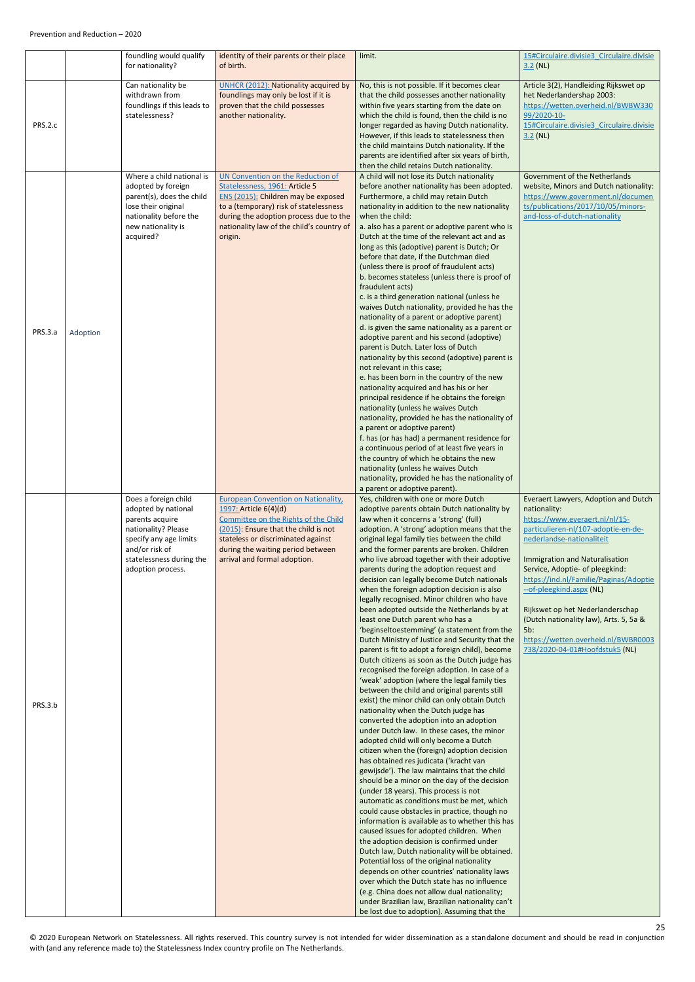<span id="page-24-0"></span>

|         |          | foundling would qualify<br>for nationality?                                                                                                                                        | identity of their parents or their place<br>of birth.                                                                                                                                                                                                          | limit.                                                                                                                                                                                                                                                                                                                                                                                                                                                                                                                                                                                                                                                                                                                                                                                                                                                                                                                                                                                                                                                                                                                                                                                                                                                                                                                                                                                                                                                                                                                                                                                                                                                                                                                                                                                                                                                                                                                                                                                                                 | 15#Circulaire.divisie3 Circulaire.divisie<br>$3.2$ (NL)                                                                                                                                                                                                                                                                                                                                                                                                                     |
|---------|----------|------------------------------------------------------------------------------------------------------------------------------------------------------------------------------------|----------------------------------------------------------------------------------------------------------------------------------------------------------------------------------------------------------------------------------------------------------------|------------------------------------------------------------------------------------------------------------------------------------------------------------------------------------------------------------------------------------------------------------------------------------------------------------------------------------------------------------------------------------------------------------------------------------------------------------------------------------------------------------------------------------------------------------------------------------------------------------------------------------------------------------------------------------------------------------------------------------------------------------------------------------------------------------------------------------------------------------------------------------------------------------------------------------------------------------------------------------------------------------------------------------------------------------------------------------------------------------------------------------------------------------------------------------------------------------------------------------------------------------------------------------------------------------------------------------------------------------------------------------------------------------------------------------------------------------------------------------------------------------------------------------------------------------------------------------------------------------------------------------------------------------------------------------------------------------------------------------------------------------------------------------------------------------------------------------------------------------------------------------------------------------------------------------------------------------------------------------------------------------------------|-----------------------------------------------------------------------------------------------------------------------------------------------------------------------------------------------------------------------------------------------------------------------------------------------------------------------------------------------------------------------------------------------------------------------------------------------------------------------------|
| PRS.2.c |          | Can nationality be<br>withdrawn from<br>foundlings if this leads to<br>statelessness?                                                                                              | <b>UNHCR (2012): Nationality acquired by</b><br>foundlings may only be lost if it is<br>proven that the child possesses<br>another nationality.                                                                                                                | No, this is not possible. If it becomes clear<br>that the child possesses another nationality<br>within five years starting from the date on<br>which the child is found, then the child is no<br>longer regarded as having Dutch nationality.<br>However, if this leads to statelessness then<br>the child maintains Dutch nationality. If the<br>parents are identified after six years of birth,<br>then the child retains Dutch nationality.                                                                                                                                                                                                                                                                                                                                                                                                                                                                                                                                                                                                                                                                                                                                                                                                                                                                                                                                                                                                                                                                                                                                                                                                                                                                                                                                                                                                                                                                                                                                                                       | Article 3(2), Handleiding Rijkswet op<br>het Nederlandershap 2003:<br>https://wetten.overheid.nl/BWBW330<br>99/2020-10-<br>15#Circulaire.divisie3 Circulaire.divisie<br>$3.2$ (NL)                                                                                                                                                                                                                                                                                          |
| PRS.3.a | Adoption | Where a child national is<br>adopted by foreign<br>parent(s), does the child<br>lose their original<br>nationality before the<br>new nationality is<br>acquired?                   | UN Convention on the Reduction of<br>Statelessness, 1961: Article 5<br>ENS (2015): Children may be exposed<br>to a (temporary) risk of statelessness<br>during the adoption process due to the<br>nationality law of the child's country of<br>origin.         | A child will not lose its Dutch nationality<br>before another nationality has been adopted.<br>Furthermore, a child may retain Dutch<br>nationality in addition to the new nationality<br>when the child:<br>a. also has a parent or adoptive parent who is<br>Dutch at the time of the relevant act and as<br>long as this (adoptive) parent is Dutch; Or<br>before that date, if the Dutchman died<br>(unless there is proof of fraudulent acts)<br>b. becomes stateless (unless there is proof of<br>fraudulent acts)<br>c. is a third generation national (unless he<br>waives Dutch nationality, provided he has the<br>nationality of a parent or adoptive parent)<br>d. is given the same nationality as a parent or<br>adoptive parent and his second (adoptive)<br>parent is Dutch. Later loss of Dutch<br>nationality by this second (adoptive) parent is<br>not relevant in this case;<br>e. has been born in the country of the new<br>nationality acquired and has his or her<br>principal residence if he obtains the foreign<br>nationality (unless he waives Dutch<br>nationality, provided he has the nationality of<br>a parent or adoptive parent)<br>f. has (or has had) a permanent residence for<br>a continuous period of at least five years in<br>the country of which he obtains the new<br>nationality (unless he waives Dutch<br>nationality, provided he has the nationality of<br>a parent or adoptive parent).                                                                                                                                                                                                                                                                                                                                                                                                                                                                                                                                                                          | Government of the Netherlands<br>website, Minors and Dutch nationality:<br>https://www.government.nl/documen<br>ts/publications/2017/10/05/minors-<br>and-loss-of-dutch-nationality                                                                                                                                                                                                                                                                                         |
| PRS.3.b |          | Does a foreign child<br>adopted by national<br>parents acquire<br>nationality? Please<br>specify any age limits<br>and/or risk of<br>statelessness during the<br>adoption process. | <b>European Convention on Nationality,</b><br>1997: Article 6(4)(d)<br>Committee on the Rights of the Child<br>(2015): Ensure that the child is not<br>stateless or discriminated against<br>during the waiting period between<br>arrival and formal adoption. | Yes, children with one or more Dutch<br>adoptive parents obtain Dutch nationality by<br>law when it concerns a 'strong' (full)<br>adoption. A 'strong' adoption means that the<br>original legal family ties between the child<br>and the former parents are broken. Children<br>who live abroad together with their adoptive<br>parents during the adoption request and<br>decision can legally become Dutch nationals<br>when the foreign adoption decision is also<br>legally recognised. Minor children who have<br>been adopted outside the Netherlands by at<br>least one Dutch parent who has a<br>'beginseltoestemming' (a statement from the<br>Dutch Ministry of Justice and Security that the<br>parent is fit to adopt a foreign child), become<br>Dutch citizens as soon as the Dutch judge has<br>recognised the foreign adoption. In case of a<br>'weak' adoption (where the legal family ties<br>between the child and original parents still<br>exist) the minor child can only obtain Dutch<br>nationality when the Dutch judge has<br>converted the adoption into an adoption<br>under Dutch law. In these cases, the minor<br>adopted child will only become a Dutch<br>citizen when the (foreign) adoption decision<br>has obtained res judicata ('kracht van<br>gewijsde'). The law maintains that the child<br>should be a minor on the day of the decision<br>(under 18 years). This process is not<br>automatic as conditions must be met, which<br>could cause obstacles in practice, though no<br>information is available as to whether this has<br>caused issues for adopted children. When<br>the adoption decision is confirmed under<br>Dutch law, Dutch nationality will be obtained.<br>Potential loss of the original nationality<br>depends on other countries' nationality laws<br>over which the Dutch state has no influence<br>(e.g. China does not allow dual nationality;<br>under Brazilian law, Brazilian nationality can't<br>be lost due to adoption). Assuming that the | Everaert Lawyers, Adoption and Dutch<br>nationality:<br>https://www.everaert.nl/nl/15-<br>particulieren-nl/107-adoptie-en-de-<br>nederlandse-nationaliteit<br><b>Immigration and Naturalisation</b><br>Service, Adoptie- of pleegkind:<br>https://ind.nl/Familie/Paginas/Adoptie<br>-- of-pleegkind.aspx (NL)<br>Rijkswet op het Nederlanderschap<br>(Dutch nationality law), Arts. 5, 5a &<br>5b:<br>https://wetten.overheid.nl/BWBR0003<br>738/2020-04-01#Hoofdstuk5 (NL) |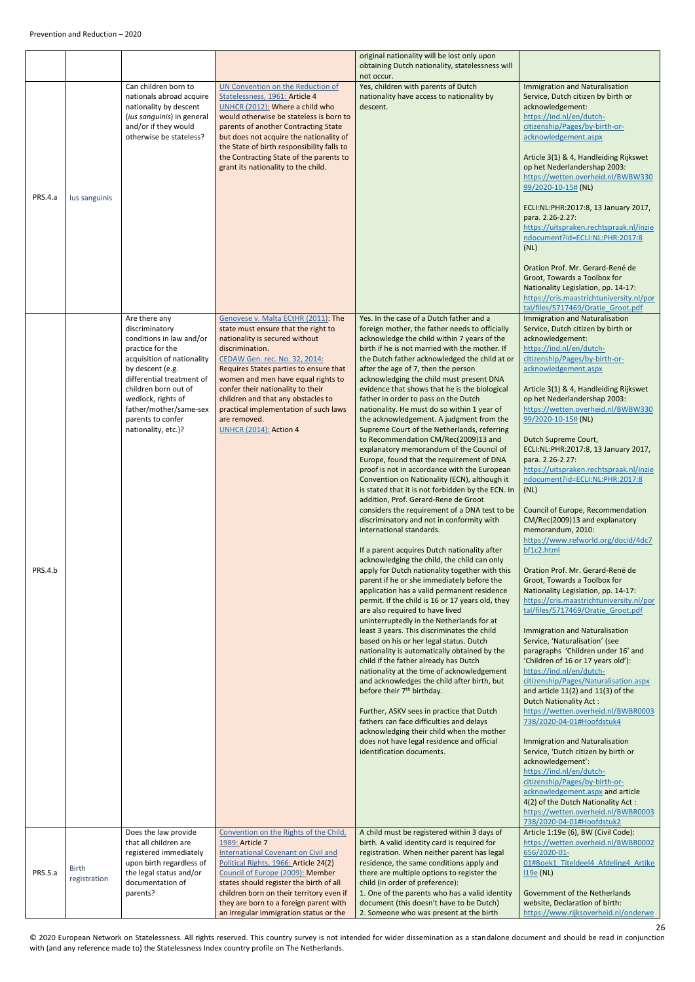<span id="page-25-1"></span><span id="page-25-0"></span>

|         |                              |                                                                                                                                                                                                                                                                                    |                                                                                                                                                                                                                                                                                                                                                                                                                       | original nationality will be lost only upon<br>obtaining Dutch nationality, statelessness will                                                                                                                                                                                                                                                                                                                                                                                                                                                                                                                                                                                                                                                                                                                                                                                                                                                                                                                                                                                                                                                                                                                                                                                                                                                                                                                                                                                                                                                                                                                                                                                                                                                                                                                                                                                                                                                          |                                                                                                                                                                                                                                                                                                                                                                                                                                                                                                                                                                                                                                                                                                                                                                                                                                                                                                                                                                                                                                                                                                                                                                                                                                                                                                                                                                                                                                                                                                                                                                                        |
|---------|------------------------------|------------------------------------------------------------------------------------------------------------------------------------------------------------------------------------------------------------------------------------------------------------------------------------|-----------------------------------------------------------------------------------------------------------------------------------------------------------------------------------------------------------------------------------------------------------------------------------------------------------------------------------------------------------------------------------------------------------------------|---------------------------------------------------------------------------------------------------------------------------------------------------------------------------------------------------------------------------------------------------------------------------------------------------------------------------------------------------------------------------------------------------------------------------------------------------------------------------------------------------------------------------------------------------------------------------------------------------------------------------------------------------------------------------------------------------------------------------------------------------------------------------------------------------------------------------------------------------------------------------------------------------------------------------------------------------------------------------------------------------------------------------------------------------------------------------------------------------------------------------------------------------------------------------------------------------------------------------------------------------------------------------------------------------------------------------------------------------------------------------------------------------------------------------------------------------------------------------------------------------------------------------------------------------------------------------------------------------------------------------------------------------------------------------------------------------------------------------------------------------------------------------------------------------------------------------------------------------------------------------------------------------------------------------------------------------------|----------------------------------------------------------------------------------------------------------------------------------------------------------------------------------------------------------------------------------------------------------------------------------------------------------------------------------------------------------------------------------------------------------------------------------------------------------------------------------------------------------------------------------------------------------------------------------------------------------------------------------------------------------------------------------------------------------------------------------------------------------------------------------------------------------------------------------------------------------------------------------------------------------------------------------------------------------------------------------------------------------------------------------------------------------------------------------------------------------------------------------------------------------------------------------------------------------------------------------------------------------------------------------------------------------------------------------------------------------------------------------------------------------------------------------------------------------------------------------------------------------------------------------------------------------------------------------------|
| PRS.4.a | lus sanguinis                | Can children born to<br>nationals abroad acquire<br>nationality by descent<br>(ius sanguinis) in general<br>and/or if they would<br>otherwise be stateless?                                                                                                                        | UN Convention on the Reduction of<br>Statelessness, 1961: Article 4<br>UNHCR (2012): Where a child who<br>would otherwise be stateless is born to<br>parents of another Contracting State<br>but does not acquire the nationality of<br>the State of birth responsibility falls to<br>the Contracting State of the parents to<br>grant its nationality to the child.                                                  | not occur.<br>Yes, children with parents of Dutch<br>nationality have access to nationality by<br>descent.                                                                                                                                                                                                                                                                                                                                                                                                                                                                                                                                                                                                                                                                                                                                                                                                                                                                                                                                                                                                                                                                                                                                                                                                                                                                                                                                                                                                                                                                                                                                                                                                                                                                                                                                                                                                                                              | <b>Immigration and Naturalisation</b><br>Service, Dutch citizen by birth or<br>acknowledgement:<br>https://ind.nl/en/dutch-<br>citizenship/Pages/by-birth-or-<br>acknowledgement.aspx<br>Article 3(1) & 4, Handleiding Rijkswet<br>op het Nederlandershap 2003:<br>https://wetten.overheid.nl/BWBW330<br>99/2020-10-15# (NL)<br>ECLI:NL:PHR:2017:8, 13 January 2017,<br>para. 2.26-2.27:<br>https://uitspraken.rechtspraak.nl/inzie<br>ndocument?id=ECLI:NL:PHR:2017:8<br>(NL)<br>Oration Prof. Mr. Gerard-René de<br>Groot, Towards a Toolbox for<br>Nationality Legislation, pp. 14-17:<br>https://cris.maastrichtuniversity.nl/por                                                                                                                                                                                                                                                                                                                                                                                                                                                                                                                                                                                                                                                                                                                                                                                                                                                                                                                                                  |
| PRS.4.b |                              | Are there any<br>discriminatory<br>conditions in law and/or<br>practice for the<br>acquisition of nationality<br>by descent (e.g.<br>differential treatment of<br>children born out of<br>wedlock, rights of<br>father/mother/same-sex<br>parents to confer<br>nationality, etc.)? | Genovese v. Malta ECtHR (2011): The<br>state must ensure that the right to<br>nationality is secured without<br>discrimination.<br>CEDAW Gen. rec. No. 32, 2014:<br>Requires States parties to ensure that<br>women and men have equal rights to<br>confer their nationality to their<br>children and that any obstacles to<br>practical implementation of such laws<br>are removed.<br><b>UNHCR (2014): Action 4</b> | Yes. In the case of a Dutch father and a<br>foreign mother, the father needs to officially<br>acknowledge the child within 7 years of the<br>birth if he is not married with the mother. If<br>the Dutch father acknowledged the child at or<br>after the age of 7, then the person<br>acknowledging the child must present DNA<br>evidence that shows that he is the biological<br>father in order to pass on the Dutch<br>nationality. He must do so within 1 year of<br>the acknowledgement. A judgment from the<br>Supreme Court of the Netherlands, referring<br>to Recommendation CM/Rec(2009)13 and<br>explanatory memorandum of the Council of<br>Europe, found that the requirement of DNA<br>proof is not in accordance with the European<br>Convention on Nationality (ECN), although it<br>is stated that it is not forbidden by the ECN. In<br>addition, Prof. Gerard-Rene de Groot<br>considers the requirement of a DNA test to be<br>discriminatory and not in conformity with<br>international standards.<br>If a parent acquires Dutch nationality after<br>acknowledging the child, the child can only<br>apply for Dutch nationality together with this<br>parent if he or she immediately before the<br>application has a valid permanent residence<br>permit. If the child is 16 or 17 years old, they<br>are also required to have lived<br>uninterruptedly in the Netherlands for at<br>least 3 years. This discriminates the child<br>based on his or her legal status. Dutch<br>nationality is automatically obtained by the<br>child if the father already has Dutch<br>nationality at the time of acknowledgement<br>and acknowledges the child after birth, but<br>before their 7 <sup>th</sup> birthday.<br>Further, ASKV sees in practice that Dutch<br>fathers can face difficulties and delays<br>acknowledging their child when the mother<br>does not have legal residence and official<br>identification documents. | tal/files/5717469/Oratie Groot.pdf<br><b>Immigration and Naturalisation</b><br>Service, Dutch citizen by birth or<br>acknowledgement:<br>https://ind.nl/en/dutch-<br>citizenship/Pages/by-birth-or-<br>acknowledgement.aspx<br>Article 3(1) & 4, Handleiding Rijkswet<br>op het Nederlandershap 2003:<br>https://wetten.overheid.nl/BWBW330<br>99/2020-10-15# (NL)<br>Dutch Supreme Court,<br>ECLI:NL:PHR:2017:8, 13 January 2017,<br>para. 2.26-2.27:<br>https://uitspraken.rechtspraak.nl/inzie<br>ndocument?id=ECLI:NL:PHR:2017:8<br>(NL)<br>Council of Europe, Recommendation<br>CM/Rec(2009)13 and explanatory<br>memorandum, 2010:<br>https://www.refworld.org/docid/4dc7<br>bf1c2.html<br>Oration Prof. Mr. Gerard-René de<br>Groot, Towards a Toolbox for<br>Nationality Legislation, pp. 14-17:<br>https://cris.maastrichtuniversity.nl/por<br>tal/files/5717469/Oratie Groot.pdf<br><b>Immigration and Naturalisation</b><br>Service, 'Naturalisation' (see<br>paragraphs 'Children under 16' and<br>'Children of 16 or 17 years old'):<br>https://ind.nl/en/dutch-<br>citizenship/Pages/Naturalisation.aspx<br>and article $11(2)$ and $11(3)$ of the<br><b>Dutch Nationality Act:</b><br>https://wetten.overheid.nl/BWBR0003<br>738/2020-04-01#Hoofdstuk4<br><b>Immigration and Naturalisation</b><br>Service, 'Dutch citizen by birth or<br>acknowledgement':<br>https://ind.nl/en/dutch-<br>citizenship/Pages/by-birth-or-<br>acknowledgement.aspx and article<br>4(2) of the Dutch Nationality Act:<br>https://wetten.overheid.nl/BWBR0003<br>738/2020-04-01#Hoofdstuk2 |
| PRS.5.a | <b>Birth</b><br>registration | Does the law provide<br>that all children are<br>registered immediately<br>upon birth regardless of<br>the legal status and/or<br>documentation of<br>parents?                                                                                                                     | Convention on the Rights of the Child,<br>1989: Article 7<br><b>International Covenant on Civil and</b><br>Political Rights, 1966: Article 24(2)<br>Council of Europe (2009): Member<br>states should register the birth of all<br>children born on their territory even if<br>they are born to a foreign parent with<br>an irregular immigration status or the                                                       | A child must be registered within 3 days of<br>birth. A valid identity card is required for<br>registration. When neither parent has legal<br>residence, the same conditions apply and<br>there are multiple options to register the<br>child (in order of preference):<br>1. One of the parents who has a valid identity<br>document (this doesn't have to be Dutch)<br>2. Someone who was present at the birth                                                                                                                                                                                                                                                                                                                                                                                                                                                                                                                                                                                                                                                                                                                                                                                                                                                                                                                                                                                                                                                                                                                                                                                                                                                                                                                                                                                                                                                                                                                                        | Article 1:19e (6), BW (Civil Code):<br>https://wetten.overheid.nl/BWBR0002<br>656/2020-01-<br>01#Boek1 Titeldeel4 Afdeling4 Artike<br>$119e$ (NL)<br>Government of the Netherlands<br>website, Declaration of birth:<br>https://www.rijksoverheid.nl/onderwe                                                                                                                                                                                                                                                                                                                                                                                                                                                                                                                                                                                                                                                                                                                                                                                                                                                                                                                                                                                                                                                                                                                                                                                                                                                                                                                           |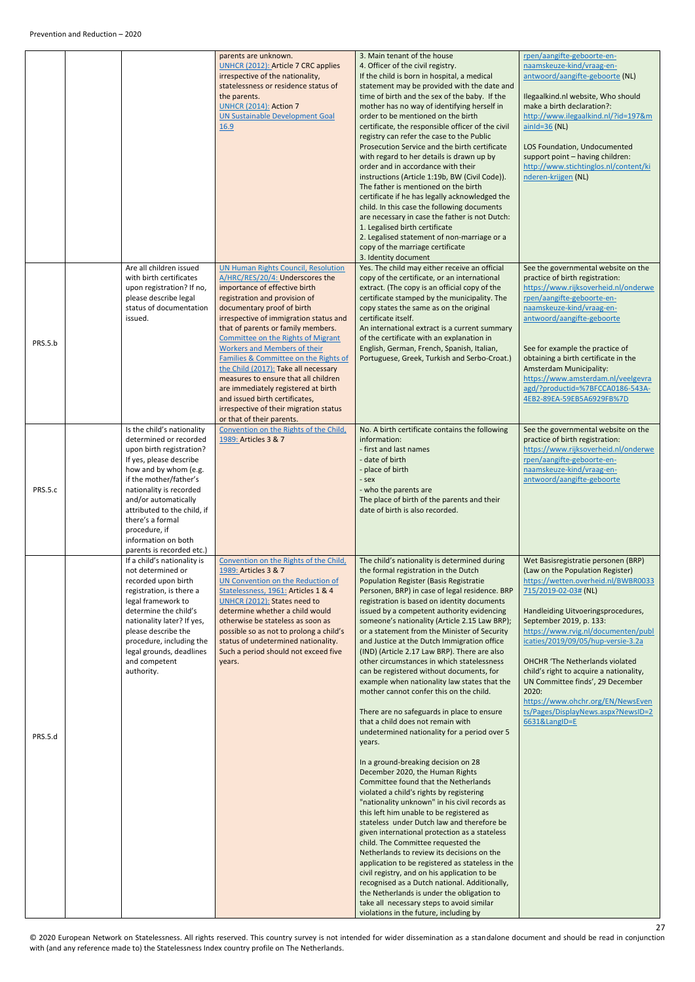|         |                                                                                                                                                                                                                                                                                                             | parents are unknown.<br><b>UNHCR (2012): Article 7 CRC applies</b><br>irrespective of the nationality,<br>statelessness or residence status of<br>the parents.<br><b>UNHCR (2014): Action 7</b><br><b>UN Sustainable Development Goal</b><br>16.9                                                                                                                                                                                                                                                                                                                                                                                                             | 3. Main tenant of the house<br>4. Officer of the civil registry.<br>If the child is born in hospital, a medical<br>statement may be provided with the date and<br>time of birth and the sex of the baby. If the<br>mother has no way of identifying herself in<br>order to be mentioned on the birth<br>certificate, the responsible officer of the civil<br>registry can refer the case to the Public<br>Prosecution Service and the birth certificate<br>with regard to her details is drawn up by<br>order and in accordance with their<br>instructions (Article 1:19b, BW (Civil Code)).<br>The father is mentioned on the birth<br>certificate if he has legally acknowledged the<br>child. In this case the following documents<br>are necessary in case the father is not Dutch:<br>1. Legalised birth certificate<br>2. Legalised statement of non-marriage or a<br>copy of the marriage certificate<br>3. Identity document                                                                                                                                                                                                                                                                                                                                                                                                                                                                                                                                                                                                                           | rpen/aangifte-geboorte-en-<br>naamskeuze-kind/vraag-en-<br>antwoord/aangifte-geboorte (NL)<br>Ilegaalkind.nl website, Who should<br>make a birth declaration?:<br>http://www.ilegaalkind.nl/?id=197&m<br>$ainld=36$ (NL)<br>LOS Foundation, Undocumented<br>support point - having children:<br>http://www.stichtinglos.nl/content/ki<br>nderen-krijgen (NL)                                                                                                                                                       |
|---------|-------------------------------------------------------------------------------------------------------------------------------------------------------------------------------------------------------------------------------------------------------------------------------------------------------------|---------------------------------------------------------------------------------------------------------------------------------------------------------------------------------------------------------------------------------------------------------------------------------------------------------------------------------------------------------------------------------------------------------------------------------------------------------------------------------------------------------------------------------------------------------------------------------------------------------------------------------------------------------------|----------------------------------------------------------------------------------------------------------------------------------------------------------------------------------------------------------------------------------------------------------------------------------------------------------------------------------------------------------------------------------------------------------------------------------------------------------------------------------------------------------------------------------------------------------------------------------------------------------------------------------------------------------------------------------------------------------------------------------------------------------------------------------------------------------------------------------------------------------------------------------------------------------------------------------------------------------------------------------------------------------------------------------------------------------------------------------------------------------------------------------------------------------------------------------------------------------------------------------------------------------------------------------------------------------------------------------------------------------------------------------------------------------------------------------------------------------------------------------------------------------------------------------------------------------------|--------------------------------------------------------------------------------------------------------------------------------------------------------------------------------------------------------------------------------------------------------------------------------------------------------------------------------------------------------------------------------------------------------------------------------------------------------------------------------------------------------------------|
| PRS.5.b | Are all children issued<br>with birth certificates<br>upon registration? If no,<br>please describe legal<br>status of documentation<br>issued.<br>Is the child's nationality                                                                                                                                | <b>UN Human Rights Council, Resolution</b><br>A/HRC/RES/20/4: Underscores the<br>importance of effective birth<br>registration and provision of<br>documentary proof of birth<br>irrespective of immigration status and<br>that of parents or family members.<br>Committee on the Rights of Migrant<br><b>Workers and Members of their</b><br>Families & Committee on the Rights of<br>the Child (2017): Take all necessary<br>measures to ensure that all children<br>are immediately registered at birth<br>and issued birth certificates,<br>irrespective of their migration status<br>or that of their parents.<br>Convention on the Rights of the Child, | Yes. The child may either receive an official<br>copy of the certificate, or an international<br>extract. (The copy is an official copy of the<br>certificate stamped by the municipality. The<br>copy states the same as on the original<br>certificate itself.<br>An international extract is a current summary<br>of the certificate with an explanation in<br>English, German, French, Spanish, Italian,<br>Portuguese, Greek, Turkish and Serbo-Croat.)<br>No. A birth certificate contains the following                                                                                                                                                                                                                                                                                                                                                                                                                                                                                                                                                                                                                                                                                                                                                                                                                                                                                                                                                                                                                                                 | See the governmental website on the<br>practice of birth registration:<br>https://www.rijksoverheid.nl/onderwe<br>rpen/aangifte-geboorte-en-<br>naamskeuze-kind/vraag-en-<br>antwoord/aangifte-geboorte<br>See for example the practice of<br>obtaining a birth certificate in the<br>Amsterdam Municipality:<br>https://www.amsterdam.nl/veelgevra<br>agd/?productid=%7BFCCA0186-543A-<br>4EB2-89EA-59EB5A6929FB%7D<br>See the governmental website on the                                                        |
| PRS.5.c | determined or recorded<br>upon birth registration?<br>If yes, please describe<br>how and by whom (e.g.<br>if the mother/father's<br>nationality is recorded<br>and/or automatically<br>attributed to the child, if<br>there's a formal<br>procedure, if<br>information on both<br>parents is recorded etc.) | 1989: Articles 3 & 7                                                                                                                                                                                                                                                                                                                                                                                                                                                                                                                                                                                                                                          | information:<br>- first and last names<br>- date of birth<br>- place of birth<br>- sex<br>- who the parents are<br>The place of birth of the parents and their<br>date of birth is also recorded.                                                                                                                                                                                                                                                                                                                                                                                                                                                                                                                                                                                                                                                                                                                                                                                                                                                                                                                                                                                                                                                                                                                                                                                                                                                                                                                                                              | practice of birth registration:<br>https://www.rijksoverheid.nl/onderwe<br>rpen/aangifte-geboorte-en-<br>naamskeuze-kind/vraag-en-<br>antwoord/aangifte-geboorte                                                                                                                                                                                                                                                                                                                                                   |
| PRS.5.d | If a child's nationality is<br>not determined or<br>recorded upon birth<br>registration, is there a<br>legal framework to<br>determine the child's<br>nationality later? If yes,<br>please describe the<br>procedure, including the<br>legal grounds, deadlines<br>and competent<br>authority.              | Convention on the Rights of the Child,<br>1989: Articles 3 & 7<br>UN Convention on the Reduction of<br>Statelessness, 1961: Articles 1 & 4<br>UNHCR (2012): States need to<br>determine whether a child would<br>otherwise be stateless as soon as<br>possible so as not to prolong a child's<br>status of undetermined nationality.<br>Such a period should not exceed five<br>years.                                                                                                                                                                                                                                                                        | The child's nationality is determined during<br>the formal registration in the Dutch<br><b>Population Register (Basis Registratie</b><br>Personen, BRP) in case of legal residence. BRP<br>registration is based on identity documents<br>issued by a competent authority evidencing<br>someone's nationality (Article 2.15 Law BRP);<br>or a statement from the Minister of Security<br>and Justice at the Dutch Immigration office<br>(IND) (Article 2.17 Law BRP). There are also<br>other circumstances in which statelessness<br>can be registered without documents, for<br>example when nationality law states that the<br>mother cannot confer this on the child.<br>There are no safeguards in place to ensure<br>that a child does not remain with<br>undetermined nationality for a period over 5<br>years.<br>In a ground-breaking decision on 28<br>December 2020, the Human Rights<br>Committee found that the Netherlands<br>violated a child's rights by registering<br>"nationality unknown" in his civil records as<br>this left him unable to be registered as<br>stateless under Dutch law and therefore be<br>given international protection as a stateless<br>child. The Committee requested the<br>Netherlands to review its decisions on the<br>application to be registered as stateless in the<br>civil registry, and on his application to be<br>recognised as a Dutch national. Additionally,<br>the Netherlands is under the obligation to<br>take all necessary steps to avoid similar<br>violations in the future, including by | Wet Basisregistratie personen (BRP)<br>(Law on the Population Register)<br>https://wetten.overheid.nl/BWBR0033<br>715/2019-02-03# (NL)<br>Handleiding Uitvoeringsprocedures,<br>September 2019, p. 133:<br>https://www.rvig.nl/documenten/publ<br>icaties/2019/09/05/hup-versie-3.2a<br><b>OHCHR 'The Netherlands violated</b><br>child's right to acquire a nationality,<br>UN Committee finds', 29 December<br>2020:<br>https://www.ohchr.org/EN/NewsEven<br>ts/Pages/DisplayNews.aspx?NewsID=2<br>6631&LangID=E |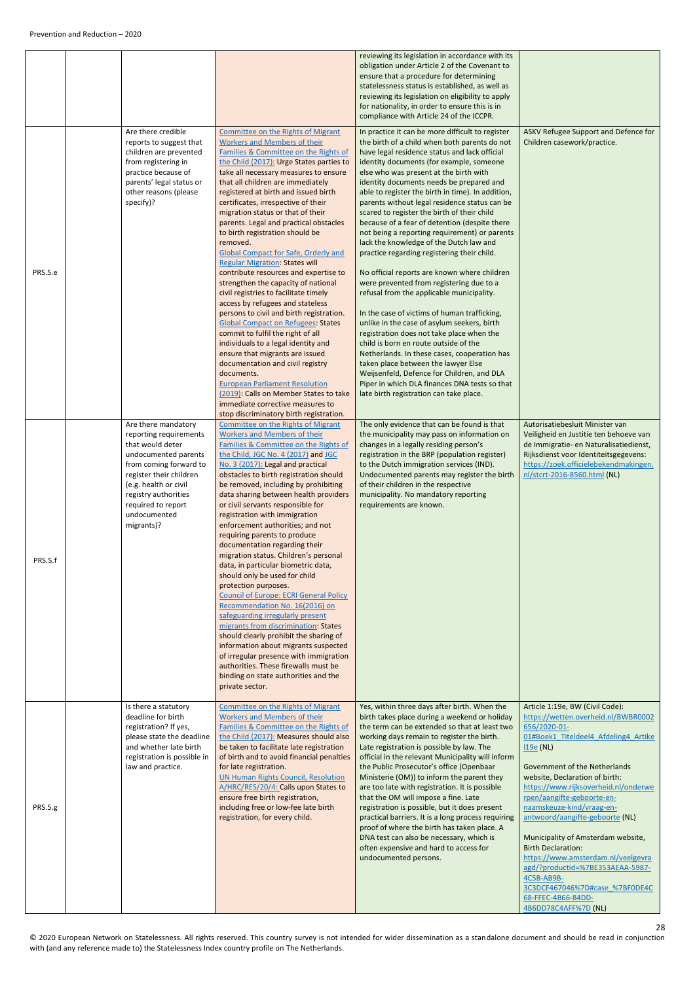|                |                                                                                                                                                                                                                                                     |                                                                                                                                                                                                                                                                                                                                                                                                                                                                                                                                                                                                                                                                                                                                                                                                                                                                                                                                                                                                                                                                                                                                                   | reviewing its legislation in accordance with its<br>obligation under Article 2 of the Covenant to<br>ensure that a procedure for determining<br>statelessness status is established, as well as<br>reviewing its legislation on eligibility to apply<br>for nationality, in order to ensure this is in<br>compliance with Article 24 of the ICCPR.                                                                                                                                                                                                                                                                                                                                                                                                                                                                                                                                                                                                                                                                                                                                                                                                                                                   |                                                                                                                                                                                                                                                                                                                                                                                                                                                                                                                                                                                                 |
|----------------|-----------------------------------------------------------------------------------------------------------------------------------------------------------------------------------------------------------------------------------------------------|---------------------------------------------------------------------------------------------------------------------------------------------------------------------------------------------------------------------------------------------------------------------------------------------------------------------------------------------------------------------------------------------------------------------------------------------------------------------------------------------------------------------------------------------------------------------------------------------------------------------------------------------------------------------------------------------------------------------------------------------------------------------------------------------------------------------------------------------------------------------------------------------------------------------------------------------------------------------------------------------------------------------------------------------------------------------------------------------------------------------------------------------------|------------------------------------------------------------------------------------------------------------------------------------------------------------------------------------------------------------------------------------------------------------------------------------------------------------------------------------------------------------------------------------------------------------------------------------------------------------------------------------------------------------------------------------------------------------------------------------------------------------------------------------------------------------------------------------------------------------------------------------------------------------------------------------------------------------------------------------------------------------------------------------------------------------------------------------------------------------------------------------------------------------------------------------------------------------------------------------------------------------------------------------------------------------------------------------------------------|-------------------------------------------------------------------------------------------------------------------------------------------------------------------------------------------------------------------------------------------------------------------------------------------------------------------------------------------------------------------------------------------------------------------------------------------------------------------------------------------------------------------------------------------------------------------------------------------------|
| PRS.5.e        | Are there credible<br>reports to suggest that<br>children are prevented<br>from registering in<br>practice because of<br>parents' legal status or<br>other reasons (please<br>specify)?                                                             | <b>Committee on the Rights of Migrant</b><br><b>Workers and Members of their</b><br>Families & Committee on the Rights of<br>the Child (2017): Urge States parties to<br>take all necessary measures to ensure<br>that all children are immediately<br>registered at birth and issued birth<br>certificates, irrespective of their<br>migration status or that of their<br>parents. Legal and practical obstacles<br>to birth registration should be<br>removed.<br><b>Global Compact for Safe, Orderly and</b><br><b>Regular Migration: States will</b><br>contribute resources and expertise to<br>strengthen the capacity of national<br>civil registries to facilitate timely<br>access by refugees and stateless<br>persons to civil and birth registration.<br><b>Global Compact on Refugees: States</b><br>commit to fulfil the right of all<br>individuals to a legal identity and<br>ensure that migrants are issued<br>documentation and civil registry<br>documents.<br><b>European Parliament Resolution</b><br>(2019): Calls on Member States to take<br>immediate corrective measures to<br>stop discriminatory birth registration. | In practice it can be more difficult to register<br>the birth of a child when both parents do not<br>have legal residence status and lack official<br>identity documents (for example, someone<br>else who was present at the birth with<br>identity documents needs be prepared and<br>able to register the birth in time). In addition,<br>parents without legal residence status can be<br>scared to register the birth of their child<br>because of a fear of detention (despite there<br>not being a reporting requirement) or parents<br>lack the knowledge of the Dutch law and<br>practice regarding registering their child.<br>No official reports are known where children<br>were prevented from registering due to a<br>refusal from the applicable municipality.<br>In the case of victims of human trafficking,<br>unlike in the case of asylum seekers, birth<br>registration does not take place when the<br>child is born en route outside of the<br>Netherlands. In these cases, cooperation has<br>taken place between the lawyer Else<br>Weijsenfeld, Defence for Children, and DLA<br>Piper in which DLA finances DNA tests so that<br>late birth registration can take place. | ASKV Refugee Support and Defence for<br>Children casework/practice.                                                                                                                                                                                                                                                                                                                                                                                                                                                                                                                             |
| PRS.5.f        | Are there mandatory<br>reporting requirements<br>that would deter<br>undocumented parents<br>from coming forward to<br>register their children<br>(e.g. health or civil<br>registry authorities<br>required to report<br>undocumented<br>migrants)? | <b>Committee on the Rights of Migrant</b><br><b>Workers and Members of their</b><br>Families & Committee on the Rights of<br>the Child, JGC No. 4 (2017) and JGC<br>No. 3 (2017): Legal and practical<br>obstacles to birth registration should<br>be removed, including by prohibiting<br>data sharing between health providers<br>or civil servants responsible for<br>registration with immigration<br>enforcement authorities; and not<br>requiring parents to produce<br>documentation regarding their<br>migration status. Children's personal<br>data, in particular biometric data,<br>should only be used for child<br>protection purposes.<br><b>Council of Europe: ECRI General Policy</b><br>Recommendation No. 16(2016) on<br>safeguarding irregularly present<br>migrants from discrimination: States<br>should clearly prohibit the sharing of<br>information about migrants suspected<br>of irregular presence with immigration<br>authorities. These firewalls must be<br>binding on state authorities and the<br>private sector.                                                                                                | The only evidence that can be found is that<br>the municipality may pass on information on<br>changes in a legally residing person's<br>registration in the BRP (population register)<br>to the Dutch immigration services (IND).<br>Undocumented parents may register the birth<br>of their children in the respective<br>municipality. No mandatory reporting<br>requirements are known.                                                                                                                                                                                                                                                                                                                                                                                                                                                                                                                                                                                                                                                                                                                                                                                                           | Autorisatiebesluit Minister van<br>Veiligheid en Justitie ten behoeve van<br>de Immigratie- en Naturalisatiedienst,<br>Rijksdienst voor Identiteitsgegevens:<br>https://zoek.officielebekendmakingen.<br>nl/stcrt-2016-8560.html (NL)                                                                                                                                                                                                                                                                                                                                                           |
| <b>PRS.5.g</b> | Is there a statutory<br>deadline for birth<br>registration? If yes,<br>please state the deadline<br>and whether late birth<br>registration is possible in<br>law and practice.                                                                      | Committee on the Rights of Migrant<br><b>Workers and Members of their</b><br>Families & Committee on the Rights of<br>the Child (2017): Measures should also<br>be taken to facilitate late registration<br>of birth and to avoid financial penalties<br>for late registration.<br><b>UN Human Rights Council, Resolution</b><br>A/HRC/RES/20/4: Calls upon States to<br>ensure free birth registration,<br>including free or low-fee late birth<br>registration, for every child.                                                                                                                                                                                                                                                                                                                                                                                                                                                                                                                                                                                                                                                                | Yes, within three days after birth. When the<br>birth takes place during a weekend or holiday<br>the term can be extended so that at least two<br>working days remain to register the birth.<br>Late registration is possible by law. The<br>official in the relevant Municipality will inform<br>the Public Prosecutor's office (Openbaar<br>Ministerie (OM)) to inform the parent they<br>are too late with registration. It is possible<br>that the OM will impose a fine. Late<br>registration is possible, but it does present<br>practical barriers. It is a long process requiring<br>proof of where the birth has taken place. A<br>DNA test can also be necessary, which is<br>often expensive and hard to access for<br>undocumented persons.                                                                                                                                                                                                                                                                                                                                                                                                                                              | Article 1:19e, BW (Civil Code):<br>https://wetten.overheid.nl/BWBR0002<br>656/2020-01-<br>01#Boek1 Titeldeel4 Afdeling4 Artike<br>119e (NL)<br>Government of the Netherlands<br>website, Declaration of birth:<br>https://www.rijksoverheid.nl/onderwe<br>rpen/aangifte-geboorte-en-<br>naamskeuze-kind/vraag-en-<br>antwoord/aangifte-geboorte (NL)<br>Municipality of Amsterdam website,<br><b>Birth Declaration:</b><br>https://www.amsterdam.nl/veelgevra<br>agd/?productid=%7BE353AEAA-5987-<br>4C5B-AB9B-<br>3C3DCF467046%7D#case %7BF0DE4C<br>68-FFEC-4B66-84DD-<br>4B6DD78C4AFF%7D (NL) |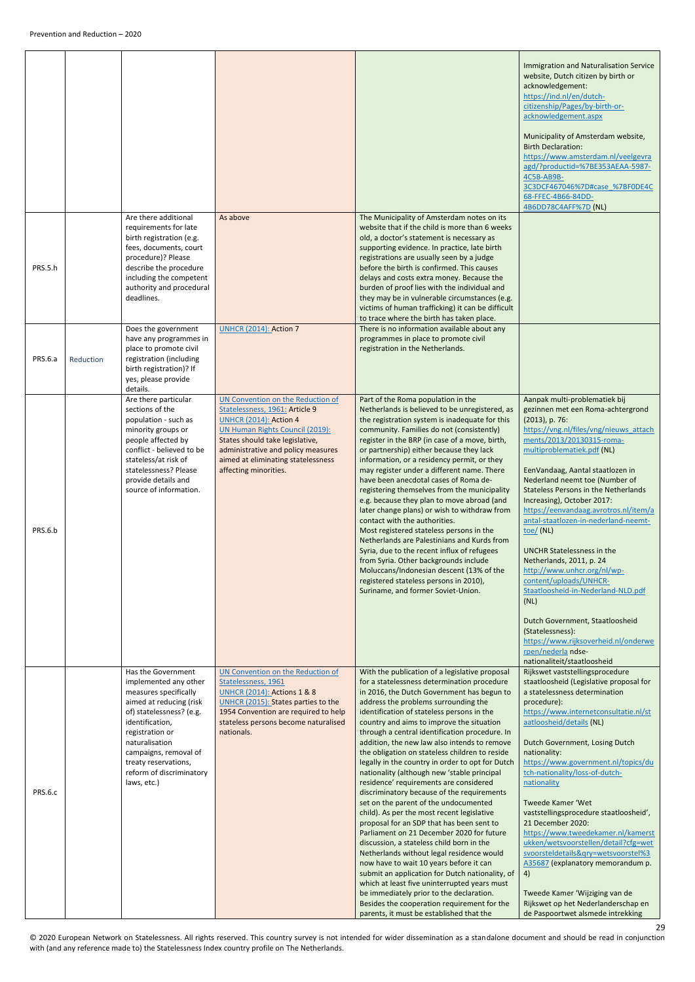<span id="page-28-0"></span>

|                |           |                                                                                                                                                                                                                                                                                 |                                                                                                                                                                                                                                                                                 |                                                                                                                                                                                                                                                                                                                                                                                                                                                                                                                                                                                                                                                                                                                                                                                                                                                                                                                                                                                                                                                                                                                                                                                               | Immigration and Naturalisation Service<br>website, Dutch citizen by birth or<br>acknowledgement:<br>https://ind.nl/en/dutch-<br>citizenship/Pages/by-birth-or-<br>acknowledgement.aspx<br>Municipality of Amsterdam website,<br><b>Birth Declaration:</b><br>https://www.amsterdam.nl/veelgevra<br>agd/?productid=%7BE353AEAA-5987-<br>4C5B-AB9B-<br>3C3DCF467046%7D#case %7BF0DE4C<br>68-FFEC-4B66-84DD-<br>4B6DD78C4AFF%7D (NL)                                                                                                                                                                                                                                                                                                                                           |
|----------------|-----------|---------------------------------------------------------------------------------------------------------------------------------------------------------------------------------------------------------------------------------------------------------------------------------|---------------------------------------------------------------------------------------------------------------------------------------------------------------------------------------------------------------------------------------------------------------------------------|-----------------------------------------------------------------------------------------------------------------------------------------------------------------------------------------------------------------------------------------------------------------------------------------------------------------------------------------------------------------------------------------------------------------------------------------------------------------------------------------------------------------------------------------------------------------------------------------------------------------------------------------------------------------------------------------------------------------------------------------------------------------------------------------------------------------------------------------------------------------------------------------------------------------------------------------------------------------------------------------------------------------------------------------------------------------------------------------------------------------------------------------------------------------------------------------------|-----------------------------------------------------------------------------------------------------------------------------------------------------------------------------------------------------------------------------------------------------------------------------------------------------------------------------------------------------------------------------------------------------------------------------------------------------------------------------------------------------------------------------------------------------------------------------------------------------------------------------------------------------------------------------------------------------------------------------------------------------------------------------|
| PRS.5.h        |           | Are there additional<br>requirements for late<br>birth registration (e.g.<br>fees, documents, court<br>procedure)? Please<br>describe the procedure<br>including the competent<br>authority and procedural<br>deadlines.                                                        | As above                                                                                                                                                                                                                                                                        | The Municipality of Amsterdam notes on its<br>website that if the child is more than 6 weeks<br>old, a doctor's statement is necessary as<br>supporting evidence. In practice, late birth<br>registrations are usually seen by a judge<br>before the birth is confirmed. This causes<br>delays and costs extra money. Because the<br>burden of proof lies with the individual and<br>they may be in vulnerable circumstances (e.g.<br>victims of human trafficking) it can be difficult<br>to trace where the birth has taken place.                                                                                                                                                                                                                                                                                                                                                                                                                                                                                                                                                                                                                                                          |                                                                                                                                                                                                                                                                                                                                                                                                                                                                                                                                                                                                                                                                                                                                                                             |
| <b>PRS.6.a</b> | Reduction | Does the government<br>have any programmes in<br>place to promote civil<br>registration (including<br>birth registration)? If<br>yes, please provide<br>details.                                                                                                                | <b>UNHCR (2014): Action 7</b>                                                                                                                                                                                                                                                   | There is no information available about any<br>programmes in place to promote civil<br>registration in the Netherlands.                                                                                                                                                                                                                                                                                                                                                                                                                                                                                                                                                                                                                                                                                                                                                                                                                                                                                                                                                                                                                                                                       |                                                                                                                                                                                                                                                                                                                                                                                                                                                                                                                                                                                                                                                                                                                                                                             |
| PRS.6.b        |           | Are there particular<br>sections of the<br>population - such as<br>minority groups or<br>people affected by<br>conflict - believed to be<br>stateless/at risk of<br>statelessness? Please<br>provide details and<br>source of information.                                      | UN Convention on the Reduction of<br>Statelessness, 1961: Article 9<br><b>UNHCR (2014): Action 4</b><br>UN Human Rights Council (2019):<br>States should take legislative,<br>administrative and policy measures<br>aimed at eliminating statelessness<br>affecting minorities. | Part of the Roma population in the<br>Netherlands is believed to be unregistered, as<br>the registration system is inadequate for this<br>community. Families do not (consistently)<br>register in the BRP (in case of a move, birth,<br>or partnership) either because they lack<br>information, or a residency permit, or they<br>may register under a different name. There<br>have been anecdotal cases of Roma de-<br>registering themselves from the municipality<br>e.g. because they plan to move abroad (and<br>later change plans) or wish to withdraw from<br>contact with the authorities.<br>Most registered stateless persons in the<br>Netherlands are Palestinians and Kurds from<br>Syria, due to the recent influx of refugees<br>from Syria. Other backgrounds include<br>Moluccans/Indonesian descent (13% of the<br>registered stateless persons in 2010),<br>Suriname, and former Soviet-Union.                                                                                                                                                                                                                                                                         | Aanpak multi-problematiek bij<br>gezinnen met een Roma-achtergrond<br>$(2013)$ , p. 76:<br>https://vng.nl/files/vng/nieuws attach<br>ments/2013/20130315-roma-<br>multiproblematiek.pdf (NL)<br>EenVandaag, Aantal staatlozen in<br>Nederland neemt toe (Number of<br><b>Stateless Persons in the Netherlands</b><br>Increasing), October 2017:<br>https://eenvandaag.avrotros.nl/item/a<br>antal-staatlozen-in-nederland-neemt-<br>$toe/$ (NL)<br><b>UNCHR Statelessness in the</b><br>Netherlands, 2011, p. 24<br>http://www.unhcr.org/nl/wp-<br>content/uploads/UNHCR-<br>Staatloosheid-in-Nederland-NLD.pdf<br>(NL)<br>Dutch Government, Staatloosheid<br>(Statelessness):<br>https://www.rijksoverheid.nl/onderwe<br>rpen/nederla ndse-<br>nationaliteit/staatloosheid |
| PRS.6.c        |           | Has the Government<br>implemented any other<br>measures specifically<br>aimed at reducing (risk<br>of) statelessness? (e.g.<br>identification,<br>registration or<br>naturalisation<br>campaigns, removal of<br>treaty reservations,<br>reform of discriminatory<br>laws, etc.) | UN Convention on the Reduction of<br>Statelessness, 1961<br><b>UNHCR (2014): Actions 1 &amp; 8</b><br>UNHCR (2015): States parties to the<br>1954 Convention are required to help<br>stateless persons become naturalised<br>nationals.                                         | With the publication of a legislative proposal<br>for a statelessness determination procedure<br>in 2016, the Dutch Government has begun to<br>address the problems surrounding the<br>identification of stateless persons in the<br>country and aims to improve the situation<br>through a central identification procedure. In<br>addition, the new law also intends to remove<br>the obligation on stateless children to reside<br>legally in the country in order to opt for Dutch<br>nationality (although new 'stable principal<br>residence' requirements are considered<br>discriminatory because of the requirements<br>set on the parent of the undocumented<br>child). As per the most recent legislative<br>proposal for an SDP that has been sent to<br>Parliament on 21 December 2020 for future<br>discussion, a stateless child born in the<br>Netherlands without legal residence would<br>now have to wait 10 years before it can<br>submit an application for Dutch nationality, of<br>which at least five uninterrupted years must<br>be immediately prior to the declaration.<br>Besides the cooperation requirement for the<br>parents, it must be established that the | Rijkswet vaststellingsprocedure<br>staatloosheid (Legislative proposal for<br>a statelessness determination<br>procedure):<br>https://www.internetconsultatie.nl/st<br>aatloosheid/details (NL)<br>Dutch Government, Losing Dutch<br>nationality:<br>https://www.government.nl/topics/du<br>tch-nationality/loss-of-dutch-<br>nationality<br>Tweede Kamer 'Wet<br>vaststellingsprocedure staatloosheid',<br>21 December 2020:<br>https://www.tweedekamer.nl/kamerst<br>ukken/wetsvoorstellen/detail?cfg=wet<br>svoorsteldetails&qry=wetsvoorstel%3<br>A35687 (explanatory memorandum p.<br>4)<br>Tweede Kamer 'Wijziging van de<br>Rijkswet op het Nederlanderschap en<br>de Paspoortwet alsmede intrekking                                                                 |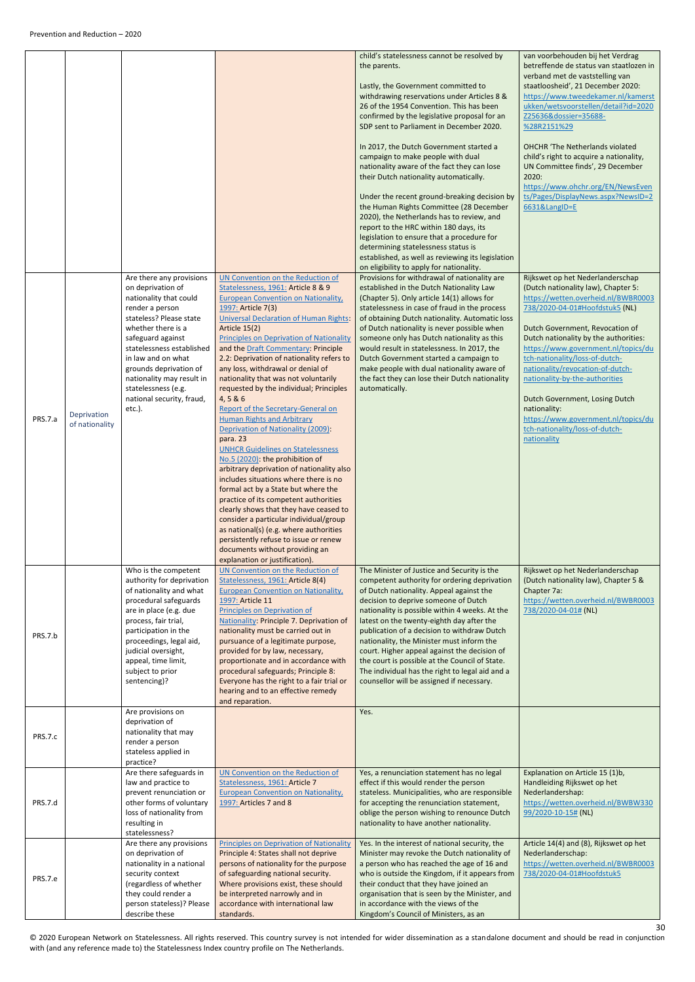<span id="page-29-0"></span>

|                |                               |                                                                                                                                                                                                                                                                                                                                             |                                                                                                                                                                                                                                                                                                                                                                                                                                                                                                                                                                                                                                                                                                                                                                                                                                                                                                                                                                                                                                                                                                                      | child's statelessness cannot be resolved by<br>the parents.<br>Lastly, the Government committed to<br>withdrawing reservations under Articles 8 &<br>26 of the 1954 Convention. This has been<br>confirmed by the legislative proposal for an<br>SDP sent to Parliament in December 2020.<br>In 2017, the Dutch Government started a<br>campaign to make people with dual<br>nationality aware of the fact they can lose<br>their Dutch nationality automatically.<br>Under the recent ground-breaking decision by<br>the Human Rights Committee (28 December<br>2020), the Netherlands has to review, and<br>report to the HRC within 180 days, its | van voorbehouden bij het Verdrag<br>betreffende de status van staatlozen in<br>verband met de vaststelling van<br>staatloosheid', 21 December 2020:<br>https://www.tweedekamer.nl/kamerst<br>ukken/wetsvoorstellen/detail?id=2020<br>Z25636&dossier=35688-<br>%28R2151%29<br><b>OHCHR</b> 'The Netherlands violated<br>child's right to acquire a nationality,<br>UN Committee finds', 29 December<br>2020:<br>https://www.ohchr.org/EN/NewsEven<br>ts/Pages/DisplayNews.aspx?NewsID=2<br>6631&LangID=E               |
|----------------|-------------------------------|---------------------------------------------------------------------------------------------------------------------------------------------------------------------------------------------------------------------------------------------------------------------------------------------------------------------------------------------|----------------------------------------------------------------------------------------------------------------------------------------------------------------------------------------------------------------------------------------------------------------------------------------------------------------------------------------------------------------------------------------------------------------------------------------------------------------------------------------------------------------------------------------------------------------------------------------------------------------------------------------------------------------------------------------------------------------------------------------------------------------------------------------------------------------------------------------------------------------------------------------------------------------------------------------------------------------------------------------------------------------------------------------------------------------------------------------------------------------------|------------------------------------------------------------------------------------------------------------------------------------------------------------------------------------------------------------------------------------------------------------------------------------------------------------------------------------------------------------------------------------------------------------------------------------------------------------------------------------------------------------------------------------------------------------------------------------------------------------------------------------------------------|-----------------------------------------------------------------------------------------------------------------------------------------------------------------------------------------------------------------------------------------------------------------------------------------------------------------------------------------------------------------------------------------------------------------------------------------------------------------------------------------------------------------------|
|                |                               |                                                                                                                                                                                                                                                                                                                                             |                                                                                                                                                                                                                                                                                                                                                                                                                                                                                                                                                                                                                                                                                                                                                                                                                                                                                                                                                                                                                                                                                                                      | legislation to ensure that a procedure for<br>determining statelessness status is<br>established, as well as reviewing its legislation<br>on eligibility to apply for nationality.                                                                                                                                                                                                                                                                                                                                                                                                                                                                   |                                                                                                                                                                                                                                                                                                                                                                                                                                                                                                                       |
| PRS.7.a        | Deprivation<br>of nationality | Are there any provisions<br>on deprivation of<br>nationality that could<br>render a person<br>stateless? Please state<br>whether there is a<br>safeguard against<br>statelessness established<br>in law and on what<br>grounds deprivation of<br>nationality may result in<br>statelessness (e.g.<br>national security, fraud,<br>$etc.$ ). | UN Convention on the Reduction of<br>Statelessness, 1961: Article 8 & 9<br><b>European Convention on Nationality,</b><br>1997: Article 7(3)<br><b>Universal Declaration of Human Rights:</b><br>Article 15(2)<br><b>Principles on Deprivation of Nationality</b><br>and the Draft Commentary: Principle<br>2.2: Deprivation of nationality refers to<br>any loss, withdrawal or denial of<br>nationality that was not voluntarily<br>requested by the individual; Principles<br>4,5 & 6<br>Report of the Secretary-General on<br><b>Human Rights and Arbitrary</b><br>Deprivation of Nationality (2009):<br>para. 23<br><b>UNHCR Guidelines on Statelessness</b><br>No.5 (2020): the prohibition of<br>arbitrary deprivation of nationality also<br>includes situations where there is no<br>formal act by a State but where the<br>practice of its competent authorities<br>clearly shows that they have ceased to<br>consider a particular individual/group<br>as national(s) (e.g. where authorities<br>persistently refuse to issue or renew<br>documents without providing an<br>explanation or justification). | Provisions for withdrawal of nationality are<br>established in the Dutch Nationality Law<br>(Chapter 5). Only article 14(1) allows for<br>statelessness in case of fraud in the process<br>of obtaining Dutch nationality. Automatic loss<br>of Dutch nationality is never possible when<br>someone only has Dutch nationality as this<br>would result in statelessness. In 2017, the<br>Dutch Government started a campaign to<br>make people with dual nationality aware of<br>the fact they can lose their Dutch nationality<br>automatically.                                                                                                    | Rijkswet op het Nederlanderschap<br>(Dutch nationality law), Chapter 5:<br>https://wetten.overheid.nl/BWBR0003<br>738/2020-04-01#Hoofdstuk5 (NL)<br>Dutch Government, Revocation of<br>Dutch nationality by the authorities:<br>https://www.government.nl/topics/du<br>tch-nationality/loss-of-dutch-<br>nationality/revocation-of-dutch-<br>nationality-by-the-authorities<br>Dutch Government, Losing Dutch<br>nationality:<br>https://www.government.nl/topics/du<br>tch-nationality/loss-of-dutch-<br>nationality |
| PRS.7.b        |                               | Who is the competent<br>authority for deprivation<br>of nationality and what<br>procedural safeguards<br>are in place (e.g. due<br>process, fair trial,<br>participation in the<br>proceedings, legal aid,<br>judicial oversight,<br>appeal, time limit,<br>subject to prior<br>sentencing)?<br>Are provisions on                           | UN Convention on the Reduction of<br>Statelessness, 1961: Article 8(4)<br><b>European Convention on Nationality,</b><br>1997: Article 11<br>Principles on Deprivation of<br>Nationality: Principle 7. Deprivation of<br>nationality must be carried out in<br>pursuance of a legitimate purpose,<br>provided for by law, necessary,<br>proportionate and in accordance with<br>procedural safeguards; Principle 8:<br>Everyone has the right to a fair trial or<br>hearing and to an effective remedy<br>and reparation.                                                                                                                                                                                                                                                                                                                                                                                                                                                                                                                                                                                             | The Minister of Justice and Security is the<br>competent authority for ordering deprivation<br>of Dutch nationality. Appeal against the<br>decision to deprive someone of Dutch<br>nationality is possible within 4 weeks. At the<br>latest on the twenty-eighth day after the<br>publication of a decision to withdraw Dutch<br>nationality, the Minister must inform the<br>court. Higher appeal against the decision of<br>the court is possible at the Council of State.<br>The individual has the right to legal aid and a<br>counsellor will be assigned if necessary.<br>Yes.                                                                 | Rijkswet op het Nederlanderschap<br>(Dutch nationality law), Chapter 5 &<br>Chapter 7a:<br>https://wetten.overheid.nl/BWBR0003<br>738/2020-04-01# (NL)                                                                                                                                                                                                                                                                                                                                                                |
| <b>PRS.7.c</b> |                               | deprivation of<br>nationality that may<br>render a person<br>stateless applied in<br>practice?                                                                                                                                                                                                                                              |                                                                                                                                                                                                                                                                                                                                                                                                                                                                                                                                                                                                                                                                                                                                                                                                                                                                                                                                                                                                                                                                                                                      |                                                                                                                                                                                                                                                                                                                                                                                                                                                                                                                                                                                                                                                      |                                                                                                                                                                                                                                                                                                                                                                                                                                                                                                                       |
| PRS.7.d        |                               | Are there safeguards in<br>law and practice to<br>prevent renunciation or<br>other forms of voluntary<br>loss of nationality from<br>resulting in<br>statelessness?                                                                                                                                                                         | UN Convention on the Reduction of<br>Statelessness, 1961: Article 7<br><b>European Convention on Nationality,</b><br>1997: Articles 7 and 8                                                                                                                                                                                                                                                                                                                                                                                                                                                                                                                                                                                                                                                                                                                                                                                                                                                                                                                                                                          | Yes, a renunciation statement has no legal<br>effect if this would render the person<br>stateless. Municipalities, who are responsible<br>for accepting the renunciation statement,<br>oblige the person wishing to renounce Dutch<br>nationality to have another nationality.                                                                                                                                                                                                                                                                                                                                                                       | Explanation on Article 15 (1)b,<br>Handleiding Rijkswet op het<br>Nederlandershap:<br>https://wetten.overheid.nl/BWBW330<br>99/2020-10-15# (NL)                                                                                                                                                                                                                                                                                                                                                                       |
| PRS.7.e        |                               | Are there any provisions<br>on deprivation of<br>nationality in a national<br>security context<br>(regardless of whether<br>they could render a<br>person stateless)? Please<br>describe these                                                                                                                                              | Principles on Deprivation of Nationality<br>Principle 4: States shall not deprive<br>persons of nationality for the purpose<br>of safeguarding national security.<br>Where provisions exist, these should<br>be interpreted narrowly and in<br>accordance with international law<br>standards.                                                                                                                                                                                                                                                                                                                                                                                                                                                                                                                                                                                                                                                                                                                                                                                                                       | Yes. In the interest of national security, the<br>Minister may revoke the Dutch nationality of<br>a person who has reached the age of 16 and<br>who is outside the Kingdom, if it appears from<br>their conduct that they have joined an<br>organisation that is seen by the Minister, and<br>in accordance with the views of the<br>Kingdom's Council of Ministers, as an                                                                                                                                                                                                                                                                           | Article 14(4) and (8), Rijkswet op het<br>Nederlanderschap:<br>https://wetten.overheid.nl/BWBR0003<br>738/2020-04-01#Hoofdstuk5                                                                                                                                                                                                                                                                                                                                                                                       |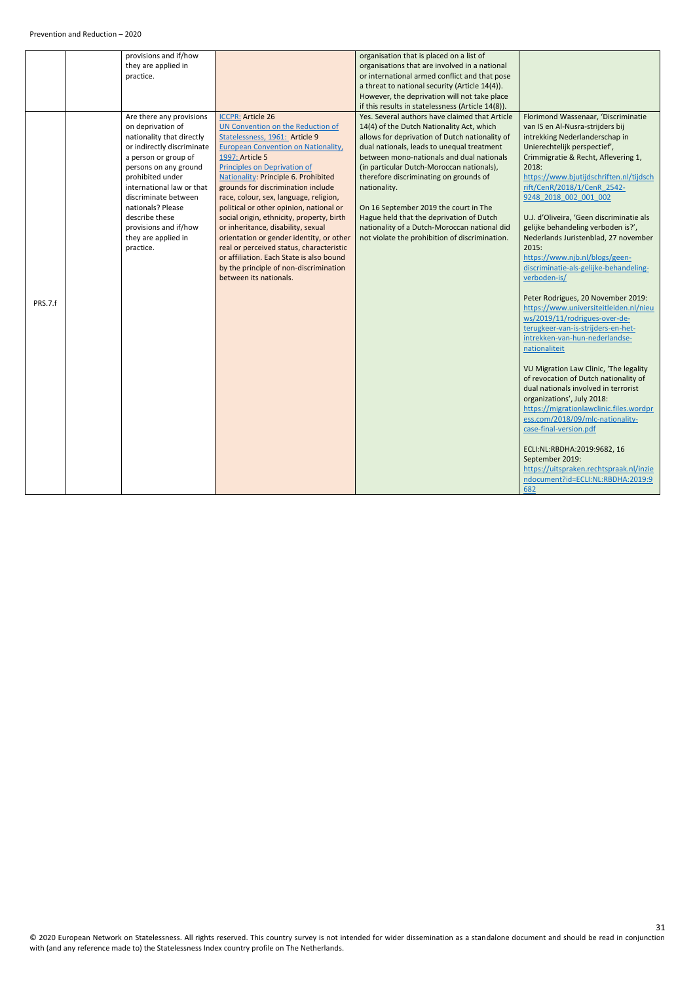|         | provisions and if/how      |                                           | organisation that is placed on a list of          |                                          |
|---------|----------------------------|-------------------------------------------|---------------------------------------------------|------------------------------------------|
|         | they are applied in        |                                           | organisations that are involved in a national     |                                          |
|         | practice.                  |                                           | or international armed conflict and that pose     |                                          |
|         |                            |                                           | a threat to national security (Article 14(4)).    |                                          |
|         |                            |                                           | However, the deprivation will not take place      |                                          |
|         |                            |                                           | if this results in statelessness (Article 14(8)). |                                          |
|         | Are there any provisions   | <b>ICCPR: Article 26</b>                  | Yes. Several authors have claimed that Article    | Florimond Wassenaar, 'Discriminatie      |
|         | on deprivation of          | UN Convention on the Reduction of         | 14(4) of the Dutch Nationality Act, which         | van IS en Al-Nusra-strijders bij         |
|         | nationality that directly  | Statelessness, 1961: Article 9            | allows for deprivation of Dutch nationality of    | intrekking Nederlanderschap in           |
|         | or indirectly discriminate | European Convention on Nationality,       | dual nationals, leads to unequal treatment        | Unierechtelijk perspectief',             |
|         | a person or group of       |                                           | between mono-nationals and dual nationals         | Crimmigratie & Recht, Aflevering 1,      |
|         |                            | 1997: Article 5                           |                                                   |                                          |
|         | persons on any ground      | Principles on Deprivation of              | (in particular Dutch-Moroccan nationals),         | 2018:                                    |
|         | prohibited under           | Nationality: Principle 6. Prohibited      | therefore discriminating on grounds of            | https://www.bjutijdschriften.nl/tijdsch  |
|         | international law or that  | grounds for discrimination include        | nationality.                                      | rift/CenR/2018/1/CenR 2542-              |
|         | discriminate between       | race, colour, sex, language, religion,    |                                                   | 9248 2018 002 001 002                    |
|         | nationals? Please          | political or other opinion, national or   | On 16 September 2019 the court in The             |                                          |
|         | describe these             | social origin, ethnicity, property, birth | Hague held that the deprivation of Dutch          | U.J. d'Oliveira, 'Geen discriminatie als |
|         | provisions and if/how      | or inheritance, disability, sexual        | nationality of a Dutch-Moroccan national did      | gelijke behandeling verboden is?',       |
|         | they are applied in        | orientation or gender identity, or other  | not violate the prohibition of discrimination.    | Nederlands Juristenblad, 27 november     |
|         | practice.                  | real or perceived status, characteristic  |                                                   | 2015:                                    |
|         |                            | or affiliation. Each State is also bound  |                                                   | https://www.njb.nl/blogs/geen-           |
|         |                            | by the principle of non-discrimination    |                                                   | discriminatie-als-gelijke-behandeling-   |
|         |                            | between its nationals.                    |                                                   | verboden-is/                             |
|         |                            |                                           |                                                   |                                          |
|         |                            |                                           |                                                   | Peter Rodrigues, 20 November 2019:       |
| PRS.7.f |                            |                                           |                                                   | https://www.universiteitleiden.nl/nieu   |
|         |                            |                                           |                                                   | ws/2019/11/rodrigues-over-de-            |
|         |                            |                                           |                                                   |                                          |
|         |                            |                                           |                                                   | terugkeer-van-is-strijders-en-het-       |
|         |                            |                                           |                                                   | intrekken-van-hun-nederlandse-           |
|         |                            |                                           |                                                   | nationaliteit                            |
|         |                            |                                           |                                                   |                                          |
|         |                            |                                           |                                                   | VU Migration Law Clinic, 'The legality   |
|         |                            |                                           |                                                   | of revocation of Dutch nationality of    |
|         |                            |                                           |                                                   | dual nationals involved in terrorist     |
|         |                            |                                           |                                                   | organizations', July 2018:               |
|         |                            |                                           |                                                   | https://migrationlawclinic.files.wordpr  |
|         |                            |                                           |                                                   | ess.com/2018/09/mlc-nationality-         |
|         |                            |                                           |                                                   | case-final-version.pdf                   |
|         |                            |                                           |                                                   |                                          |
|         |                            |                                           |                                                   | ECLI:NL:RBDHA:2019:9682, 16              |
|         |                            |                                           |                                                   | September 2019:                          |
|         |                            |                                           |                                                   | https://uitspraken.rechtspraak.nl/inzie  |
|         |                            |                                           |                                                   | ndocument?id=ECLI:NL:RBDHA:2019:9        |
|         |                            |                                           |                                                   |                                          |
|         |                            |                                           |                                                   | 682                                      |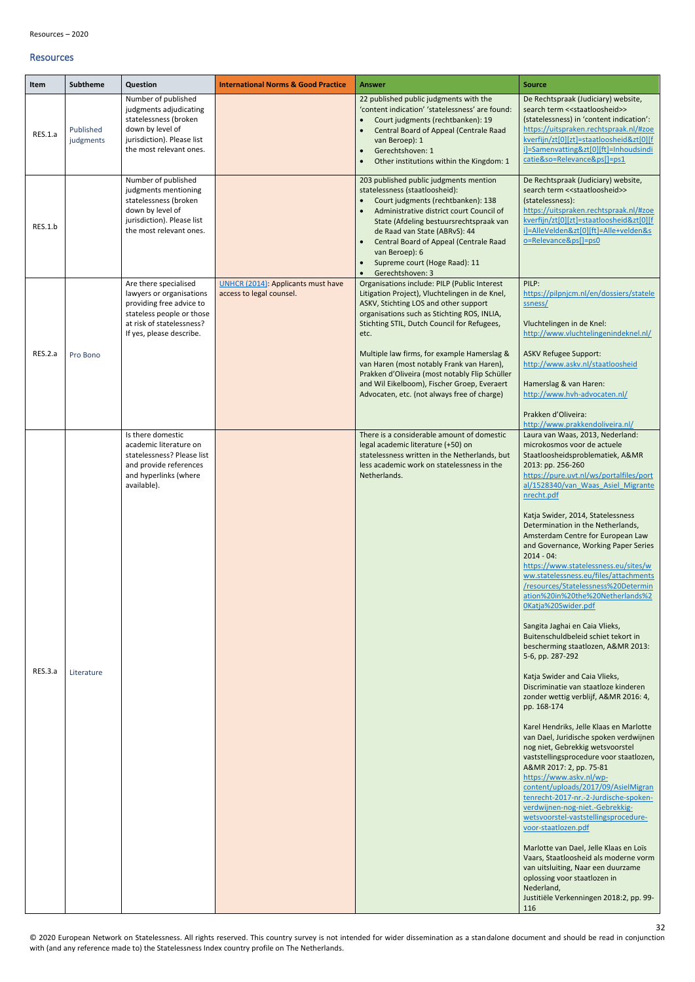#### <span id="page-31-0"></span>Resources

<span id="page-31-2"></span><span id="page-31-1"></span>

| Item    | <b>Subtheme</b>        | Question                                                                                                                                                            | <b>International Norms &amp; Good Practice</b>                 | <b>Answer</b>                                                                                                                                                                                                                                                                                                                                                                                  | <b>Source</b>                                                                                                                                                                                                                                                                                                                                                                                                                                                                                                                                                                                                                                                                                                                                                                                                                                            |
|---------|------------------------|---------------------------------------------------------------------------------------------------------------------------------------------------------------------|----------------------------------------------------------------|------------------------------------------------------------------------------------------------------------------------------------------------------------------------------------------------------------------------------------------------------------------------------------------------------------------------------------------------------------------------------------------------|----------------------------------------------------------------------------------------------------------------------------------------------------------------------------------------------------------------------------------------------------------------------------------------------------------------------------------------------------------------------------------------------------------------------------------------------------------------------------------------------------------------------------------------------------------------------------------------------------------------------------------------------------------------------------------------------------------------------------------------------------------------------------------------------------------------------------------------------------------|
| RES.1.a | Published<br>judgments | Number of published<br>judgments adjudicating<br>statelessness (broken<br>down by level of<br>jurisdiction). Please list<br>the most relevant ones.                 |                                                                | 22 published public judgments with the<br>'content indication' 'statelessness' are found:<br>Court judgments (rechtbanken): 19<br>Central Board of Appeal (Centrale Raad<br>van Beroep): 1<br>Gerechtshoven: 1<br>$\bullet$<br>Other institutions within the Kingdom: 1<br>$\bullet$                                                                                                           | De Rechtspraak (Judiciary) website,<br>search term << staatloosheid>><br>(statelessness) in 'content indication':<br>https://uitspraken.rechtspraak.nl/#zoe<br>kverfijn/zt[0][zt]=staatloosheid&zt[0][f<br>i]=Samenvatting&zt[0][ft]=Inhoudsindi<br>catie&so=Relevance&ps[]=ps1                                                                                                                                                                                                                                                                                                                                                                                                                                                                                                                                                                          |
| RES.1.b |                        | Number of published<br>judgments mentioning<br>statelessness (broken<br>down by level of<br>jurisdiction). Please list<br>the most relevant ones.                   |                                                                | 203 published public judgments mention<br>statelessness (staatloosheid):<br>Court judgments (rechtbanken): 138<br>$\bullet$<br>Administrative district court Council of<br>State (Afdeling bestuursrechtspraak van<br>de Raad van State (ABRvS): 44<br>Central Board of Appeal (Centrale Raad<br>van Beroep): 6<br>Supreme court (Hoge Raad): 11<br>$\bullet$<br>Gerechtshoven: 3<br>$\bullet$ | De Rechtspraak (Judiciary) website,<br>search term << staatloosheid>><br>(statelessness):<br>https://uitspraken.rechtspraak.nl/#zoe<br>kverfijn/zt[0][zt]=staatloosheid&zt[0][f<br>i]=AlleVelden&zt[0][ft]=Alle+velden&s<br>o=Relevance&ps[]=ps0                                                                                                                                                                                                                                                                                                                                                                                                                                                                                                                                                                                                         |
|         |                        | Are there specialised<br>lawyers or organisations<br>providing free advice to<br>stateless people or those<br>at risk of statelessness?<br>If yes, please describe. | UNHCR (2014): Applicants must have<br>access to legal counsel. | Organisations include: PILP (Public Interest<br>Litigation Project), Vluchtelingen in de Knel,<br>ASKV, Stichting LOS and other support<br>organisations such as Stichting ROS, INLIA,<br>Stichting STIL, Dutch Council for Refugees,<br>etc.                                                                                                                                                  | PILP:<br>https://pilpnjcm.nl/en/dossiers/statele<br>ssness/<br>Vluchtelingen in de Knel:<br>http://www.vluchtelingenindeknel.nl/                                                                                                                                                                                                                                                                                                                                                                                                                                                                                                                                                                                                                                                                                                                         |
| RES.2.a | Pro Bono               |                                                                                                                                                                     |                                                                | Multiple law firms, for example Hamerslag &<br>van Haren (most notably Frank van Haren),<br>Prakken d'Oliveira (most notably Flip Schüller<br>and Wil Eikelboom), Fischer Groep, Everaert<br>Advocaten, etc. (not always free of charge)                                                                                                                                                       | <b>ASKV Refugee Support:</b><br>http://www.askv.nl/staatloosheid<br>Hamerslag & van Haren:<br>http://www.hvh-advocaten.nl/                                                                                                                                                                                                                                                                                                                                                                                                                                                                                                                                                                                                                                                                                                                               |
| RES.3.a | Literature             | Is there domestic<br>academic literature on<br>statelessness? Please list<br>and provide references<br>and hyperlinks (where<br>available).                         |                                                                | There is a considerable amount of domestic<br>legal academic literature (+50) on<br>statelessness written in the Netherlands, but<br>less academic work on statelessness in the<br>Netherlands.                                                                                                                                                                                                | Prakken d'Oliveira:<br>http://www.prakkendoliveira.nl/<br>Laura van Waas, 2013, Nederland:<br>microkosmos voor de actuele<br>Staatloosheidsproblematiek, A&MR<br>2013: pp. 256-260<br>https://pure.uvt.nl/ws/portalfiles/port<br>al/1528340/van Waas Asiel Migrante<br>nrecht.pdf<br>Katja Swider, 2014, Statelessness<br>Determination in the Netherlands,<br>Amsterdam Centre for European Law<br>and Governance, Working Paper Series<br>$2014 - 04$ :<br>https://www.statelessness.eu/sites/w<br>ww.statelessness.eu/files/attachments<br>/resources/Statelessness%20Determin<br>ation%20in%20the%20Netherlands%2<br>OKatja%20Swider.pdf<br>Sangita Jaghai en Caia Vlieks,<br>Buitenschuldbeleid schiet tekort in<br>bescherming staatlozen, A&MR 2013:<br>5-6, pp. 287-292<br>Katja Swider and Caia Vlieks,<br>Discriminatie van staatloze kinderen |
|         |                        |                                                                                                                                                                     |                                                                |                                                                                                                                                                                                                                                                                                                                                                                                | zonder wettig verblijf, A&MR 2016: 4,<br>pp. 168-174<br>Karel Hendriks, Jelle Klaas en Marlotte<br>van Dael, Juridische spoken verdwijnen                                                                                                                                                                                                                                                                                                                                                                                                                                                                                                                                                                                                                                                                                                                |

<span id="page-31-3"></span>

|  |  | nog niet, Gebrekkig wetsvoorstel        |
|--|--|-----------------------------------------|
|  |  | vaststellingsprocedure voor staatlozen, |
|  |  | A&MR 2017: 2, pp. 75-81                 |
|  |  | https://www.askv.nl/wp-                 |
|  |  | content/uploads/2017/09/AsielMigran     |
|  |  | tenrecht-2017-nr.-2-Jurdische-spoken-   |
|  |  | verdwijnen-nog-niet.-Gebrekkig-         |
|  |  | wetsvoorstel-vaststellingsprocedure-    |
|  |  | voor-staatlozen.pdf                     |
|  |  |                                         |
|  |  | Marlotte van Dael, Jelle Klaas en Loïs  |
|  |  | Vaars, Staatloosheid als moderne vorm   |
|  |  | van uitsluiting, Naar een duurzame      |
|  |  | oplossing voor staatlozen in            |
|  |  | Nederland,                              |
|  |  | Justitiële Verkenningen 2018:2, pp. 99- |
|  |  | 116                                     |